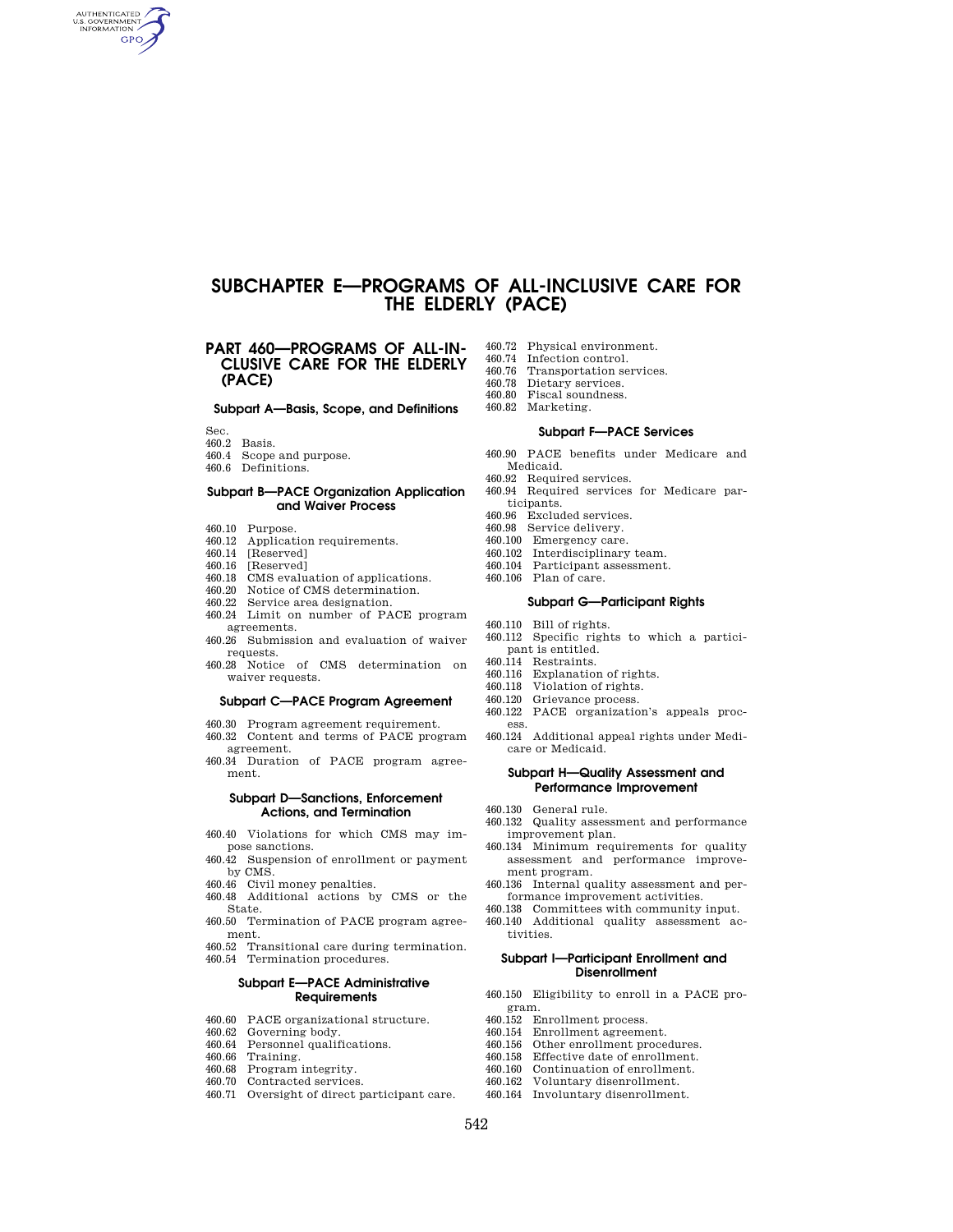# **SUBCHAPTER E—PROGRAMS OF ALL-INCLUSIVE CARE FOR THE ELDERLY (PACE)**

# **PART 460—PROGRAMS OF ALL-IN-CLUSIVE CARE FOR THE ELDERLY (PACE)**

**Subpart A—Basis, Scope, and Definitions** 

Sec.

AUTHENTICATED<br>U.S. GOVERNMENT<br>INFORMATION **GPO** 

- 460.2 Basis.
- 460.4 Scope and purpose.
- 460.6 Definitions.

### **Subpart B—PACE Organization Application and Waiver Process**

- 460.10 Purpose.
- 460.12 Application requirements.
- 460.14 [Reserved]
- 460.16 [Reserved]
- 460.18 CMS evaluation of applications.
- 460.20 Notice of CMS determination.
- 460.22 Service area designation.
- 460.24 Limit on number of PACE program agreements.
- 460.26 Submission and evaluation of waiver requests.
- 460.28 Notice of CMS determination on waiver requests.

## **Subpart C—PACE Program Agreement**

- 460.30 Program agreement requirement.
- 460.32 Content and terms of PACE program
- agreement. 460.34 Duration of PACE program agreement.

## **Subpart D—Sanctions, Enforcement Actions, and Termination**

- 460.40 Violations for which CMS may impose sanctions.
- 460.42 Suspension of enrollment or payment by CMS.
- 460.46 Civil money penalties.
- 460.48 Additional actions by CMS or the State.
- 460.50 Termination of PACE program agreement.
- 460.52 Transitional care during termination.
- 460.54 Termination procedures.

### **Subpart E—PACE Administrative Requirements**

- 460.60 PACE organizational structure.
- 460.62 Governing body.
- 460.64 Personnel qualifications.
- 460.66 Training.
- 460.68 Program integrity.
- 460.70 Contracted services.
- 460.71 Oversight of direct participant care.
- 460.72 Physical environment.
- 460.74 Infection control.<br>460.76 Transportation se
- Transportation services.
- 460.78 Dietary services.<br>460.80 Fiscal soundness
- Fiscal soundness.
- 460.82 Marketing.

### **Subpart F—PACE Services**

- 460.90 PACE benefits under Medicare and Medicaid.
- 460.92 Required services.
- 460.94 Required services for Medicare participants.
- 460.96 Excluded services.
- 460.98 Service delivery.
- 460.100 Emergency care.
- 460.102 Interdisciplinary team.
- 460.104 Participant assessment.
- 460.106 Plan of care.

### **Subpart G—Participant Rights**

- 460.110 Bill of rights.
- 460.112 Specific rights to which a participant is entitled.
- 460.114 Restraints.
- 460.116 Explanation of rights.
- 460.118 Violation of rights.
- 460.120 Grievance process.<br>460.122 PACE organizatio
- PACE organization's appeals process.
- 460.124 Additional appeal rights under Medicare or Medicaid.

## **Subpart H—Quality Assessment and Performance Improvement**

- 460.130 General rule.
- 460.132 Quality assessment and performance improvement plan.
- 460.134 Minimum requirements for quality assessment and performance improvement program.
- 460.136 Internal quality assessment and performance improvement activities.
- 460.138 Committees with community input.
- 460.140 Additional quality assessment activities.

## **Subpart I—Participant Enrollment and Disenrollment**

- 460.150 Eligibility to enroll in a PACE program.
- 460.152 Enrollment process.
- 460.154 Enrollment agreement.
- 460.156 Other enrollment procedures.
- 460.158 Effective date of enrollment.
- 460.160 Continuation of enrollment.
- 460.162 Voluntary disenrollment.
- 460.164 Involuntary disenrollment.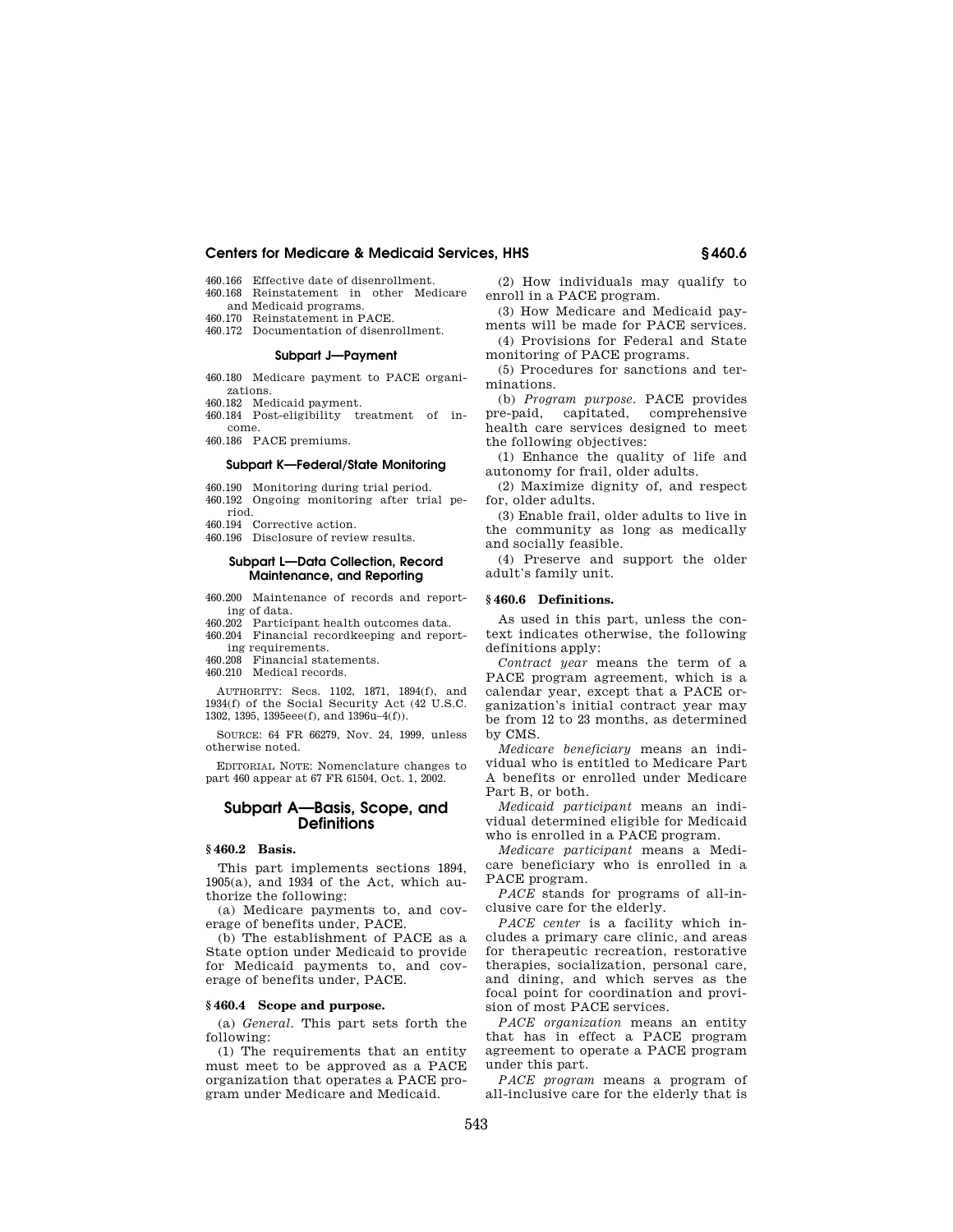- 460.166 Effective date of disenrollment.
- 460.168 Reinstatement in other Medicare and Medicaid programs.
- 460.170 Reinstatement in PACE.
- 460.172 Documentation of disenrollment.

### **Subpart J—Payment**

- 460.180 Medicare payment to PACE organizations.
- 460.182 Medicaid payment.
- 460.184 Post-eligibility treatment of income.
- 460.186 PACE premiums.

### **Subpart K—Federal/State Monitoring**

- 460.190 Monitoring during trial period.
- 460.192 Ongoing monitoring after trial period.
- 460.194 Corrective action.
- 460.196 Disclosure of review results.

### **Subpart L—Data Collection, Record Maintenance, and Reporting**

- 460.200 Maintenance of records and reporting of data.
- 460.202 Participant health outcomes data. 460.204 Financial recordkeeping and report-
- ing requirements.
- 460.208 Financial statements.
- 460.210 Medical records.

AUTHORITY: Secs. 1102, 1871, 1894(f), and 1934(f) of the Social Security Act (42 U.S.C. 1302, 1395, 1395eee(f), and 1396u–4(f)).

SOURCE: 64 FR 66279, Nov. 24, 1999, unless otherwise noted.

EDITORIAL NOTE: Nomenclature changes to part 460 appear at 67 FR 61504, Oct. 1, 2002.

## **Subpart A—Basis, Scope, and Definitions**

## **§ 460.2 Basis.**

This part implements sections 1894, 1905(a), and 1934 of the Act, which authorize the following:

(a) Medicare payments to, and coverage of benefits under, PACE.

(b) The establishment of PACE as a State option under Medicaid to provide for Medicaid payments to, and coverage of benefits under, PACE.

### **§ 460.4 Scope and purpose.**

(a) *General.* This part sets forth the following:

(1) The requirements that an entity must meet to be approved as a PACE organization that operates a PACE program under Medicare and Medicaid.

(2) How individuals may qualify to enroll in a PACE program.

(3) How Medicare and Medicaid payments will be made for PACE services.

(4) Provisions for Federal and State monitoring of PACE programs.

(5) Procedures for sanctions and terminations.

(b) *Program purpose.* PACE provides pre-paid, capitated, comprehensive health care services designed to meet the following objectives:

(1) Enhance the quality of life and autonomy for frail, older adults.

(2) Maximize dignity of, and respect for, older adults.

(3) Enable frail, older adults to live in the community as long as medically and socially feasible.

(4) Preserve and support the older adult's family unit.

## **§ 460.6 Definitions.**

As used in this part, unless the context indicates otherwise, the following definitions apply:

*Contract year* means the term of a PACE program agreement, which is a calendar year, except that a PACE organization's initial contract year may be from 12 to 23 months, as determined by CMS.

*Medicare beneficiary* means an individual who is entitled to Medicare Part A benefits or enrolled under Medicare Part B, or both.

*Medicaid participant* means an individual determined eligible for Medicaid who is enrolled in a PACE program.

*Medicare participant* means a Medicare beneficiary who is enrolled in a PACE program.

*PACE* stands for programs of all-inclusive care for the elderly.

*PACE center* is a facility which includes a primary care clinic, and areas for therapeutic recreation, restorative therapies, socialization, personal care, and dining, and which serves as the focal point for coordination and provision of most PACE services.

*PACE organization* means an entity that has in effect a PACE program agreement to operate a PACE program under this part.

*PACE program* means a program of all-inclusive care for the elderly that is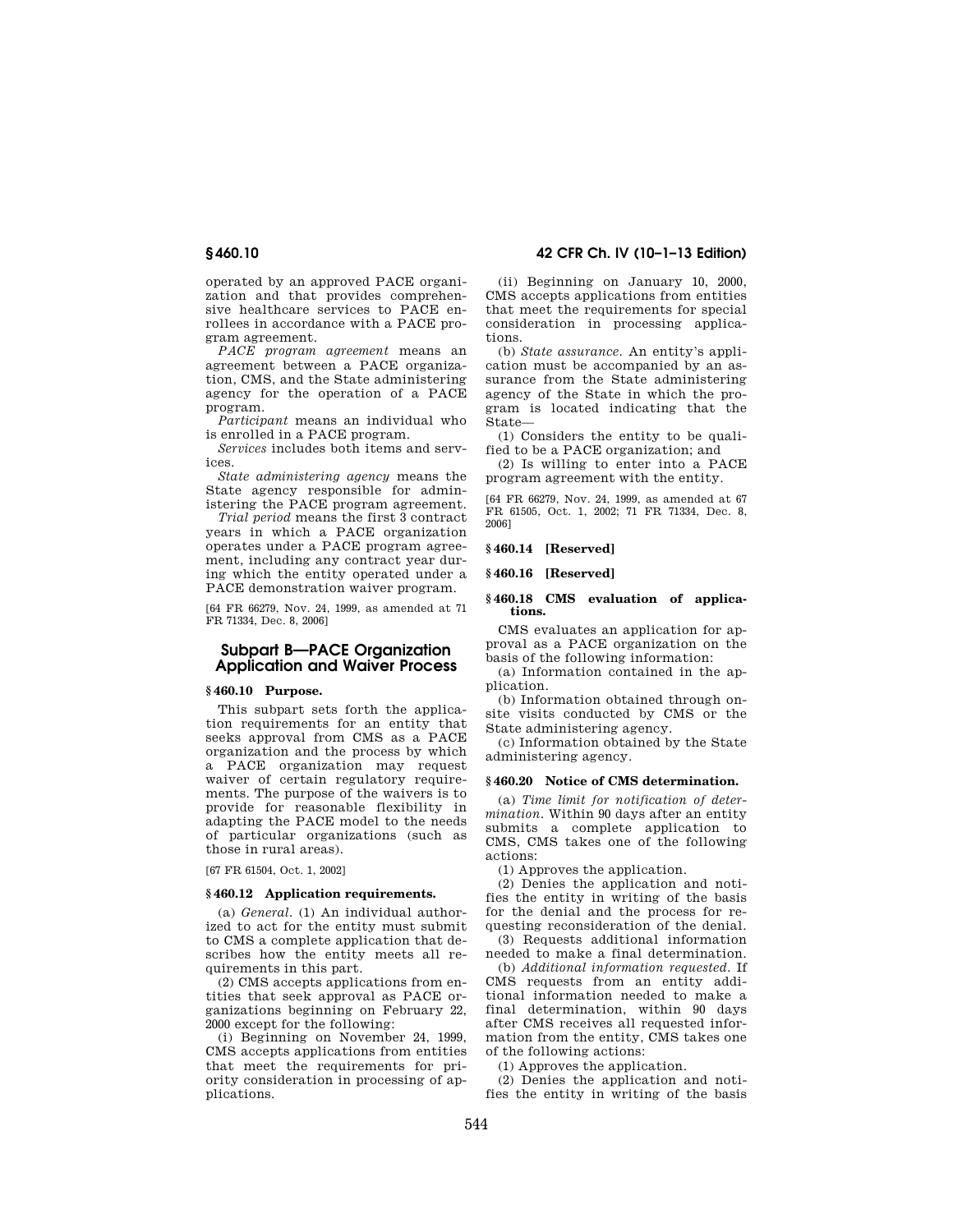operated by an approved PACE organization and that provides comprehensive healthcare services to PACE enrollees in accordance with a PACE program agreement.

*PACE program agreement* means an agreement between a PACE organization, CMS, and the State administering agency for the operation of a PACE program.

*Participant* means an individual who is enrolled in a PACE program.

*Services* includes both items and services.

*State administering agency* means the State agency responsible for administering the PACE program agreement.

*Trial period* means the first 3 contract years in which a PACE organization operates under a PACE program agreement, including any contract year during which the entity operated under a PACE demonstration waiver program.

[64 FR 66279, Nov. 24, 1999, as amended at 71 FR 71334, Dec. 8, 2006]

# **Subpart B—PACE Organization Application and Waiver Process**

## **§ 460.10 Purpose.**

This subpart sets forth the application requirements for an entity that seeks approval from CMS as a PACE organization and the process by which a PACE organization may request waiver of certain regulatory requirements. The purpose of the waivers is to provide for reasonable flexibility in adapting the PACE model to the needs of particular organizations (such as those in rural areas).

[67 FR 61504, Oct. 1, 2002]

### **§ 460.12 Application requirements.**

(a) *General.* (1) An individual authorized to act for the entity must submit to CMS a complete application that describes how the entity meets all requirements in this part.

(2) CMS accepts applications from entities that seek approval as PACE organizations beginning on February 22, 2000 except for the following:

(i) Beginning on November 24, 1999, CMS accepts applications from entities that meet the requirements for priority consideration in processing of applications.

# **§ 460.10 42 CFR Ch. IV (10–1–13 Edition)**

(ii) Beginning on January 10, 2000, CMS accepts applications from entities that meet the requirements for special consideration in processing applications.

(b) *State assurance.* An entity's application must be accompanied by an assurance from the State administering agency of the State in which the program is located indicating that the State—

(1) Considers the entity to be qualified to be a PACE organization; and

(2) Is willing to enter into a PACE program agreement with the entity.

[64 FR 66279, Nov. 24, 1999, as amended at 67 FR 61505, Oct. 1, 2002; 71 FR 71334, Dec. 8, 2006]

### **§ 460.14 [Reserved]**

## **§ 460.16 [Reserved]**

### **§ 460.18 CMS evaluation of applications.**

CMS evaluates an application for approval as a PACE organization on the basis of the following information:

(a) Information contained in the application.

(b) Information obtained through onsite visits conducted by CMS or the State administering agency.

(c) Information obtained by the State administering agency.

### **§ 460.20 Notice of CMS determination.**

(a) *Time limit for notification of determination.* Within 90 days after an entity submits a complete application to CMS, CMS takes one of the following actions:

(1) Approves the application.

(2) Denies the application and notifies the entity in writing of the basis for the denial and the process for requesting reconsideration of the denial.

(3) Requests additional information needed to make a final determination.

(b) *Additional information requested.* If CMS requests from an entity additional information needed to make a final determination, within 90 days after CMS receives all requested information from the entity, CMS takes one of the following actions:

(1) Approves the application.

(2) Denies the application and notifies the entity in writing of the basis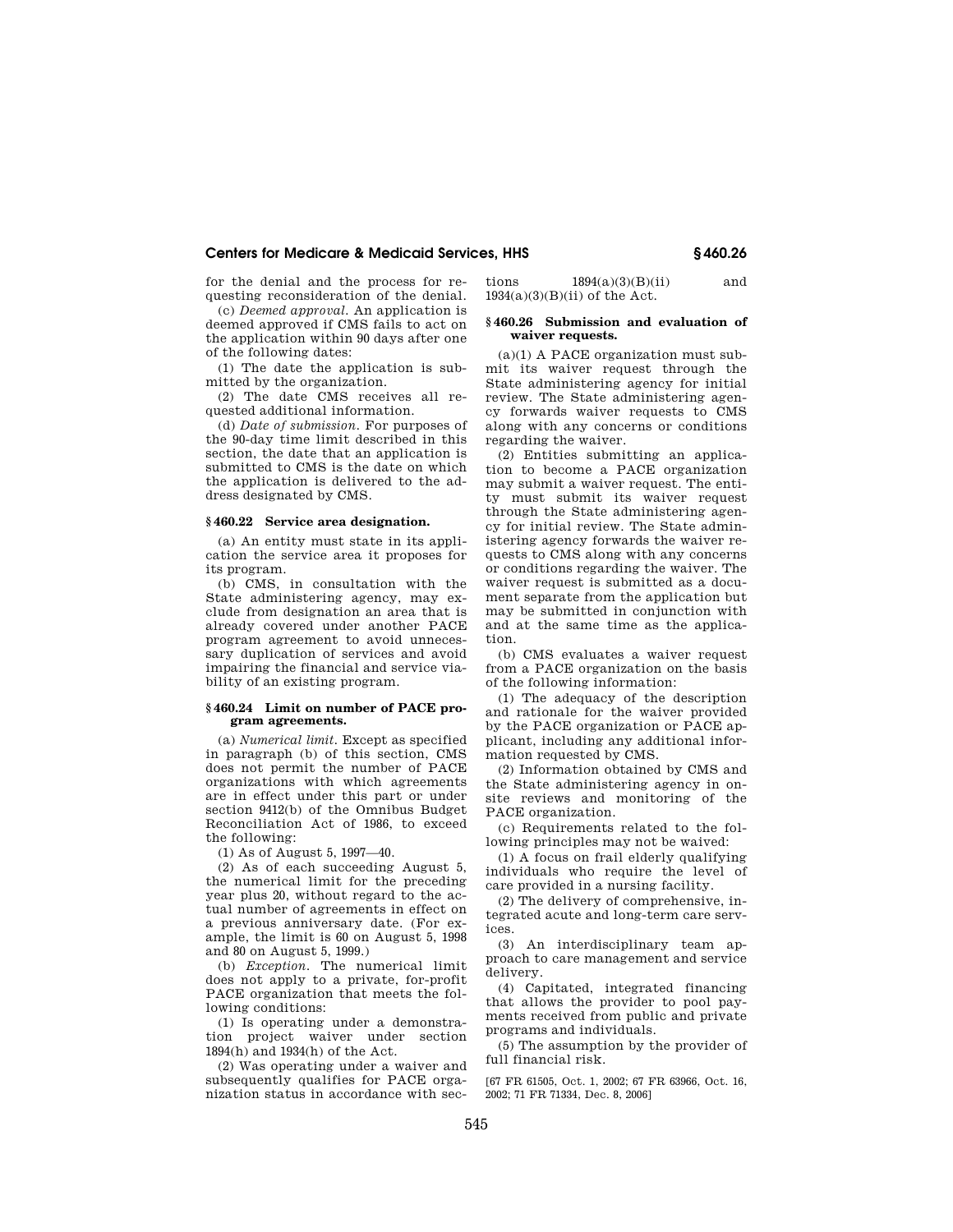for the denial and the process for requesting reconsideration of the denial.

(c) *Deemed approval.* An application is deemed approved if CMS fails to act on the application within 90 days after one of the following dates:

(1) The date the application is submitted by the organization.

(2) The date CMS receives all requested additional information.

(d) *Date of submission.* For purposes of the 90-day time limit described in this section, the date that an application is submitted to CMS is the date on which the application is delivered to the address designated by CMS.

## **§ 460.22 Service area designation.**

(a) An entity must state in its application the service area it proposes for its program.

(b) CMS, in consultation with the State administering agency, may exclude from designation an area that is already covered under another PACE program agreement to avoid unnecessary duplication of services and avoid impairing the financial and service viability of an existing program.

## **§ 460.24 Limit on number of PACE program agreements.**

(a) *Numerical limit.* Except as specified in paragraph (b) of this section, CMS does not permit the number of PACE organizations with which agreements are in effect under this part or under section 9412(b) of the Omnibus Budget Reconciliation Act of 1986, to exceed the following:

(1) As of August 5, 1997—40.

(2) As of each succeeding August 5, the numerical limit for the preceding year plus 20, without regard to the actual number of agreements in effect on a previous anniversary date. (For example, the limit is 60 on August 5, 1998 and 80 on August 5, 1999.)

(b) *Exception.* The numerical limit does not apply to a private, for-profit PACE organization that meets the following conditions:

(1) Is operating under a demonstration project waiver under section 1894(h) and 1934(h) of the Act.

(2) Was operating under a waiver and subsequently qualifies for PACE organization status in accordance with sections  $1894(a)(3)(B)(ii)$  and  $1934(a)(3)(B)(ii)$  of the Act.

### **§ 460.26 Submission and evaluation of waiver requests.**

(a)(1) A PACE organization must submit its waiver request through the State administering agency for initial review. The State administering agency forwards waiver requests to CMS along with any concerns or conditions regarding the waiver.

(2) Entities submitting an application to become a PACE organization may submit a waiver request. The entity must submit its waiver request through the State administering agency for initial review. The State administering agency forwards the waiver requests to CMS along with any concerns or conditions regarding the waiver. The waiver request is submitted as a document separate from the application but may be submitted in conjunction with and at the same time as the application.

(b) CMS evaluates a waiver request from a PACE organization on the basis of the following information:

(1) The adequacy of the description and rationale for the waiver provided by the PACE organization or PACE applicant, including any additional information requested by CMS.

(2) Information obtained by CMS and the State administering agency in onsite reviews and monitoring of the PACE organization.

(c) Requirements related to the following principles may not be waived:

(1) A focus on frail elderly qualifying individuals who require the level of care provided in a nursing facility.

(2) The delivery of comprehensive, integrated acute and long-term care services.

(3) An interdisciplinary team approach to care management and service delivery.

(4) Capitated, integrated financing that allows the provider to pool payments received from public and private programs and individuals.

(5) The assumption by the provider of full financial risk.

[67 FR 61505, Oct. 1, 2002; 67 FR 63966, Oct. 16, 2002; 71 FR 71334, Dec. 8, 2006]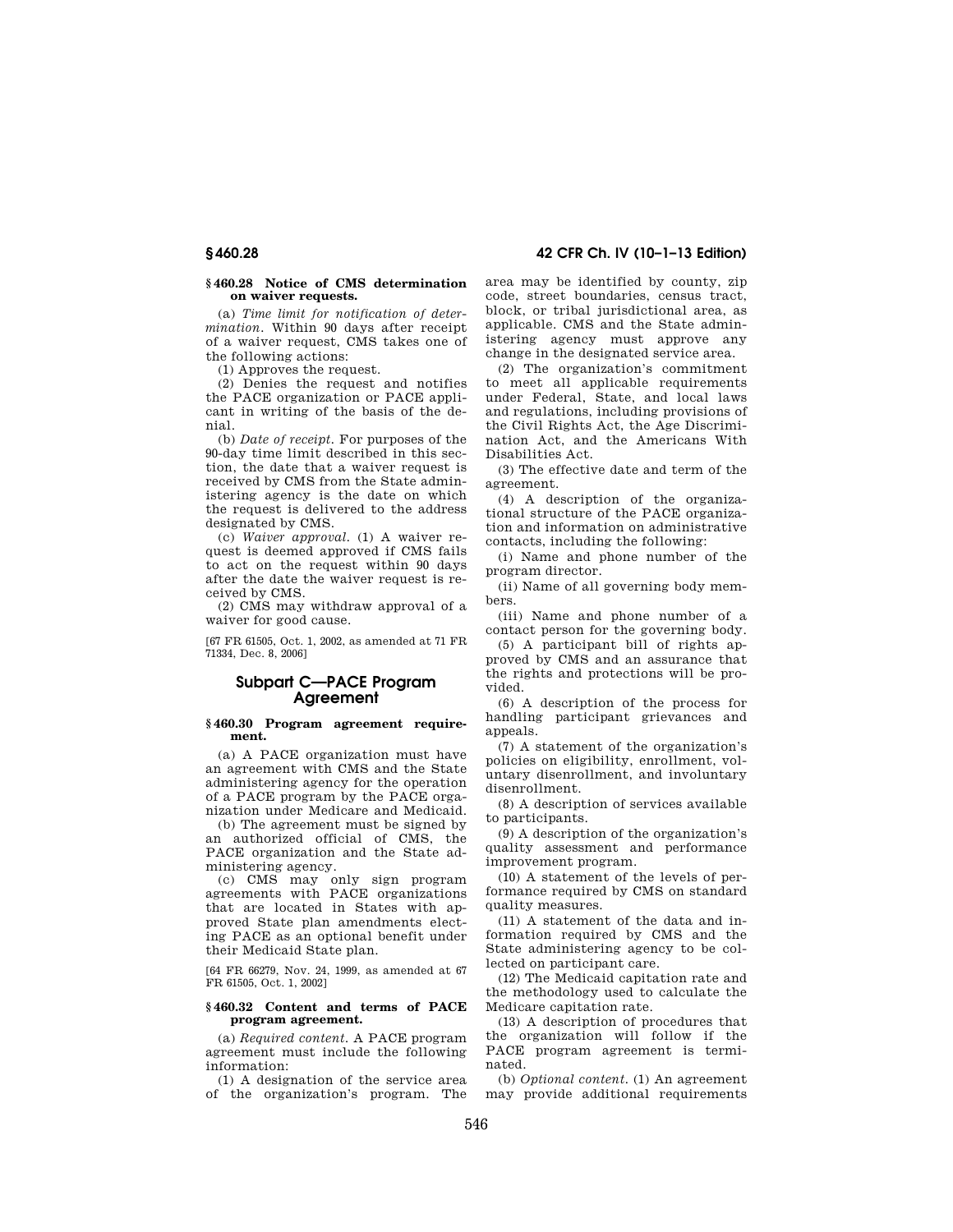# **§ 460.28 42 CFR Ch. IV (10–1–13 Edition)**

### **§ 460.28 Notice of CMS determination on waiver requests.**

(a) *Time limit for notification of determination.* Within 90 days after receipt of a waiver request, CMS takes one of the following actions:

(1) Approves the request.

(2) Denies the request and notifies the PACE organization or PACE applicant in writing of the basis of the denial.

(b) *Date of receipt.* For purposes of the 90-day time limit described in this section, the date that a waiver request is received by CMS from the State administering agency is the date on which the request is delivered to the address designated by CMS.

(c) *Waiver approval.* (1) A waiver request is deemed approved if CMS fails to act on the request within 90 days after the date the waiver request is received by CMS.

(2) CMS may withdraw approval of a waiver for good cause.

[67 FR 61505, Oct. 1, 2002, as amended at 71 FR 71334, Dec. 8, 2006]

# **Subpart C—PACE Program Agreement**

## **§ 460.30 Program agreement requirement.**

(a) A PACE organization must have an agreement with CMS and the State administering agency for the operation of a PACE program by the PACE organization under Medicare and Medicaid.

(b) The agreement must be signed by an authorized official of CMS, the PACE organization and the State administering agency.

(c) CMS may only sign program agreements with PACE organizations that are located in States with approved State plan amendments electing PACE as an optional benefit under their Medicaid State plan.

[64 FR 66279, Nov. 24, 1999, as amended at 67 FR 61505, Oct. 1, 2002]

## **§ 460.32 Content and terms of PACE program agreement.**

(a) *Required content.* A PACE program agreement must include the following information:

(1) A designation of the service area of the organization's program. The area may be identified by county, zip code, street boundaries, census tract, block, or tribal jurisdictional area, as applicable. CMS and the State administering agency must approve any change in the designated service area.

(2) The organization's commitment to meet all applicable requirements under Federal, State, and local laws and regulations, including provisions of the Civil Rights Act, the Age Discrimination Act, and the Americans With Disabilities Act.

(3) The effective date and term of the agreement.

(4) A description of the organizational structure of the PACE organization and information on administrative contacts, including the following:

(i) Name and phone number of the program director.

(ii) Name of all governing body members.

(iii) Name and phone number of a contact person for the governing body.

(5) A participant bill of rights approved by CMS and an assurance that the rights and protections will be provided.

(6) A description of the process for handling participant grievances and appeals.

(7) A statement of the organization's policies on eligibility, enrollment, voluntary disenrollment, and involuntary disenrollment.

(8) A description of services available to participants.

(9) A description of the organization's quality assessment and performance improvement program.

(10) A statement of the levels of performance required by CMS on standard quality measures.

(11) A statement of the data and information required by CMS and the State administering agency to be collected on participant care.

(12) The Medicaid capitation rate and the methodology used to calculate the Medicare capitation rate.

(13) A description of procedures that the organization will follow if the PACE program agreement is terminated.

(b) *Optional content.* (1) An agreement may provide additional requirements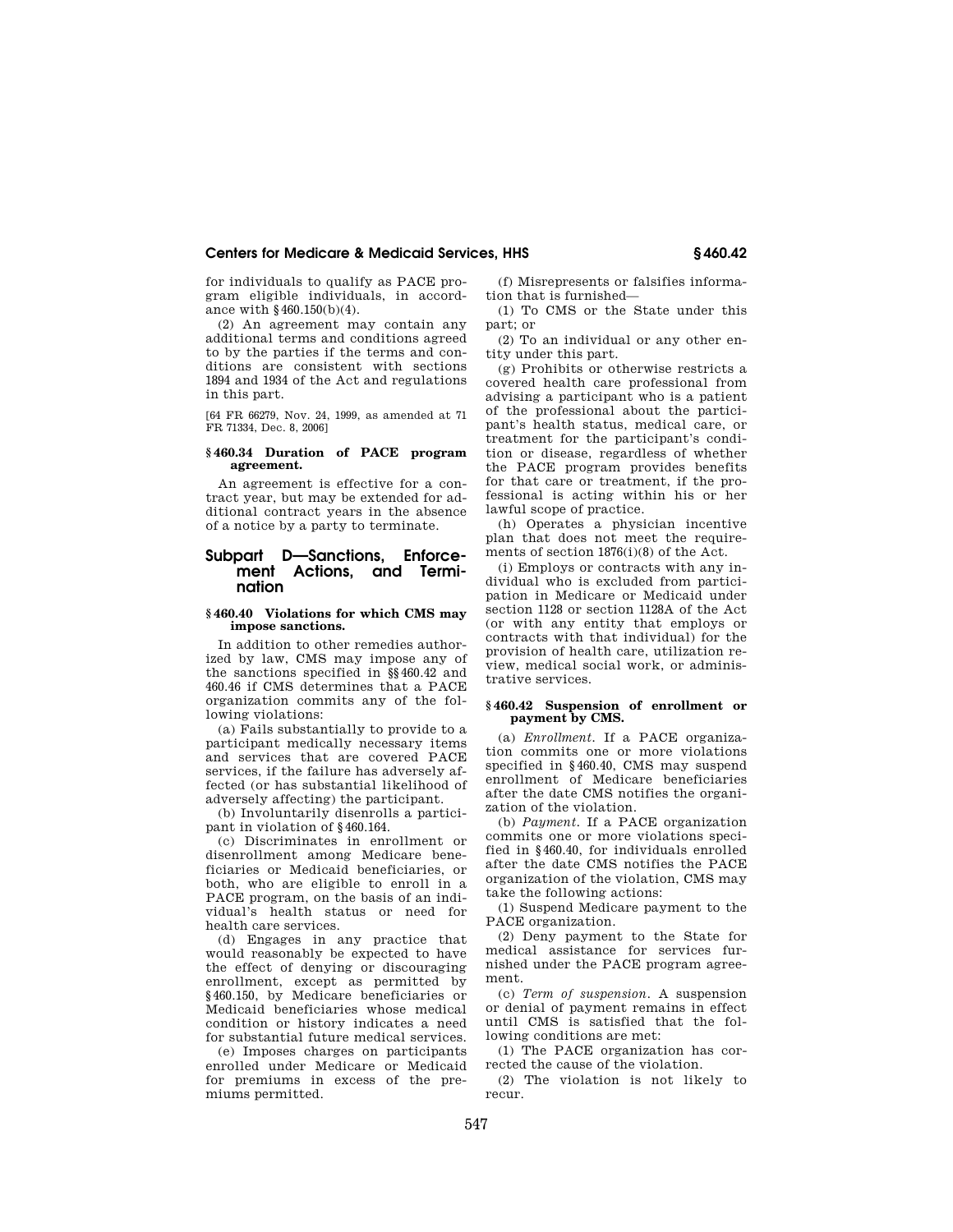for individuals to qualify as PACE program eligible individuals, in accordance with §460.150(b)(4).

(2) An agreement may contain any additional terms and conditions agreed to by the parties if the terms and conditions are consistent with sections 1894 and 1934 of the Act and regulations in this part.

[64 FR 66279, Nov. 24, 1999, as amended at 71 FR 71334, Dec. 8, 2006]

## **§ 460.34 Duration of PACE program agreement.**

An agreement is effective for a contract year, but may be extended for additional contract years in the absence of a notice by a party to terminate.

# **Subpart D—Sanctions, Enforcement Actions, and Termination**

### **§ 460.40 Violations for which CMS may impose sanctions.**

In addition to other remedies authorized by law, CMS may impose any of the sanctions specified in §§460.42 and 460.46 if CMS determines that a PACE organization commits any of the following violations:

(a) Fails substantially to provide to a participant medically necessary items and services that are covered PACE services, if the failure has adversely affected (or has substantial likelihood of adversely affecting) the participant.

(b) Involuntarily disenrolls a participant in violation of §460.164.

(c) Discriminates in enrollment or disenrollment among Medicare beneficiaries or Medicaid beneficiaries, or both, who are eligible to enroll in a PACE program, on the basis of an individual's health status or need for health care services.

(d) Engages in any practice that would reasonably be expected to have the effect of denying or discouraging enrollment, except as permitted by §460.150, by Medicare beneficiaries or Medicaid beneficiaries whose medical condition or history indicates a need for substantial future medical services.

(e) Imposes charges on participants enrolled under Medicare or Medicaid for premiums in excess of the premiums permitted.

(f) Misrepresents or falsifies information that is furnished—

(1) To CMS or the State under this part; or

(2) To an individual or any other entity under this part.

(g) Prohibits or otherwise restricts a covered health care professional from advising a participant who is a patient of the professional about the participant's health status, medical care, or treatment for the participant's condition or disease, regardless of whether the PACE program provides benefits for that care or treatment, if the professional is acting within his or her lawful scope of practice.

(h) Operates a physician incentive plan that does not meet the requirements of section 1876(i)(8) of the Act.

(i) Employs or contracts with any individual who is excluded from participation in Medicare or Medicaid under section 1128 or section 1128A of the Act (or with any entity that employs or contracts with that individual) for the provision of health care, utilization review, medical social work, or administrative services.

## **§ 460.42 Suspension of enrollment or payment by CMS.**

(a) *Enrollment.* If a PACE organization commits one or more violations specified in §460.40, CMS may suspend enrollment of Medicare beneficiaries after the date CMS notifies the organization of the violation.

(b) *Payment.* If a PACE organization commits one or more violations specified in §460.40, for individuals enrolled after the date CMS notifies the PACE organization of the violation, CMS may take the following actions:

(1) Suspend Medicare payment to the PACE organization.

(2) Deny payment to the State for medical assistance for services furnished under the PACE program agreement.

(c) *Term of suspension.* A suspension or denial of payment remains in effect until CMS is satisfied that the following conditions are met:

(1) The PACE organization has corrected the cause of the violation.

(2) The violation is not likely to recur.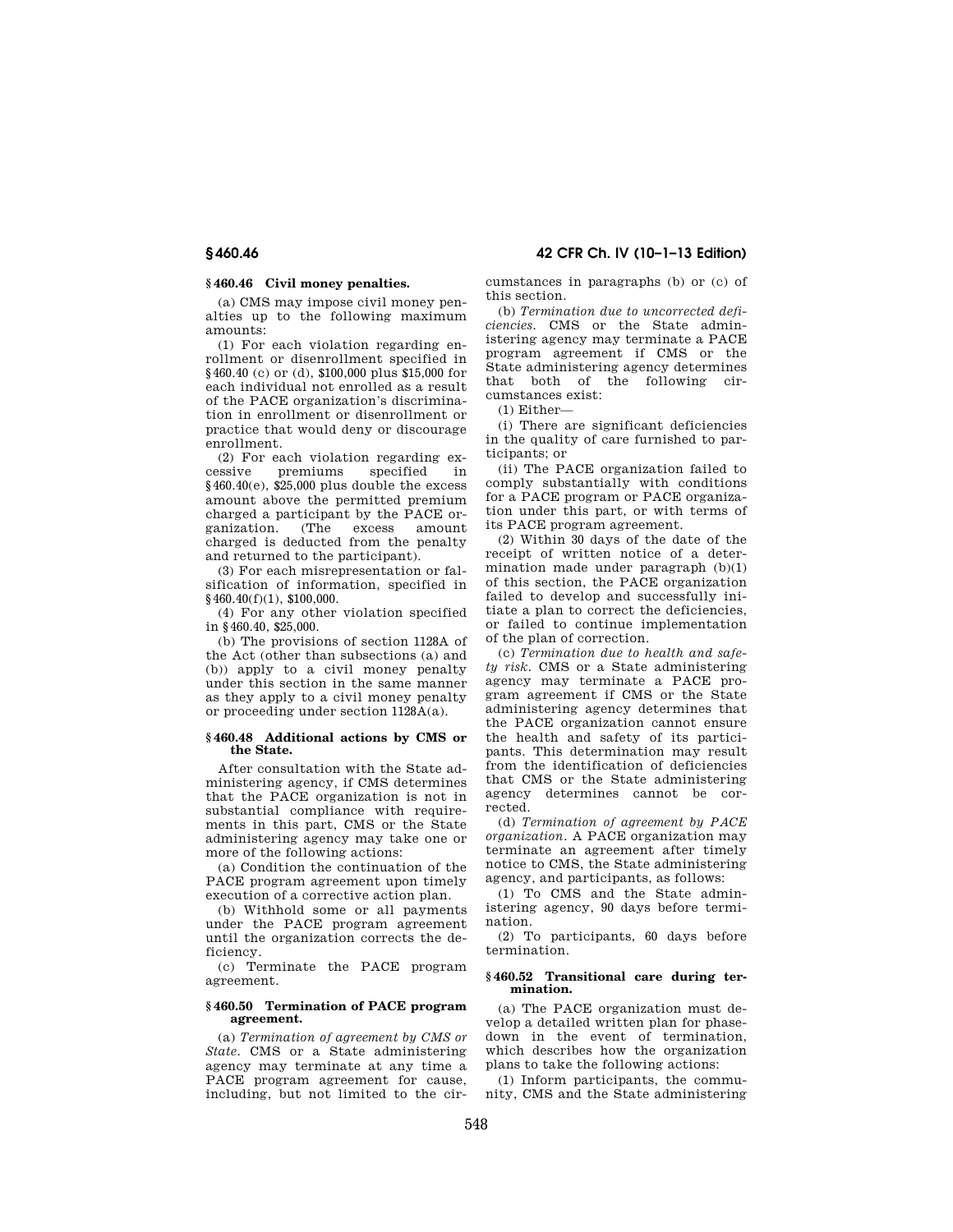## **§ 460.46 Civil money penalties.**

(a) CMS may impose civil money penalties up to the following maximum amounts:

(1) For each violation regarding enrollment or disenrollment specified in §460.40 (c) or (d), \$100,000 plus \$15,000 for each individual not enrolled as a result of the PACE organization's discrimination in enrollment or disenrollment or practice that would deny or discourage enrollment.

(2) For each violation regarding ex-<br>
cessive premiums specified in premiums specified in  $$460.40(e), $25.000$  plus double the excess amount above the permitted premium charged a participant by the PACE or-<br>ganization. (The excess amount ganization. (The excess amount charged is deducted from the penalty and returned to the participant).

(3) For each misrepresentation or falsification of information, specified in §460.40(f)(1), \$100,000.

(4) For any other violation specified in §460.40, \$25,000.

(b) The provisions of section 1128A of the Act (other than subsections (a) and (b)) apply to a civil money penalty under this section in the same manner as they apply to a civil money penalty or proceeding under section 1128A(a).

### **§ 460.48 Additional actions by CMS or the State.**

After consultation with the State administering agency, if CMS determines that the PACE organization is not in substantial compliance with requirements in this part, CMS or the State administering agency may take one or more of the following actions:

(a) Condition the continuation of the PACE program agreement upon timely execution of a corrective action plan.

(b) Withhold some or all payments under the PACE program agreement until the organization corrects the deficiency.

(c) Terminate the PACE program agreement.

### **§ 460.50 Termination of PACE program agreement.**

(a) *Termination of agreement by CMS or State.* CMS or a State administering agency may terminate at any time a PACE program agreement for cause, including, but not limited to the circumstances in paragraphs (b) or (c) of this section.

(b) *Termination due to uncorrected deficiencies.* CMS or the State administering agency may terminate a PACE program agreement if CMS or the State administering agency determines that both of the following circumstances exist:

(1) Either—

(i) There are significant deficiencies in the quality of care furnished to participants; or

(ii) The PACE organization failed to comply substantially with conditions for a PACE program or PACE organization under this part, or with terms of its PACE program agreement.

(2) Within 30 days of the date of the receipt of written notice of a determination made under paragraph (b)(1) of this section, the PACE organization failed to develop and successfully initiate a plan to correct the deficiencies, or failed to continue implementation of the plan of correction.

(c) *Termination due to health and safety risk.* CMS or a State administering agency may terminate a PACE program agreement if CMS or the State administering agency determines that the PACE organization cannot ensure the health and safety of its participants. This determination may result from the identification of deficiencies that CMS or the State administering agency determines cannot be corrected.

(d) *Termination of agreement by PACE organization.* A PACE organization may terminate an agreement after timely notice to CMS, the State administering agency, and participants, as follows:

(1) To CMS and the State administering agency, 90 days before termination.

(2) To participants, 60 days before termination.

### **§ 460.52 Transitional care during termination.**

(a) The PACE organization must develop a detailed written plan for phasedown in the event of termination, which describes how the organization plans to take the following actions:

(1) Inform participants, the community, CMS and the State administering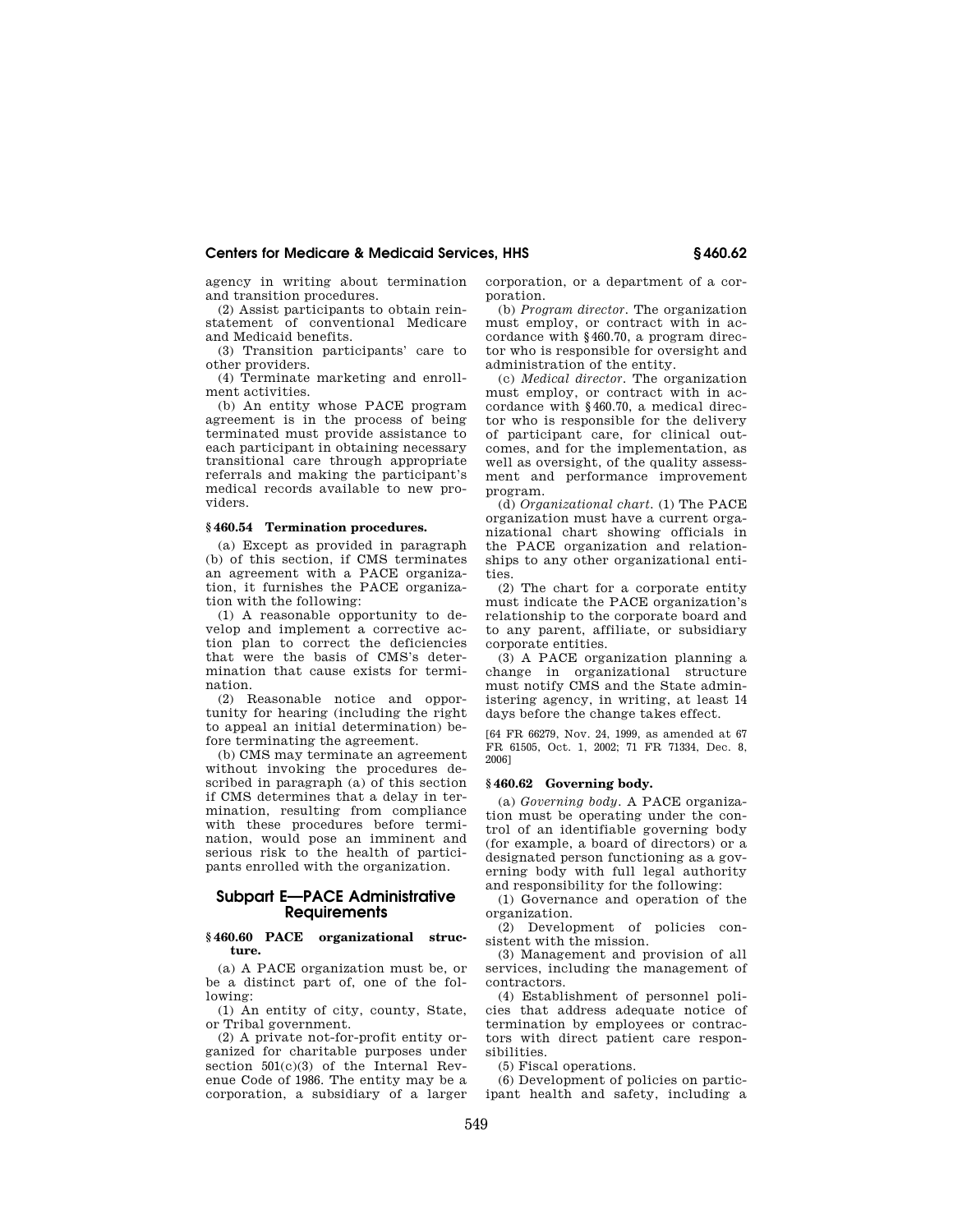agency in writing about termination and transition procedures.

(2) Assist participants to obtain reinstatement of conventional Medicare and Medicaid benefits.

(3) Transition participants' care to other providers.

(4) Terminate marketing and enrollment activities.

(b) An entity whose PACE program agreement is in the process of being terminated must provide assistance to each participant in obtaining necessary transitional care through appropriate referrals and making the participant's medical records available to new providers.

## **§ 460.54 Termination procedures.**

(a) Except as provided in paragraph (b) of this section, if CMS terminates an agreement with a PACE organization, it furnishes the PACE organization with the following:

(1) A reasonable opportunity to develop and implement a corrective action plan to correct the deficiencies that were the basis of CMS's determination that cause exists for termination.

(2) Reasonable notice and opportunity for hearing (including the right to appeal an initial determination) before terminating the agreement.

(b) CMS may terminate an agreement without invoking the procedures described in paragraph (a) of this section if CMS determines that a delay in termination, resulting from compliance with these procedures before termination, would pose an imminent and serious risk to the health of participants enrolled with the organization.

# **Subpart E—PACE Administrative Requirements**

## **§ 460.60 PACE organizational structure.**

(a) A PACE organization must be, or be a distinct part of, one of the following:

(1) An entity of city, county, State, or Tribal government.

(2) A private not-for-profit entity organized for charitable purposes under section  $501(c)(3)$  of the Internal Revenue Code of 1986. The entity may be a corporation, a subsidiary of a larger corporation, or a department of a corporation.

(b) *Program director.* The organization must employ, or contract with in accordance with §460.70, a program director who is responsible for oversight and administration of the entity.

(c) *Medical director.* The organization must employ, or contract with in accordance with §460.70, a medical director who is responsible for the delivery of participant care, for clinical outcomes, and for the implementation, as well as oversight, of the quality assessment and performance improvement program.

(d) *Organizational chart.* (1) The PACE organization must have a current organizational chart showing officials in the PACE organization and relationships to any other organizational entities.

(2) The chart for a corporate entity must indicate the PACE organization's relationship to the corporate board and to any parent, affiliate, or subsidiary corporate entities.

(3) A PACE organization planning a change in organizational structure must notify CMS and the State administering agency, in writing, at least 14 days before the change takes effect.

[64 FR 66279, Nov. 24, 1999, as amended at 67 FR 61505, Oct. 1, 2002; 71 FR 71334, Dec. 8, 2006]

### **§ 460.62 Governing body.**

(a) *Governing body.* A PACE organization must be operating under the control of an identifiable governing body (for example, a board of directors) or a designated person functioning as a governing body with full legal authority and responsibility for the following:

(1) Governance and operation of the organization.

(2) Development of policies consistent with the mission.

(3) Management and provision of all services, including the management of contractors.

(4) Establishment of personnel policies that address adequate notice of termination by employees or contractors with direct patient care responsibilities.

(5) Fiscal operations.

(6) Development of policies on participant health and safety, including a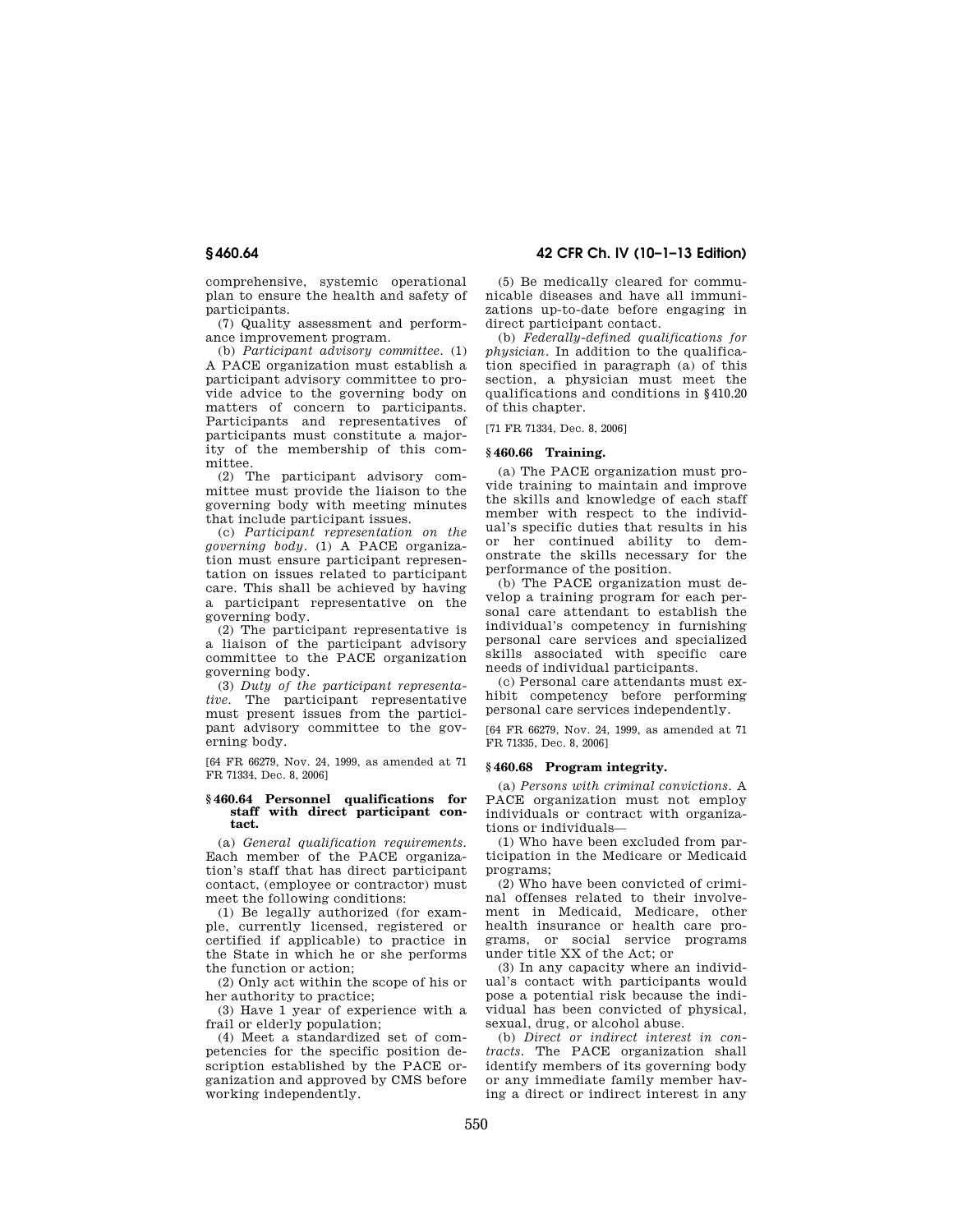comprehensive, systemic operational plan to ensure the health and safety of participants.

(7) Quality assessment and performance improvement program.

(b) *Participant advisory committee.* (1) A PACE organization must establish a participant advisory committee to provide advice to the governing body on matters of concern to participants. Participants and representatives of participants must constitute a majority of the membership of this committee.

(2) The participant advisory committee must provide the liaison to the governing body with meeting minutes that include participant issues.

(c) *Participant representation on the governing body.* (1) A PACE organization must ensure participant representation on issues related to participant care. This shall be achieved by having a participant representative on the governing body.

(2) The participant representative is a liaison of the participant advisory committee to the PACE organization governing body.

(3) *Duty of the participant representative.* The participant representative must present issues from the participant advisory committee to the governing body.

[64 FR 66279, Nov. 24, 1999, as amended at 71 FR 71334, Dec. 8, 2006]

### **§ 460.64 Personnel qualifications for staff with direct participant contact.**

(a) *General qualification requirements.*  Each member of the PACE organization's staff that has direct participant contact, (employee or contractor) must meet the following conditions:

(1) Be legally authorized (for example, currently licensed, registered or certified if applicable) to practice in the State in which he or she performs the function or action;

(2) Only act within the scope of his or her authority to practice;

(3) Have 1 year of experience with a frail or elderly population;

(4) Meet a standardized set of competencies for the specific position description established by the PACE organization and approved by CMS before working independently.

**§ 460.64 42 CFR Ch. IV (10–1–13 Edition)** 

(5) Be medically cleared for communicable diseases and have all immunizations up-to-date before engaging in direct participant contact.

(b) *Federally-defined qualifications for physician.* In addition to the qualification specified in paragraph (a) of this section, a physician must meet the qualifications and conditions in §410.20 of this chapter.

[71 FR 71334, Dec. 8, 2006]

## **§ 460.66 Training.**

(a) The PACE organization must provide training to maintain and improve the skills and knowledge of each staff member with respect to the individual's specific duties that results in his or her continued ability to demonstrate the skills necessary for the performance of the position.

(b) The PACE organization must develop a training program for each personal care attendant to establish the individual's competency in furnishing personal care services and specialized skills associated with specific care needs of individual participants.

(c) Personal care attendants must exhibit competency before performing personal care services independently.

[64 FR 66279, Nov. 24, 1999, as amended at 71 FR 71335, Dec. 8, 2006]

## **§ 460.68 Program integrity.**

(a) *Persons with criminal convictions.* A PACE organization must not employ individuals or contract with organizations or individuals—

(1) Who have been excluded from participation in the Medicare or Medicaid programs;

(2) Who have been convicted of criminal offenses related to their involvement in Medicaid, Medicare, other health insurance or health care programs, or social service programs under title XX of the Act; or

(3) In any capacity where an individual's contact with participants would pose a potential risk because the individual has been convicted of physical, sexual, drug, or alcohol abuse.

(b) *Direct or indirect interest in contracts.* The PACE organization shall identify members of its governing body or any immediate family member having a direct or indirect interest in any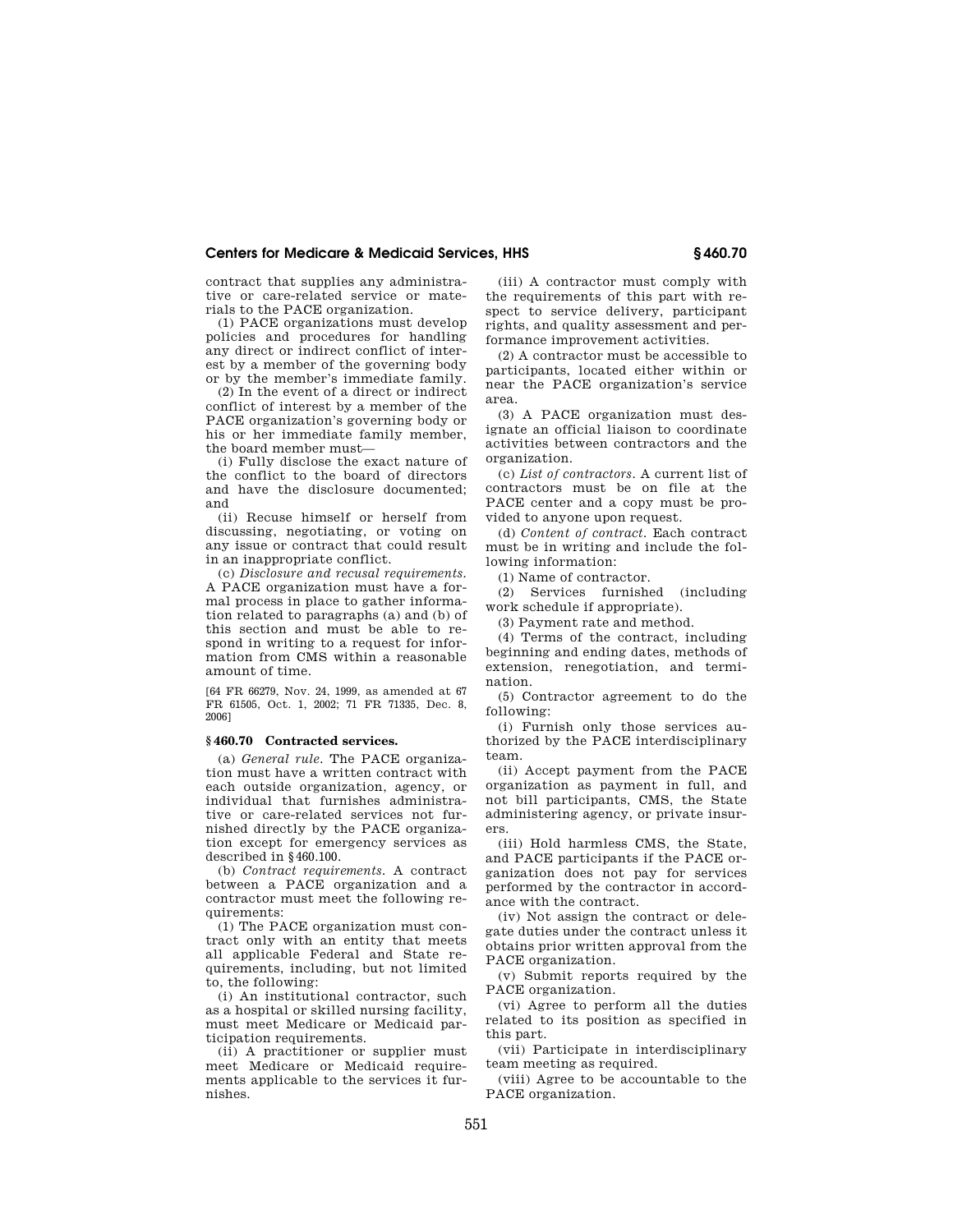contract that supplies any administrative or care-related service or materials to the PACE organization.

(1) PACE organizations must develop policies and procedures for handling any direct or indirect conflict of interest by a member of the governing body or by the member's immediate family.

(2) In the event of a direct or indirect conflict of interest by a member of the PACE organization's governing body or his or her immediate family member, the board member must—

(i) Fully disclose the exact nature of the conflict to the board of directors and have the disclosure documented; and

(ii) Recuse himself or herself from discussing, negotiating, or voting on any issue or contract that could result in an inappropriate conflict.

(c) *Disclosure and recusal requirements.*  A PACE organization must have a formal process in place to gather information related to paragraphs (a) and (b) of this section and must be able to respond in writing to a request for information from CMS within a reasonable amount of time.

[64 FR 66279, Nov. 24, 1999, as amended at 67 FR 61505, Oct. 1, 2002; 71 FR 71335, Dec. 8, 2006]

## **§ 460.70 Contracted services.**

(a) *General rule.* The PACE organization must have a written contract with each outside organization, agency, or individual that furnishes administrative or care-related services not furnished directly by the PACE organization except for emergency services as described in §460.100.

(b) *Contract requirements.* A contract between a PACE organization and a contractor must meet the following requirements:

(1) The PACE organization must contract only with an entity that meets all applicable Federal and State requirements, including, but not limited to, the following:

(i) An institutional contractor, such as a hospital or skilled nursing facility, must meet Medicare or Medicaid participation requirements.

(ii) A practitioner or supplier must meet Medicare or Medicaid requirements applicable to the services it furnishes.

(iii) A contractor must comply with the requirements of this part with respect to service delivery, participant rights, and quality assessment and performance improvement activities.

(2) A contractor must be accessible to participants, located either within or near the PACE organization's service area.

(3) A PACE organization must designate an official liaison to coordinate activities between contractors and the organization.

(c) *List of contractors.* A current list of contractors must be on file at the PACE center and a copy must be provided to anyone upon request.

(d) *Content of contract.* Each contract must be in writing and include the following information:

(1) Name of contractor.

(2) Services furnished (including work schedule if appropriate).

(3) Payment rate and method.

(4) Terms of the contract, including beginning and ending dates, methods of extension, renegotiation, and termination.

(5) Contractor agreement to do the following:

(i) Furnish only those services authorized by the PACE interdisciplinary team.

(ii) Accept payment from the PACE organization as payment in full, and not bill participants, CMS, the State administering agency, or private insurers.

(iii) Hold harmless CMS, the State, and PACE participants if the PACE organization does not pay for services performed by the contractor in accordance with the contract.

(iv) Not assign the contract or delegate duties under the contract unless it obtains prior written approval from the PACE organization.

(v) Submit reports required by the PACE organization.

(vi) Agree to perform all the duties related to its position as specified in this part.

(vii) Participate in interdisciplinary team meeting as required.

(viii) Agree to be accountable to the PACE organization.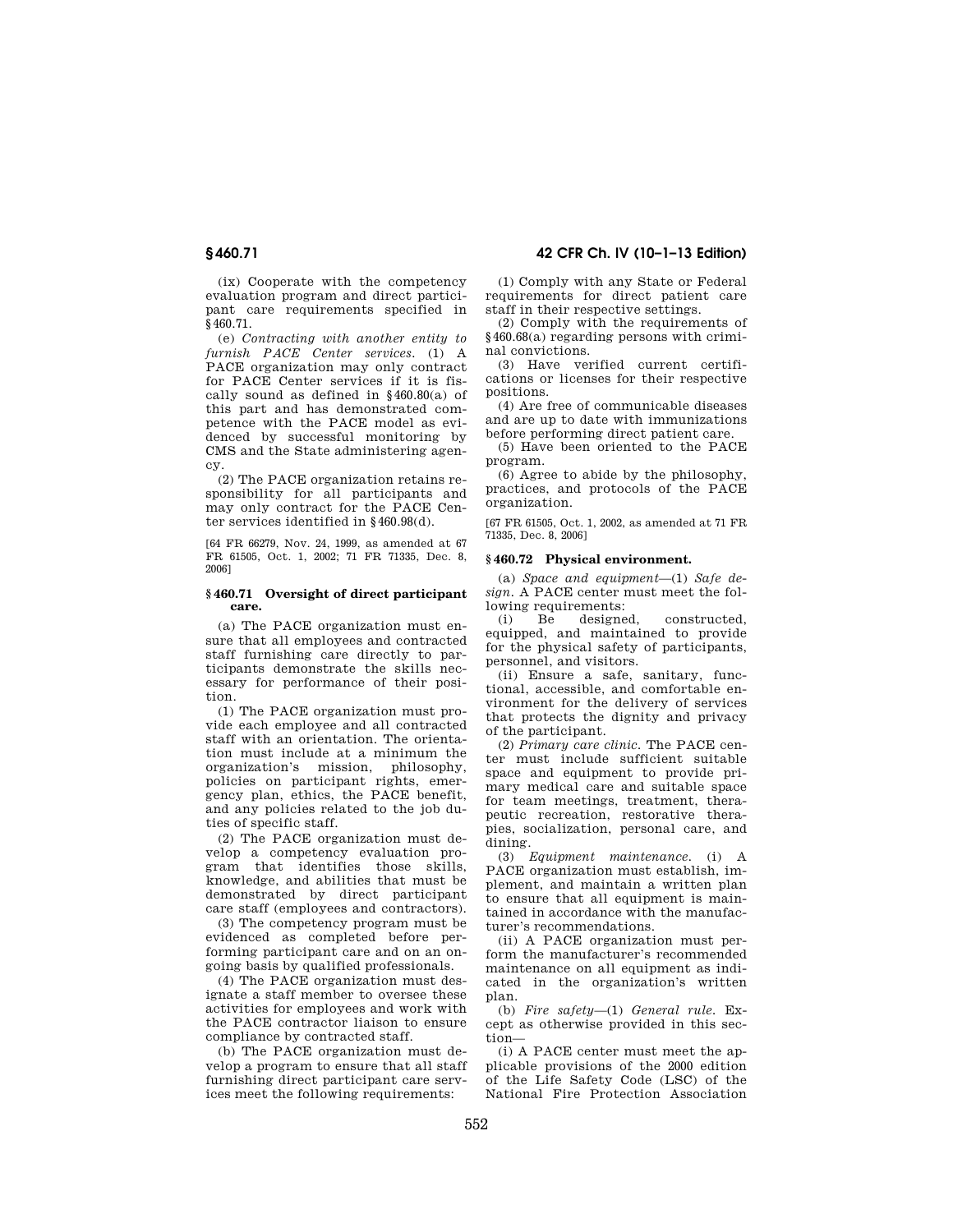(ix) Cooperate with the competency evaluation program and direct participant care requirements specified in  $§$ 460.71.

(e) *Contracting with another entity to furnish PACE Center services.* (1) A PACE organization may only contract for PACE Center services if it is fiscally sound as defined in §460.80(a) of this part and has demonstrated competence with the PACE model as evi-.<br>denced by successful monitoring by CMS and the State administering agency.

(2) The PACE organization retains responsibility for all participants and may only contract for the PACE Center services identified in §460.98(d).

[64 FR 66279, Nov. 24, 1999, as amended at 67 FR 61505, Oct. 1, 2002; 71 FR 71335, Dec. 8, 2006]

### **§ 460.71 Oversight of direct participant care.**

(a) The PACE organization must ensure that all employees and contracted staff furnishing care directly to participants demonstrate the skills necessary for performance of their position.

(1) The PACE organization must provide each employee and all contracted staff with an orientation. The orientation must include at a minimum the organization's mission, philosophy, policies on participant rights, emergency plan, ethics, the PACE benefit, and any policies related to the job duties of specific staff.

(2) The PACE organization must develop a competency evaluation program that identifies those skills, knowledge, and abilities that must be demonstrated by direct participant care staff (employees and contractors).

(3) The competency program must be evidenced as completed before performing participant care and on an ongoing basis by qualified professionals.

(4) The PACE organization must designate a staff member to oversee these activities for employees and work with the PACE contractor liaison to ensure compliance by contracted staff.

(b) The PACE organization must develop a program to ensure that all staff furnishing direct participant care services meet the following requirements:

# **§ 460.71 42 CFR Ch. IV (10–1–13 Edition)**

(1) Comply with any State or Federal requirements for direct patient care staff in their respective settings.

(2) Comply with the requirements of §460.68(a) regarding persons with criminal convictions.

(3) Have verified current certifications or licenses for their respective positions.

(4) Are free of communicable diseases and are up to date with immunizations before performing direct patient care.

(5) Have been oriented to the PACE program.

(6) Agree to abide by the philosophy, practices, and protocols of the PACE organization.

[67 FR 61505, Oct. 1, 2002, as amended at 71 FR 71335, Dec. 8, 2006]

### **§ 460.72 Physical environment.**

(a) *Space and equipment*—(1) *Safe design.* A PACE center must meet the following requirements:<br>(i) Be designe

(i) Be designed, constructed, equipped, and maintained to provide for the physical safety of participants, personnel, and visitors.

(ii) Ensure a safe, sanitary, functional, accessible, and comfortable environment for the delivery of services that protects the dignity and privacy of the participant.

(2) *Primary care clinic.* The PACE center must include sufficient suitable space and equipment to provide primary medical care and suitable space for team meetings, treatment, therapeutic recreation, restorative therapies, socialization, personal care, and dining.

(3) *Equipment maintenance.* (i) A PACE organization must establish, implement, and maintain a written plan to ensure that all equipment is maintained in accordance with the manufacturer's recommendations.

(ii) A PACE organization must perform the manufacturer's recommended maintenance on all equipment as indicated in the organization's written plan.

(b) *Fire safety*—(1) *General rule.* Except as otherwise provided in this section—

(i) A PACE center must meet the applicable provisions of the 2000 edition of the Life Safety Code (LSC) of the National Fire Protection Association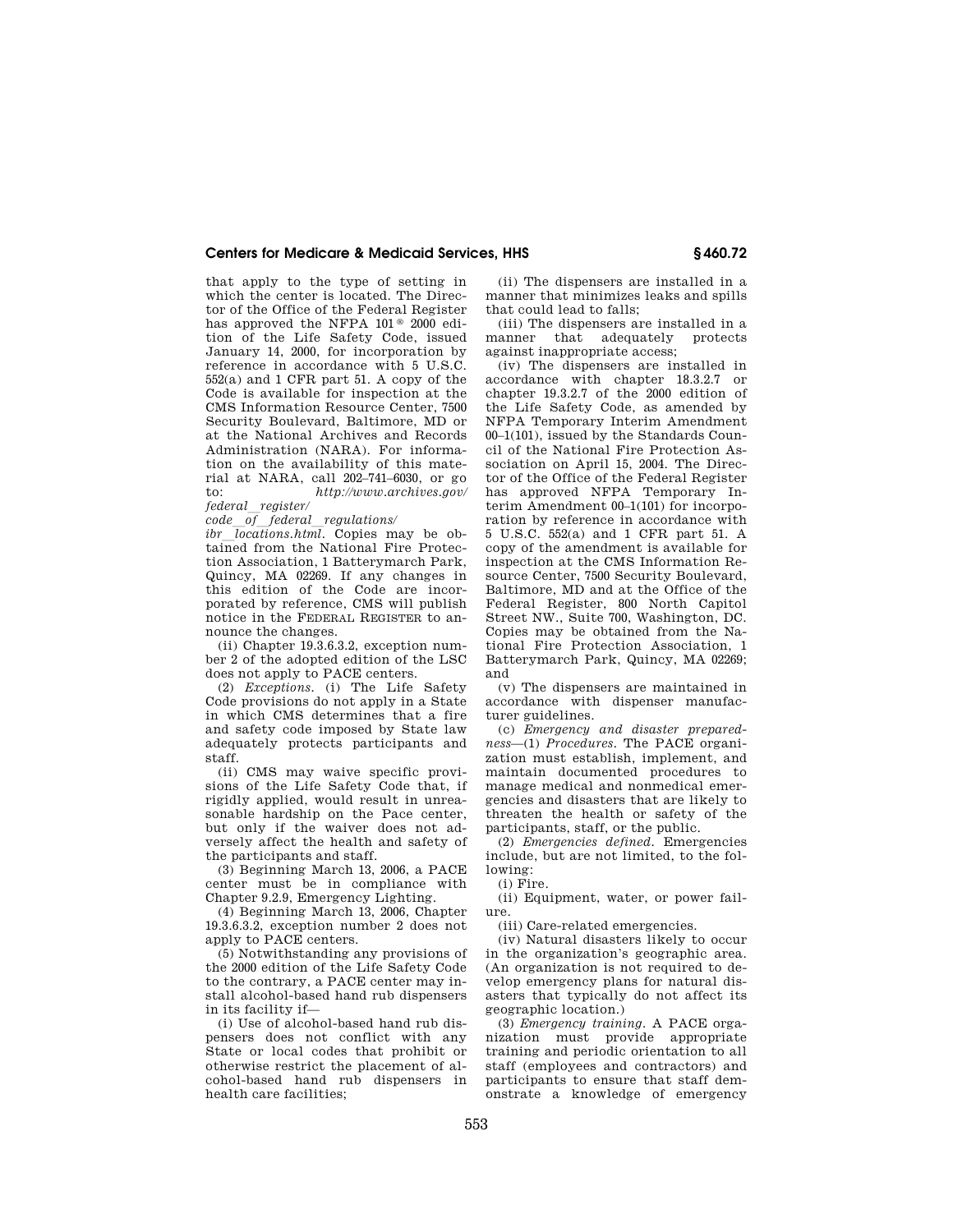that apply to the type of setting in which the center is located. The Director of the Office of the Federal Register has approved the NFPA 101<sup>®</sup> 2000 edition of the Life Safety Code, issued January 14, 2000, for incorporation by reference in accordance with 5 U.S.C. 552(a) and 1 CFR part 51. A copy of the Code is available for inspection at the CMS Information Resource Center, 7500 Security Boulevard, Baltimore, MD or at the National Archives and Records Administration (NARA). For information on the availability of this material at NARA, call 202–741–6030, or go to: *http://www.archives.gov/* 

*federal*l*register/* 

*code*<sub>*\_\_of\_\_federal\_\_regulations/*<br> *ibr locations.html.* Copies may be ob-</sub> *ibr*l*locations.html.* Copies may be ob-tained from the National Fire Protection Association, 1 Batterymarch Park, Quincy, MA 02269. If any changes in this edition of the Code are incorporated by reference, CMS will publish notice in the FEDERAL REGISTER to announce the changes.

(ii) Chapter 19.3.6.3.2, exception number 2 of the adopted edition of the LSC does not apply to PACE centers.

(2) *Exceptions.* (i) The Life Safety Code provisions do not apply in a State in which CMS determines that a fire and safety code imposed by State law adequately protects participants and staff.

(ii) CMS may waive specific provisions of the Life Safety Code that, if rigidly applied, would result in unreasonable hardship on the Pace center, but only if the waiver does not adversely affect the health and safety of the participants and staff.

(3) Beginning March 13, 2006, a PACE center must be in compliance with Chapter 9.2.9, Emergency Lighting.

(4) Beginning March 13, 2006, Chapter 19.3.6.3.2, exception number 2 does not apply to PACE centers.

(5) Notwithstanding any provisions of the 2000 edition of the Life Safety Code to the contrary, a PACE center may install alcohol-based hand rub dispensers in its facility if—

(i) Use of alcohol-based hand rub dispensers does not conflict with any State or local codes that prohibit or otherwise restrict the placement of alcohol-based hand rub dispensers in health care facilities;

(ii) The dispensers are installed in a manner that minimizes leaks and spills that could lead to falls;

(iii) The dispensers are installed in a<br>manner that adequately protects that adequately against inappropriate access;

(iv) The dispensers are installed in accordance with chapter 18.3.2.7 or chapter 19.3.2.7 of the 2000 edition of the Life Safety Code, as amended by NFPA Temporary Interim Amendment 00–1(101), issued by the Standards Council of the National Fire Protection Association on April 15, 2004. The Director of the Office of the Federal Register has approved NFPA Temporary Interim Amendment 00–1(101) for incorporation by reference in accordance with 5 U.S.C. 552(a) and 1 CFR part 51. A copy of the amendment is available for inspection at the CMS Information Resource Center, 7500 Security Boulevard, Baltimore, MD and at the Office of the Federal Register, 800 North Capitol Street NW., Suite 700, Washington, DC. Copies may be obtained from the National Fire Protection Association, 1 Batterymarch Park, Quincy, MA 02269; and

(v) The dispensers are maintained in accordance with dispenser manufacturer guidelines.

(c) *Emergency and disaster preparedness*—(1) *Procedures.* The PACE organization must establish, implement, and maintain documented procedures to manage medical and nonmedical emergencies and disasters that are likely to threaten the health or safety of the participants, staff, or the public.

(2) *Emergencies defined.* Emergencies include, but are not limited, to the following:

(i) Fire.

(ii) Equipment, water, or power failure.

(iii) Care-related emergencies.

(iv) Natural disasters likely to occur in the organization's geographic area. (An organization is not required to develop emergency plans for natural disasters that typically do not affect its geographic location.)

(3) *Emergency training.* A PACE organization must provide appropriate training and periodic orientation to all staff (employees and contractors) and participants to ensure that staff demonstrate a knowledge of emergency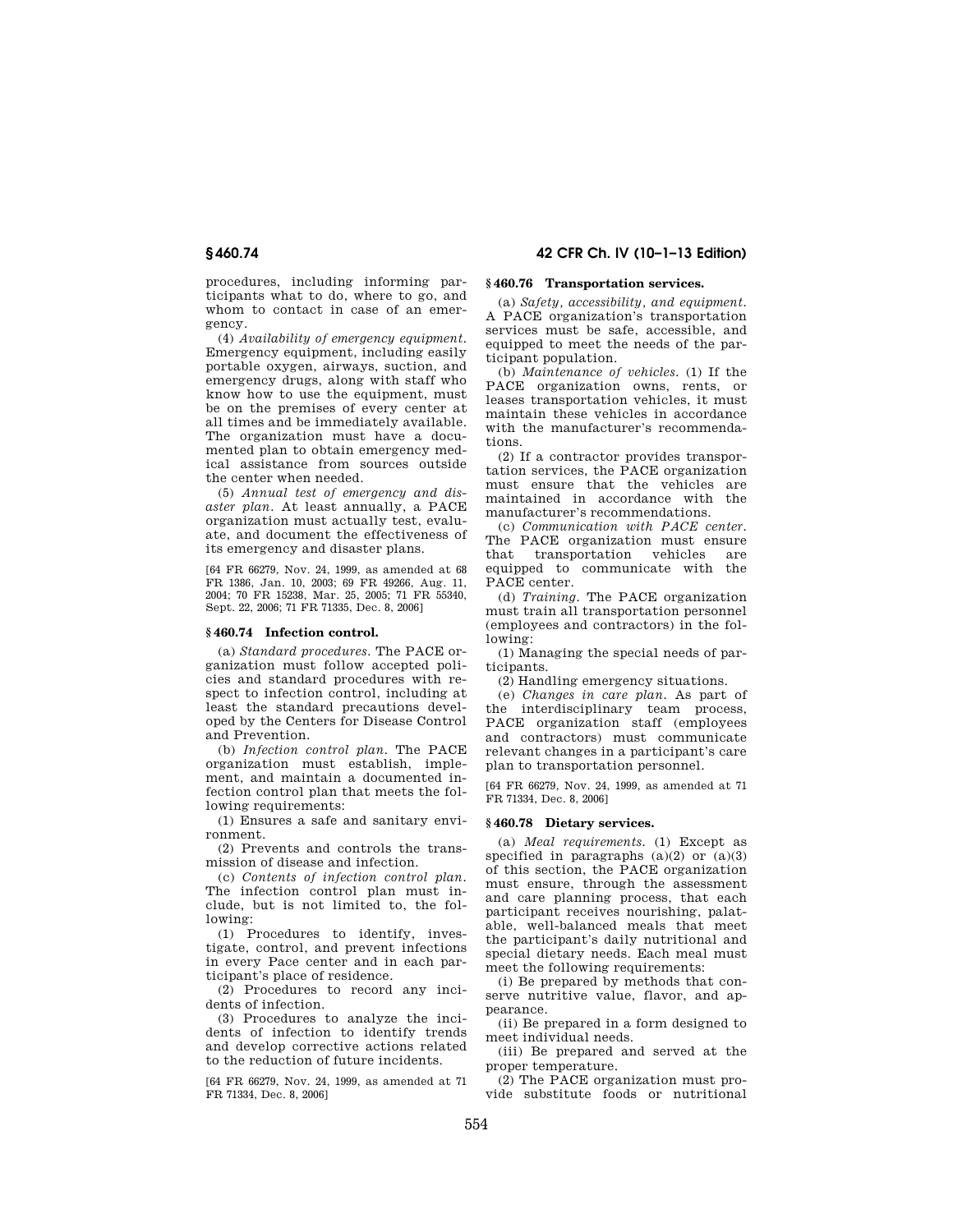procedures, including informing participants what to do, where to go, and whom to contact in case of an emergency.

(4) *Availability of emergency equipment.*  Emergency equipment, including easily portable oxygen, airways, suction, and emergency drugs, along with staff who know how to use the equipment, must be on the premises of every center at all times and be immediately available. The organization must have a documented plan to obtain emergency medical assistance from sources outside the center when needed.

(5) *Annual test of emergency and disaster plan.* At least annually, a PACE organization must actually test, evaluate, and document the effectiveness of its emergency and disaster plans.

[64 FR 66279, Nov. 24, 1999, as amended at 68 FR 1386, Jan. 10, 2003; 69 FR 49266, Aug. 11, 2004; 70 FR 15238, Mar. 25, 2005; 71 FR 55340, Sept. 22, 2006; 71 FR 71335, Dec. 8, 2006]

### **§ 460.74 Infection control.**

(a) *Standard procedures.* The PACE organization must follow accepted policies and standard procedures with respect to infection control, including at least the standard precautions developed by the Centers for Disease Control and Prevention.

(b) *Infection control plan.* The PACE organization must establish, implement, and maintain a documented infection control plan that meets the following requirements:

(1) Ensures a safe and sanitary environment.

(2) Prevents and controls the transmission of disease and infection.

(c) *Contents of infection control plan.*  The infection control plan must include, but is not limited to, the following:

(1) Procedures to identify, investigate, control, and prevent infections in every Pace center and in each participant's place of residence.

(2) Procedures to record any incidents of infection.

(3) Procedures to analyze the incidents of infection to identify trends and develop corrective actions related to the reduction of future incidents.

[64 FR 66279, Nov. 24, 1999, as amended at 71 FR 71334, Dec. 8, 2006]

# **§ 460.74 42 CFR Ch. IV (10–1–13 Edition)**

## **§ 460.76 Transportation services.**

(a) *Safety, accessibility, and equipment.*  A PACE organization's transportation services must be safe, accessible, and equipped to meet the needs of the participant population.

(b) *Maintenance of vehicles.* (1) If the PACE organization owns, rents, or leases transportation vehicles, it must maintain these vehicles in accordance with the manufacturer's recommendations.

(2) If a contractor provides transportation services, the PACE organization must ensure that the vehicles are maintained in accordance with the manufacturer's recommendations.

(c) *Communication with PACE center.*  The PACE organization must ensure that transportation vehicles are equipped to communicate with the PACE center.

(d) *Training.* The PACE organization must train all transportation personnel (employees and contractors) in the following:

(1) Managing the special needs of participants.

(2) Handling emergency situations.

(e) *Changes in care plan.* As part of the interdisciplinary team process, PACE organization staff (employees and contractors) must communicate relevant changes in a participant's care plan to transportation personnel.

[64 FR 66279, Nov. 24, 1999, as amended at 71 FR 71334, Dec. 8, 2006]

### **§ 460.78 Dietary services.**

(a) *Meal requirements.* (1) Except as specified in paragraphs  $(a)(2)$  or  $(a)(3)$ of this section, the PACE organization must ensure, through the assessment and care planning process, that each participant receives nourishing, palatable, well-balanced meals that meet the participant's daily nutritional and special dietary needs. Each meal must meet the following requirements:

(i) Be prepared by methods that conserve nutritive value, flavor, and appearance.

(ii) Be prepared in a form designed to meet individual needs.

(iii) Be prepared and served at the proper temperature.

(2) The PACE organization must provide substitute foods or nutritional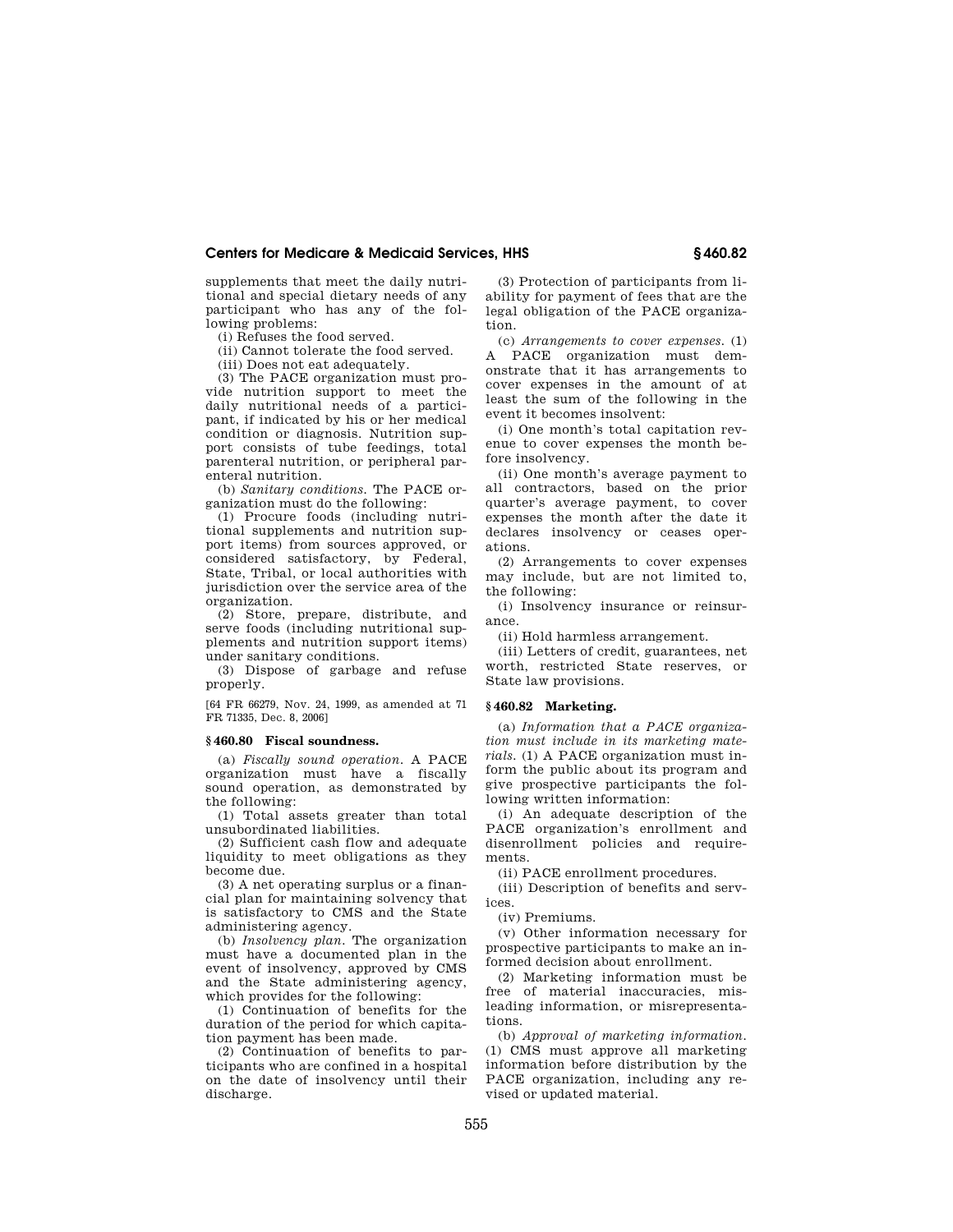supplements that meet the daily nutritional and special dietary needs of any participant who has any of the following problems:

(i) Refuses the food served.

(ii) Cannot tolerate the food served.

(iii) Does not eat adequately.

(3) The PACE organization must provide nutrition support to meet the daily nutritional needs of a participant, if indicated by his or her medical condition or diagnosis. Nutrition support consists of tube feedings, total parenteral nutrition, or peripheral parenteral nutrition.

(b) *Sanitary conditions.* The PACE organization must do the following:

(1) Procure foods (including nutritional supplements and nutrition support items) from sources approved, or considered satisfactory, by Federal, State, Tribal, or local authorities with jurisdiction over the service area of the organization.

(2) Store, prepare, distribute, and serve foods (including nutritional supplements and nutrition support items) under sanitary conditions.

(3) Dispose of garbage and refuse properly.

[64 FR 66279, Nov. 24, 1999, as amended at 71 FR 71335, Dec. 8, 2006]

## **§ 460.80 Fiscal soundness.**

(a) *Fiscally sound operation.* A PACE organization must have a fiscally sound operation, as demonstrated by the following:

(1) Total assets greater than total unsubordinated liabilities.

(2) Sufficient cash flow and adequate liquidity to meet obligations as they become due.

(3) A net operating surplus or a financial plan for maintaining solvency that is satisfactory to CMS and the State administering agency.

(b) *Insolvency plan.* The organization must have a documented plan in the event of insolvency, approved by CMS and the State administering agency, which provides for the following:

(1) Continuation of benefits for the duration of the period for which capitation payment has been made.

(2) Continuation of benefits to participants who are confined in a hospital on the date of insolvency until their discharge.

(3) Protection of participants from liability for payment of fees that are the legal obligation of the PACE organization.

(c) *Arrangements to cover expenses.* (1) A PACE organization must demonstrate that it has arrangements to cover expenses in the amount of at least the sum of the following in the event it becomes insolvent:

(i) One month's total capitation revenue to cover expenses the month before insolvency.

(ii) One month's average payment to all contractors, based on the prior quarter's average payment, to cover expenses the month after the date it declares insolvency or ceases operations.

(2) Arrangements to cover expenses may include, but are not limited to, the following:

(i) Insolvency insurance or reinsurance.

(ii) Hold harmless arrangement.

(iii) Letters of credit, guarantees, net worth, restricted State reserves, or State law provisions.

## **§ 460.82 Marketing.**

(a) *Information that a PACE organization must include in its marketing materials.* (1) A PACE organization must inform the public about its program and give prospective participants the following written information:

(i) An adequate description of the PACE organization's enrollment and disenrollment policies and requirements.

(ii) PACE enrollment procedures.

(iii) Description of benefits and services.

(iv) Premiums.

(v) Other information necessary for prospective participants to make an informed decision about enrollment.

(2) Marketing information must be free of material inaccuracies, misleading information, or misrepresentations.

(b) *Approval of marketing information.*  (1) CMS must approve all marketing information before distribution by the PACE organization, including any revised or updated material.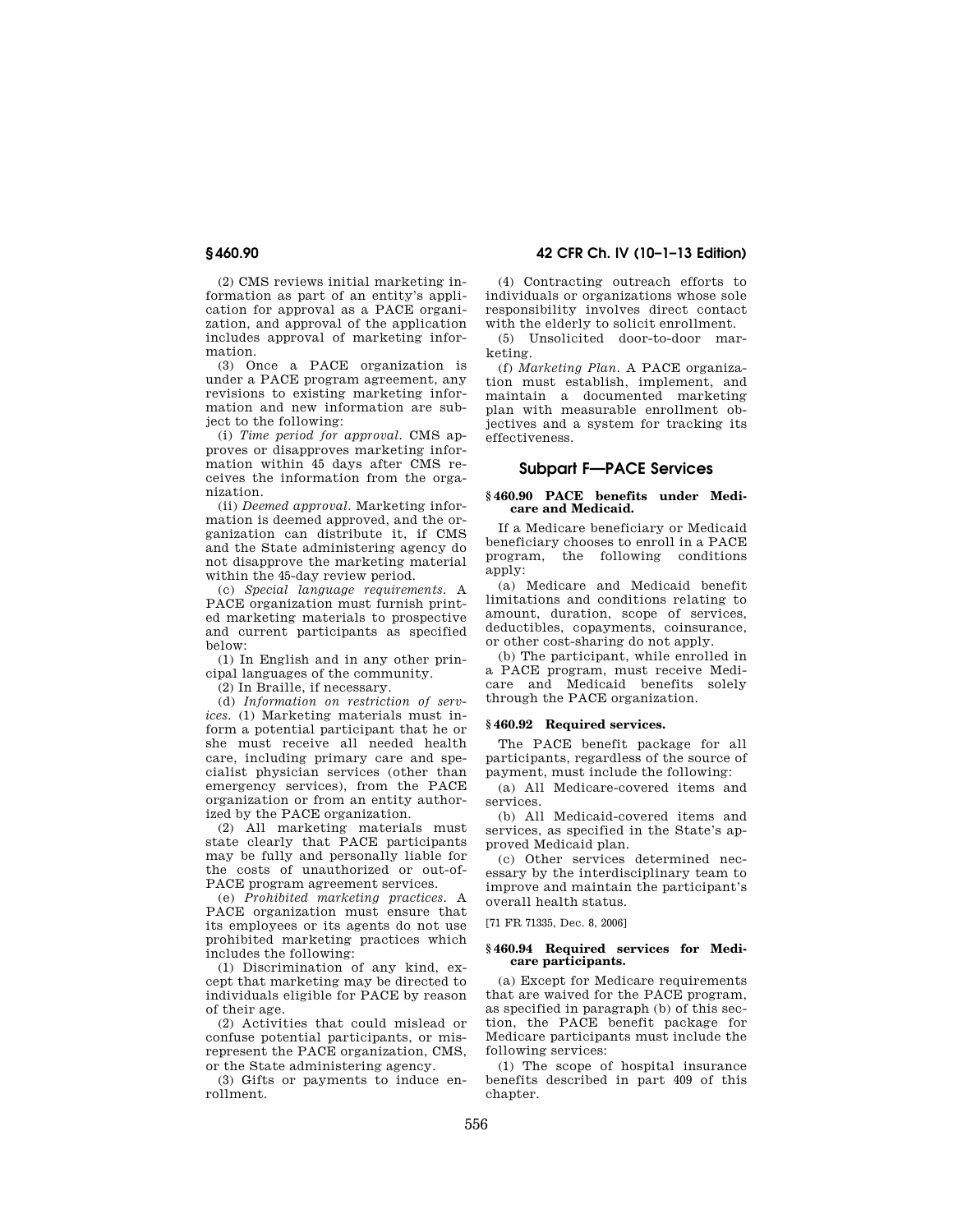(2) CMS reviews initial marketing information as part of an entity's application for approval as a PACE organization, and approval of the application includes approval of marketing information.

(3) Once a PACE organization is under a PACE program agreement, any revisions to existing marketing information and new information are subject to the following:

(i) *Time period for approval.* CMS approves or disapproves marketing information within 45 days after CMS receives the information from the organization.

(ii) *Deemed approval.* Marketing information is deemed approved, and the organization can distribute it, if CMS and the State administering agency do not disapprove the marketing material within the 45-day review period.

(c) *Special language requirements.* A PACE organization must furnish printed marketing materials to prospective and current participants as specified below:

(1) In English and in any other principal languages of the community.

(2) In Braille, if necessary.

(d) *Information on restriction of services.* (1) Marketing materials must inform a potential participant that he or she must receive all needed health care, including primary care and specialist physician services (other than emergency services), from the PACE organization or from an entity authorized by the PACE organization.

(2) All marketing materials must state clearly that PACE participants may be fully and personally liable for the costs of unauthorized or out-of-PACE program agreement services.

(e) *Prohibited marketing practices.* A PACE organization must ensure that its employees or its agents do not use prohibited marketing practices which includes the following:

(1) Discrimination of any kind, except that marketing may be directed to individuals eligible for PACE by reason of their age.

(2) Activities that could mislead or confuse potential participants, or misrepresent the PACE organization, CMS, or the State administering agency.

(3) Gifts or payments to induce enrollment.

# **§ 460.90 42 CFR Ch. IV (10–1–13 Edition)**

(4) Contracting outreach efforts to individuals or organizations whose sole responsibility involves direct contact with the elderly to solicit enrollment.

(5) Unsolicited door-to-door marketing.

(f) *Marketing Plan.* A PACE organization must establish, implement, and maintain a documented marketing plan with measurable enrollment objectives and a system for tracking its effectiveness.

# **Subpart F—PACE Services**

### **§ 460.90 PACE benefits under Medicare and Medicaid.**

If a Medicare beneficiary or Medicaid beneficiary chooses to enroll in a PACE program, the following conditions apply:

(a) Medicare and Medicaid benefit limitations and conditions relating to amount, duration, scope of services, deductibles, copayments, coinsurance, or other cost-sharing do not apply.

(b) The participant, while enrolled in a PACE program, must receive Medicare and Medicaid benefits solely through the PACE organization.

### **§ 460.92 Required services.**

The PACE benefit package for all participants, regardless of the source of payment, must include the following:

(a) All Medicare-covered items and services.

(b) All Medicaid-covered items and services, as specified in the State's approved Medicaid plan.

(c) Other services determined necessary by the interdisciplinary team to improve and maintain the participant's overall health status.

[71 FR 71335, Dec. 8, 2006]

### **§ 460.94 Required services for Medicare participants.**

(a) Except for Medicare requirements that are waived for the PACE program, as specified in paragraph (b) of this section, the PACE benefit package for Medicare participants must include the following services:

(1) The scope of hospital insurance benefits described in part 409 of this chapter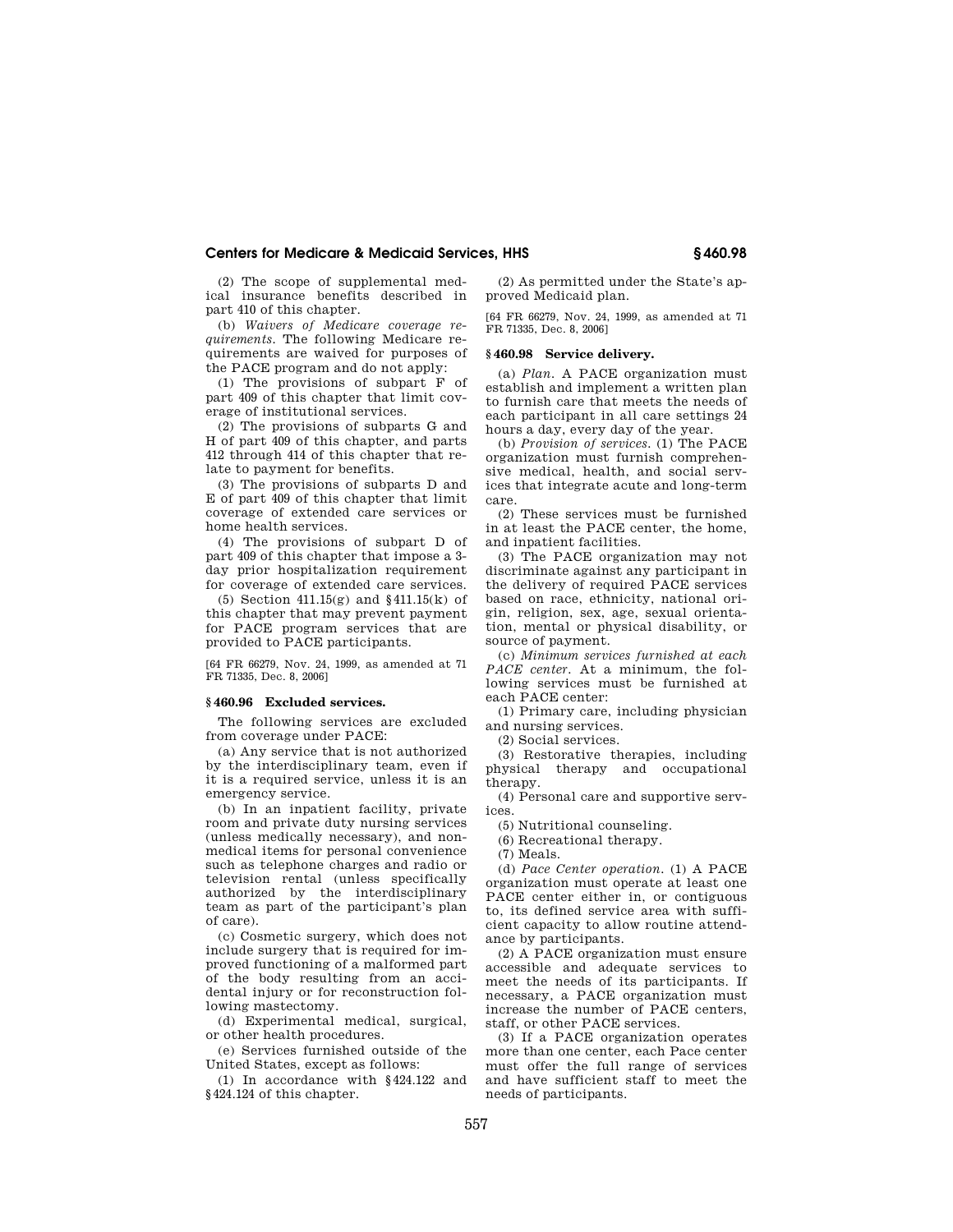(2) The scope of supplemental medical insurance benefits described in part 410 of this chapter.

(b) *Waivers of Medicare coverage requirements.* The following Medicare requirements are waived for purposes of the PACE program and do not apply:

(1) The provisions of subpart F of part 409 of this chapter that limit coverage of institutional services.

(2) The provisions of subparts G and H of part 409 of this chapter, and parts 412 through 414 of this chapter that relate to payment for benefits.

(3) The provisions of subparts D and E of part 409 of this chapter that limit coverage of extended care services or home health services.

(4) The provisions of subpart D of part 409 of this chapter that impose a 3 day prior hospitalization requirement for coverage of extended care services.

(5) Section 411.15(g) and §411.15(k) of this chapter that may prevent payment for PACE program services that are provided to PACE participants.

[64 FR 66279, Nov. 24, 1999, as amended at 71 FR 71335, Dec. 8, 2006]

## **§ 460.96 Excluded services.**

The following services are excluded from coverage under PACE:

(a) Any service that is not authorized by the interdisciplinary team, even if it is a required service, unless it is an emergency service.

(b) In an inpatient facility, private room and private duty nursing services (unless medically necessary), and nonmedical items for personal convenience such as telephone charges and radio or television rental (unless specifically authorized by the interdisciplinary team as part of the participant's plan of care).

(c) Cosmetic surgery, which does not include surgery that is required for improved functioning of a malformed part of the body resulting from an accidental injury or for reconstruction following mastectomy.

(d) Experimental medical, surgical, or other health procedures.

(e) Services furnished outside of the United States, except as follows:

(1) In accordance with §424.122 and §424.124 of this chapter.

(2) As permitted under the State's approved Medicaid plan.

[64 FR 66279, Nov. 24, 1999, as amended at 71 FR 71335, Dec. 8, 2006]

## **§ 460.98 Service delivery.**

(a) *Plan.* A PACE organization must establish and implement a written plan to furnish care that meets the needs of each participant in all care settings 24 hours a day, every day of the year.

(b) *Provision of services.* (1) The PACE organization must furnish comprehensive medical, health, and social services that integrate acute and long-term care.

(2) These services must be furnished in at least the PACE center, the home, and inpatient facilities.

(3) The PACE organization may not discriminate against any participant in the delivery of required PACE services based on race, ethnicity, national origin, religion, sex, age, sexual orientation, mental or physical disability, or source of payment.

(c) *Minimum services furnished at each PACE center.* At a minimum, the following services must be furnished at each PACE center:

(1) Primary care, including physician and nursing services.

(2) Social services.

(3) Restorative therapies, including physical therapy and occupational therapy.

(4) Personal care and supportive services.

(5) Nutritional counseling.

(6) Recreational therapy.

(7) Meals.

(d) *Pace Center operation.* (1) A PACE organization must operate at least one PACE center either in, or contiguous to, its defined service area with sufficient capacity to allow routine attendance by participants.

(2) A PACE organization must ensure accessible and adequate services to meet the needs of its participants. If necessary, a PACE organization must increase the number of PACE centers, staff, or other PACE services.

(3) If a PACE organization operates more than one center, each Pace center must offer the full range of services and have sufficient staff to meet the needs of participants.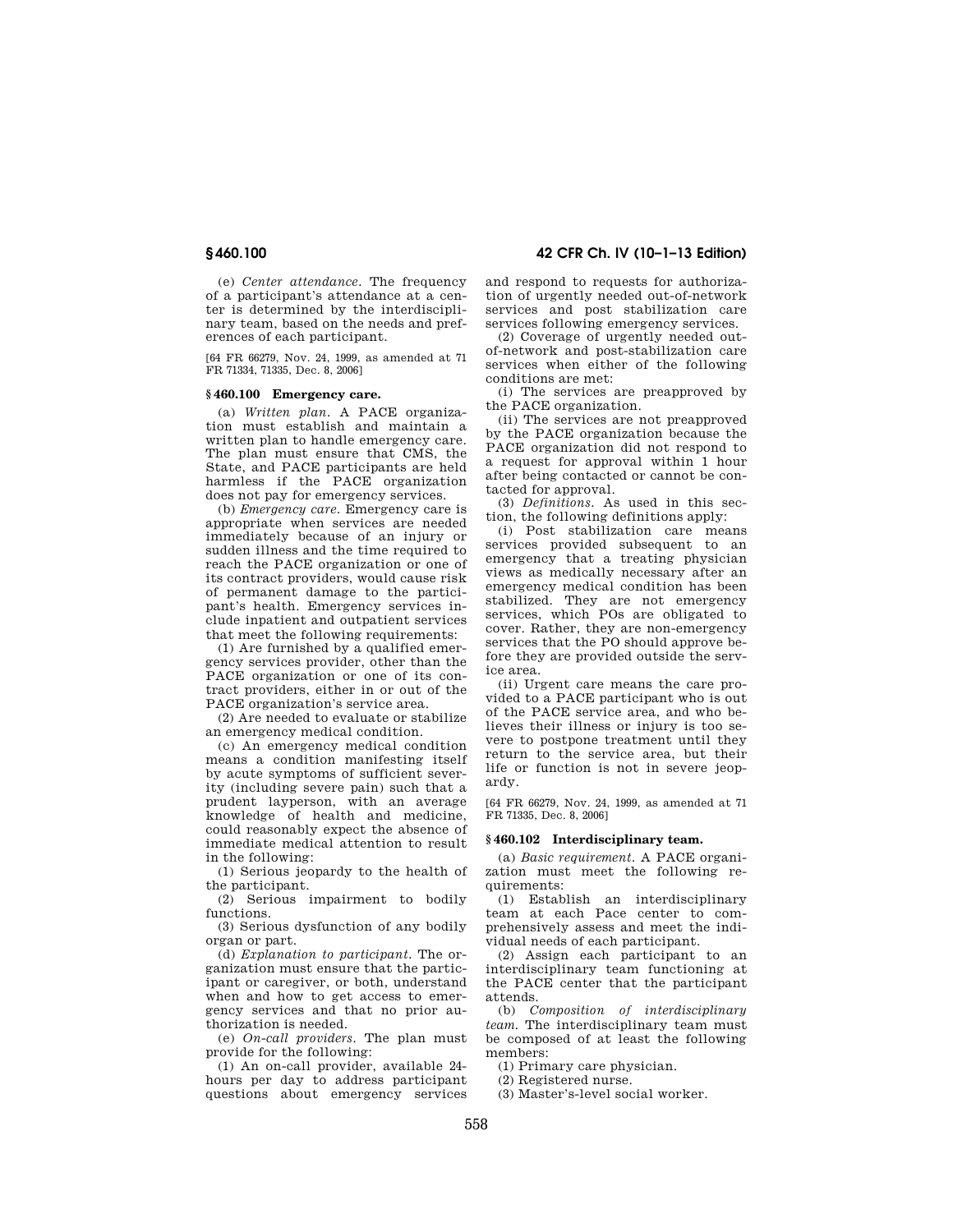**§ 460.100 42 CFR Ch. IV (10–1–13 Edition)** 

(e) *Center attendance.* The frequency of a participant's attendance at a center is determined by the interdisciplinary team, based on the needs and preferences of each participant.

[64 FR 66279, Nov. 24, 1999, as amended at 71 FR 71334, 71335, Dec. 8, 2006]

## **§ 460.100 Emergency care.**

(a) *Written plan.* A PACE organization must establish and maintain a written plan to handle emergency care. The plan must ensure that CMS, the State, and PACE participants are held harmless if the PACE organization does not pay for emergency services.

(b) *Emergency care.* Emergency care is appropriate when services are needed immediately because of an injury or sudden illness and the time required to reach the PACE organization or one of its contract providers, would cause risk of permanent damage to the participant's health. Emergency services include inpatient and outpatient services that meet the following requirements:

(1) Are furnished by a qualified emergency services provider, other than the PACE organization or one of its contract providers, either in or out of the PACE organization's service area.

(2) Are needed to evaluate or stabilize an emergency medical condition.

(c) An emergency medical condition means a condition manifesting itself by acute symptoms of sufficient severity (including severe pain) such that a prudent layperson, with an average knowledge of health and medicine, could reasonably expect the absence of immediate medical attention to result in the following:

(1) Serious jeopardy to the health of the participant.

(2) Serious impairment to bodily functions.

(3) Serious dysfunction of any bodily organ or part.

(d) *Explanation to participant.* The organization must ensure that the participant or caregiver, or both, understand when and how to get access to emergency services and that no prior authorization is needed.

(e) *On-call providers.* The plan must provide for the following:

(1) An on-call provider, available 24 hours per day to address participant questions about emergency services and respond to requests for authorization of urgently needed out-of-network services and post stabilization care services following emergency services.

(2) Coverage of urgently needed outof-network and post-stabilization care services when either of the following conditions are met:

(i) The services are preapproved by the PACE organization.

(ii) The services are not preapproved by the PACE organization because the PACE organization did not respond to a request for approval within 1 hour after being contacted or cannot be contacted for approval.

(3) *Definitions.* As used in this section, the following definitions apply:

(i) Post stabilization care means services provided subsequent to an emergency that a treating physician views as medically necessary after an emergency medical condition has been stabilized. They are not emergency services, which POs are obligated to cover. Rather, they are non-emergency services that the PO should approve before they are provided outside the service area.

(ii) Urgent care means the care provided to a PACE participant who is out of the PACE service area, and who believes their illness or injury is too severe to postpone treatment until they return to the service area, but their life or function is not in severe jeopardy.

[64 FR 66279, Nov. 24, 1999, as amended at 71 FR 71335, Dec. 8, 2006]

### **§ 460.102 Interdisciplinary team.**

(a) *Basic requirement.* A PACE organization must meet the following requirements:

(1) Establish an interdisciplinary team at each Pace center to comprehensively assess and meet the individual needs of each participant.

(2) Assign each participant to an interdisciplinary team functioning at the PACE center that the participant attends.

(b) *Composition of interdisciplinary team.* The interdisciplinary team must be composed of at least the following members:

(1) Primary care physician.

(2) Registered nurse.

(3) Master's-level social worker.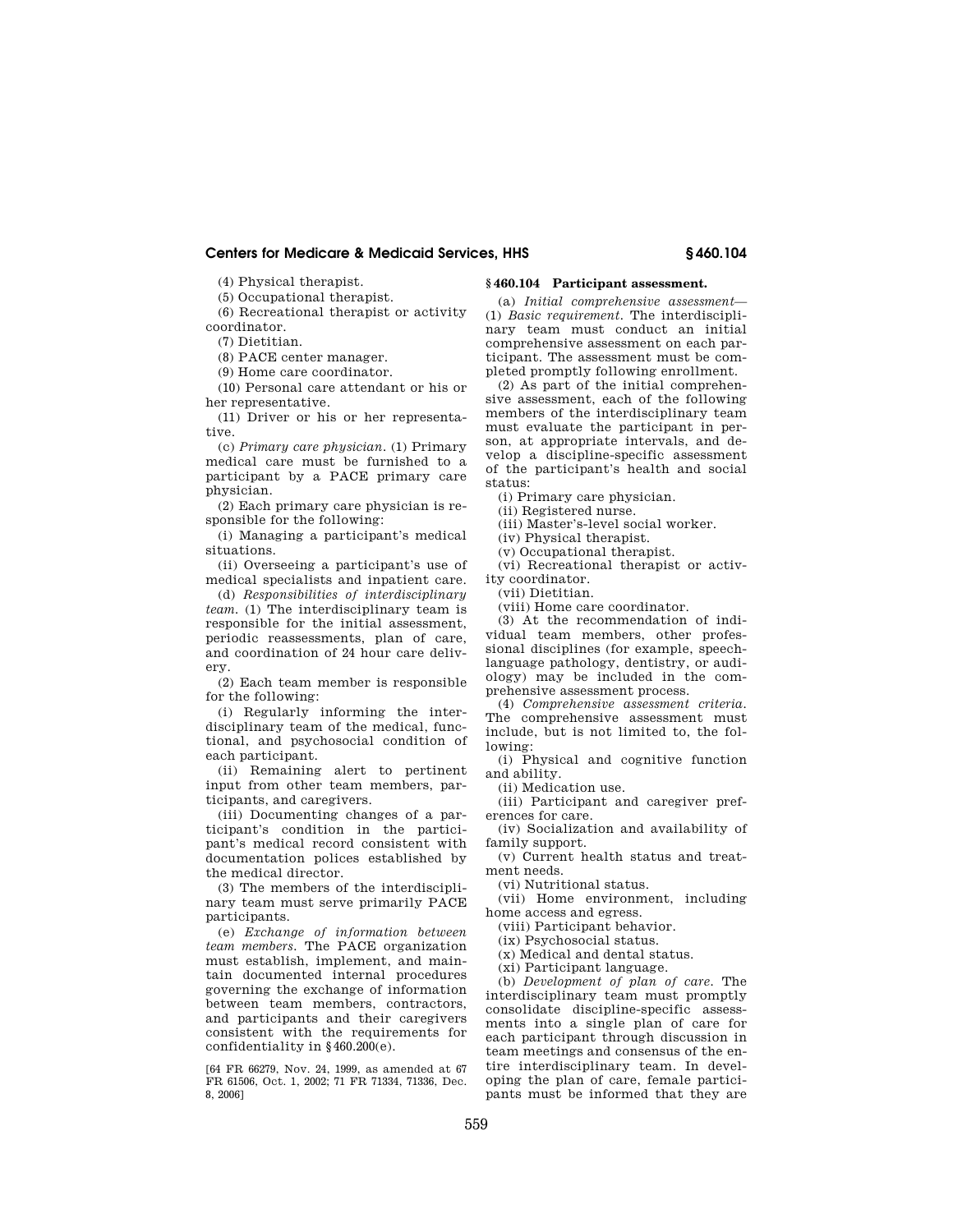(4) Physical therapist.

(5) Occupational therapist.

(6) Recreational therapist or activity coordinator.

(7) Dietitian.

(8) PACE center manager.

(9) Home care coordinator.

(10) Personal care attendant or his or her representative.

(11) Driver or his or her representative.

(c) *Primary care physician.* (1) Primary medical care must be furnished to a participant by a PACE primary care physician.

(2) Each primary care physician is responsible for the following:

(i) Managing a participant's medical situations.

(ii) Overseeing a participant's use of medical specialists and inpatient care.

(d) *Responsibilities of interdisciplinary team.* (1) The interdisciplinary team is responsible for the initial assessment, periodic reassessments, plan of care, and coordination of 24 hour care delivery.

(2) Each team member is responsible for the following:

(i) Regularly informing the interdisciplinary team of the medical, functional, and psychosocial condition of each participant.

(ii) Remaining alert to pertinent input from other team members, participants, and caregivers.

(iii) Documenting changes of a participant's condition in the participant's medical record consistent with documentation polices established by the medical director.

(3) The members of the interdisciplinary team must serve primarily PACE participants.

(e) *Exchange of information between team members.* The PACE organization must establish, implement, and maintain documented internal procedures governing the exchange of information between team members, contractors, and participants and their caregivers consistent with the requirements for confidentiality in §460.200(e).

[64 FR 66279, Nov. 24, 1999, as amended at 67 FR 61506, Oct. 1, 2002; 71 FR 71334, 71336, Dec. 8, 2006]

# **§ 460.104 Participant assessment.**

(a) *Initial comprehensive assessment*— (1) *Basic requirement.* The interdisciplinary team must conduct an initial comprehensive assessment on each participant. The assessment must be completed promptly following enrollment.

(2) As part of the initial comprehensive assessment, each of the following members of the interdisciplinary team must evaluate the participant in person, at appropriate intervals, and develop a discipline-specific assessment of the participant's health and social status:

(i) Primary care physician.

(ii) Registered nurse.

(iii) Master's-level social worker.

(iv) Physical therapist. (v) Occupational therapist.

(vi) Recreational therapist or activity coordinator.

(vii) Dietitian.

(viii) Home care coordinator.

(3) At the recommendation of individual team members, other professional disciplines (for example, speechlanguage pathology, dentistry, or audiology) may be included in the comprehensive assessment process.

(4) *Comprehensive assessment criteria.*  The comprehensive assessment must include, but is not limited to, the following:

(i) Physical and cognitive function and ability.

(ii) Medication use.

(iii) Participant and caregiver preferences for care.

(iv) Socialization and availability of family support.

(v) Current health status and treatment needs.

(vi) Nutritional status.

(vii) Home environment, including home access and egress.

(viii) Participant behavior.

(ix) Psychosocial status.

(x) Medical and dental status.

(xi) Participant language.

(b) *Development of plan of care.* The interdisciplinary team must promptly consolidate discipline-specific assessments into a single plan of care for each participant through discussion in team meetings and consensus of the entire interdisciplinary team. In developing the plan of care, female participants must be informed that they are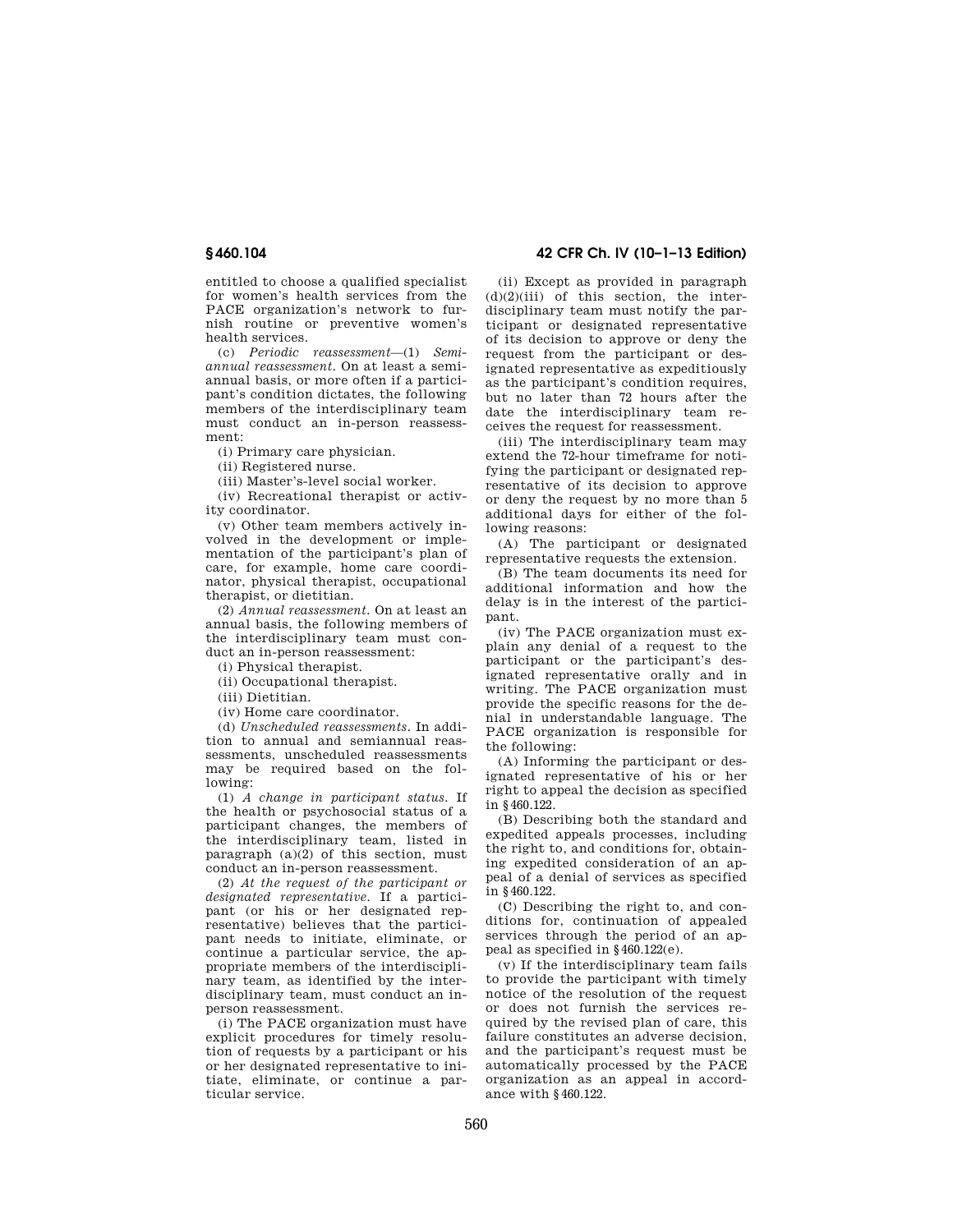entitled to choose a qualified specialist for women's health services from the PACE organization's network to furnish routine or preventive women's health services.

(c) *Periodic reassessment*—(1) *Semiannual reassessment.* On at least a semiannual basis, or more often if a participant's condition dictates, the following members of the interdisciplinary team must conduct an in-person reassessment:

(i) Primary care physician.

(ii) Registered nurse.

(iii) Master's-level social worker.

(iv) Recreational therapist or activity coordinator.

(v) Other team members actively involved in the development or implementation of the participant's plan of care, for example, home care coordinator, physical therapist, occupational therapist, or dietitian.

(2) *Annual reassessment.* On at least an annual basis, the following members of the interdisciplinary team must conduct an in-person reassessment:

(i) Physical therapist.

(ii) Occupational therapist.

(iii) Dietitian.

(iv) Home care coordinator.

(d) *Unscheduled reassessments.* In addition to annual and semiannual reassessments, unscheduled reassessments may be required based on the following:

(1) *A change in participant status.* If the health or psychosocial status of a participant changes, the members of the interdisciplinary team, listed in paragraph  $(a)(2)$  of this section, must conduct an in-person reassessment.

(2) *At the request of the participant or designated representative.* If a participant (or his or her designated representative) believes that the participant needs to initiate, eliminate, or continue a particular service, the appropriate members of the interdisciplinary team, as identified by the interdisciplinary team, must conduct an inperson reassessment.

(i) The PACE organization must have explicit procedures for timely resolution of requests by a participant or his or her designated representative to initiate, eliminate, or continue a particular service.

**§ 460.104 42 CFR Ch. IV (10–1–13 Edition)** 

(ii) Except as provided in paragraph  $(d)(2)(iii)$  of this section, the interdisciplinary team must notify the participant or designated representative of its decision to approve or deny the request from the participant or designated representative as expeditiously as the participant's condition requires, but no later than 72 hours after the date the interdisciplinary team receives the request for reassessment.

(iii) The interdisciplinary team may extend the 72-hour timeframe for notifying the participant or designated representative of its decision to approve or deny the request by no more than 5 additional days for either of the following reasons:

(A) The participant or designated representative requests the extension.

(B) The team documents its need for additional information and how the delay is in the interest of the participant.

(iv) The PACE organization must explain any denial of a request to the participant or the participant's designated representative orally and in writing. The PACE organization must provide the specific reasons for the denial in understandable language. The PACE organization is responsible for the following:

(A) Informing the participant or designated representative of his or her right to appeal the decision as specified in §460.122.

(B) Describing both the standard and expedited appeals processes, including the right to, and conditions for, obtaining expedited consideration of an appeal of a denial of services as specified in §460.122.

(C) Describing the right to, and conditions for, continuation of appealed services through the period of an appeal as specified in §460.122(e).

(v) If the interdisciplinary team fails to provide the participant with timely notice of the resolution of the request or does not furnish the services required by the revised plan of care, this failure constitutes an adverse decision, and the participant's request must be automatically processed by the PACE organization as an appeal in accordance with §460.122.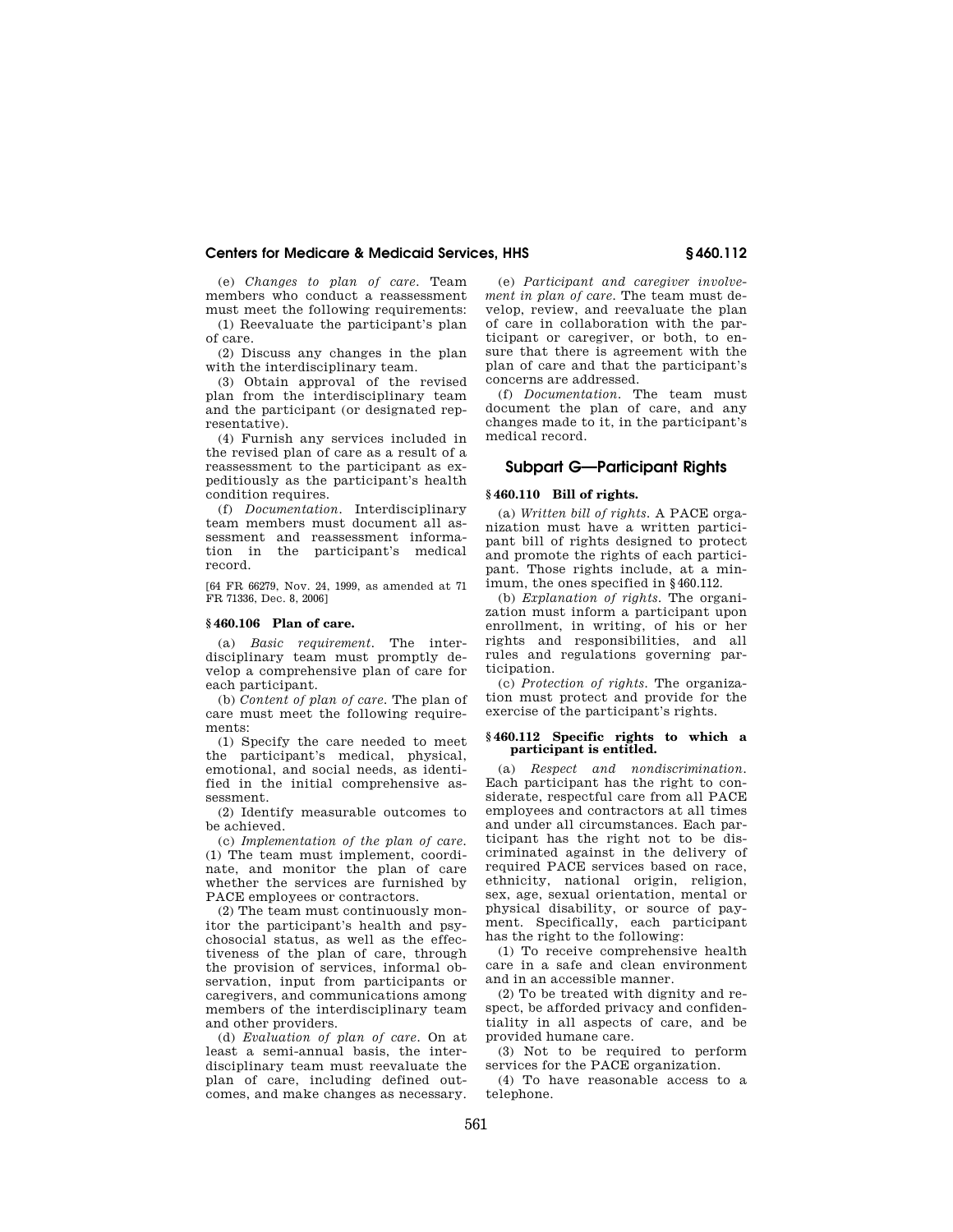(e) *Changes to plan of care.* Team members who conduct a reassessment must meet the following requirements:

(1) Reevaluate the participant's plan of care.

(2) Discuss any changes in the plan with the interdisciplinary team.

(3) Obtain approval of the revised plan from the interdisciplinary team and the participant (or designated representative).

(4) Furnish any services included in the revised plan of care as a result of a reassessment to the participant as expeditiously as the participant's health condition requires.

(f) *Documentation.* Interdisciplinary team members must document all assessment and reassessment information in the participant's medical record.

[64 FR 66279, Nov. 24, 1999, as amended at 71 FR 71336, Dec. 8, 2006]

### **§ 460.106 Plan of care.**

(a) *Basic requirement.* The interdisciplinary team must promptly develop a comprehensive plan of care for each participant.

(b) *Content of plan of care.* The plan of care must meet the following requirements:

(1) Specify the care needed to meet the participant's medical, physical, emotional, and social needs, as identified in the initial comprehensive assessment.

(2) Identify measurable outcomes to be achieved.

(c) *Implementation of the plan of care.*  (1) The team must implement, coordinate, and monitor the plan of care whether the services are furnished by PACE employees or contractors.

(2) The team must continuously monitor the participant's health and psychosocial status, as well as the effectiveness of the plan of care, through the provision of services, informal observation, input from participants or caregivers, and communications among members of the interdisciplinary team and other providers.

(d) *Evaluation of plan of care.* On at least a semi-annual basis, the interdisciplinary team must reevaluate the plan of care, including defined outcomes, and make changes as necessary.

(e) *Participant and caregiver involvement in plan of care.* The team must develop, review, and reevaluate the plan of care in collaboration with the participant or caregiver, or both, to ensure that there is agreement with the plan of care and that the participant's concerns are addressed.

(f) *Documentation.* The team must document the plan of care, and any changes made to it, in the participant's medical record.

# **Subpart G—Participant Rights**

## **§ 460.110 Bill of rights.**

(a) *Written bill of rights.* A PACE organization must have a written participant bill of rights designed to protect and promote the rights of each participant. Those rights include, at a minimum, the ones specified in §460.112.

(b) *Explanation of rights.* The organization must inform a participant upon enrollment, in writing, of his or her rights and responsibilities, and all rules and regulations governing participation.

(c) *Protection of rights.* The organization must protect and provide for the exercise of the participant's rights.

### **§ 460.112 Specific rights to which a participant is entitled.**

(a) *Respect and nondiscrimination.*  Each participant has the right to considerate, respectful care from all PACE employees and contractors at all times and under all circumstances. Each participant has the right not to be discriminated against in the delivery of required PACE services based on race, ethnicity, national origin, religion, sex, age, sexual orientation, mental or physical disability, or source of payment. Specifically, each participant has the right to the following:

(1) To receive comprehensive health care in a safe and clean environment and in an accessible manner.

(2) To be treated with dignity and respect, be afforded privacy and confidentiality in all aspects of care, and be provided humane care.

(3) Not to be required to perform services for the PACE organization.

(4) To have reasonable access to a telephone.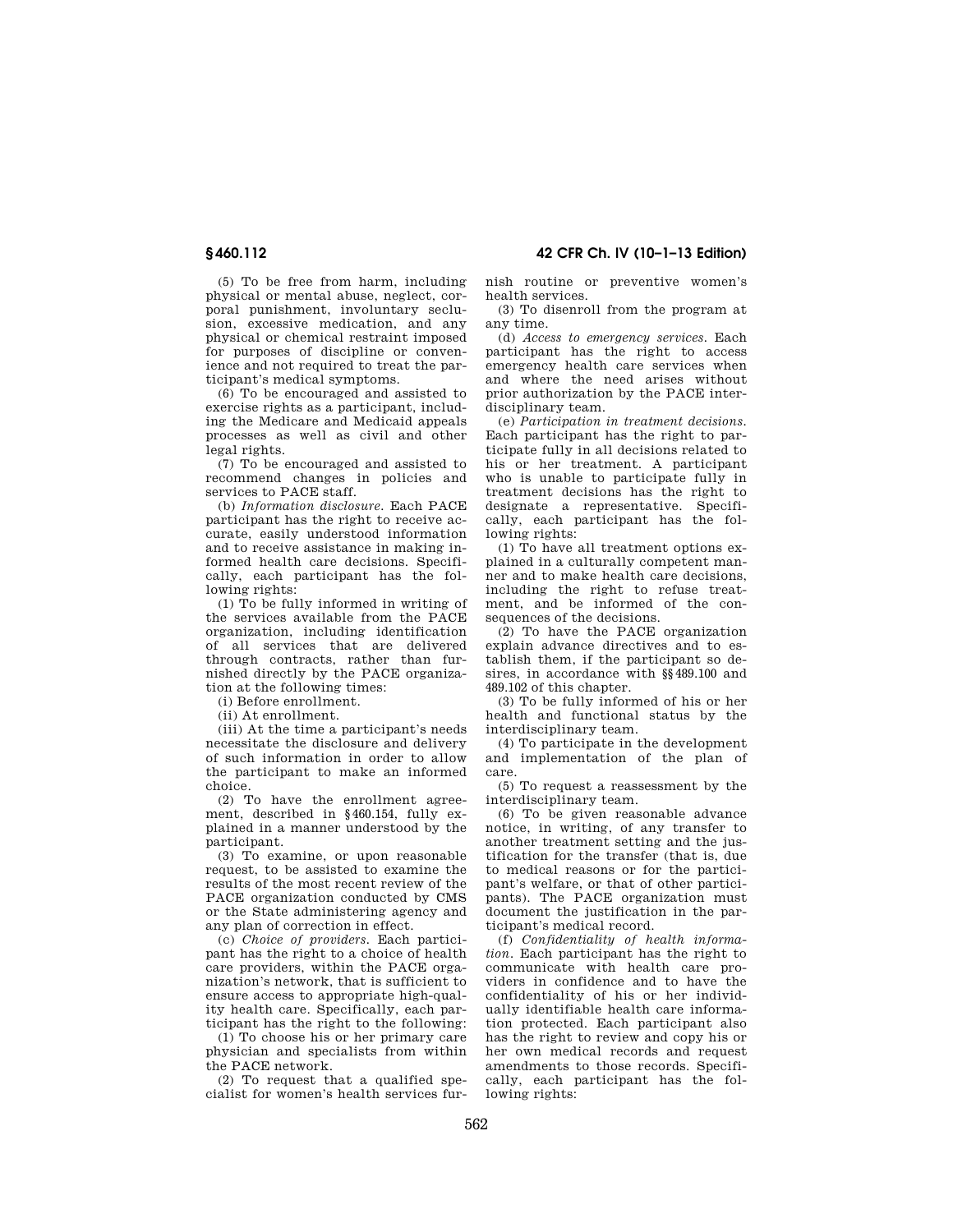**§ 460.112 42 CFR Ch. IV (10–1–13 Edition)** 

(5) To be free from harm, including physical or mental abuse, neglect, corporal punishment, involuntary seclusion, excessive medication, and any physical or chemical restraint imposed for purposes of discipline or convenience and not required to treat the participant's medical symptoms.

(6) To be encouraged and assisted to exercise rights as a participant, including the Medicare and Medicaid appeals processes as well as civil and other legal rights.

(7) To be encouraged and assisted to recommend changes in policies and services to PACE staff.

(b) *Information disclosure.* Each PACE participant has the right to receive accurate, easily understood information and to receive assistance in making informed health care decisions. Specifically, each participant has the following rights:

(1) To be fully informed in writing of the services available from the PACE organization, including identification of all services that are delivered through contracts, rather than furnished directly by the PACE organization at the following times:

(i) Before enrollment.

(ii) At enrollment.

(iii) At the time a participant's needs necessitate the disclosure and delivery of such information in order to allow the participant to make an informed choice.

(2) To have the enrollment agreement, described in §460.154, fully explained in a manner understood by the participant.

 $(3)$  To examine, or upon reasonable request, to be assisted to examine the results of the most recent review of the PACE organization conducted by CMS or the State administering agency and any plan of correction in effect.

(c) *Choice of providers.* Each participant has the right to a choice of health care providers, within the PACE organization's network, that is sufficient to ensure access to appropriate high-quality health care. Specifically, each participant has the right to the following:

(1) To choose his or her primary care physician and specialists from within the PACE network.

(2) To request that a qualified specialist for women's health services furnish routine or preventive women's health services.

(3) To disenroll from the program at any time.

(d) *Access to emergency services.* Each participant has the right to access emergency health care services when and where the need arises without prior authorization by the PACE interdisciplinary team.

(e) *Participation in treatment decisions.*  Each participant has the right to participate fully in all decisions related to his or her treatment. A participant who is unable to participate fully in treatment decisions has the right to designate a representative. Specifically, each participant has the following rights:

 $(1)$  To have all treatment options explained in a culturally competent manner and to make health care decisions, including the right to refuse treatment, and be informed of the consequences of the decisions.

(2) To have the PACE organization explain advance directives and to establish them, if the participant so desires, in accordance with §§489.100 and 489.102 of this chapter.

(3) To be fully informed of his or her health and functional status by the interdisciplinary team.

(4) To participate in the development and implementation of the plan of care.

(5) To request a reassessment by the interdisciplinary team.

(6) To be given reasonable advance notice, in writing, of any transfer to another treatment setting and the justification for the transfer (that is, due to medical reasons or for the participant's welfare, or that of other participants). The PACE organization must document the justification in the participant's medical record.

(f) *Confidentiality of health information.* Each participant has the right to communicate with health care providers in confidence and to have the confidentiality of his or her individually identifiable health care information protected. Each participant also has the right to review and copy his or her own medical records and request amendments to those records. Specifically, each participant has the following rights: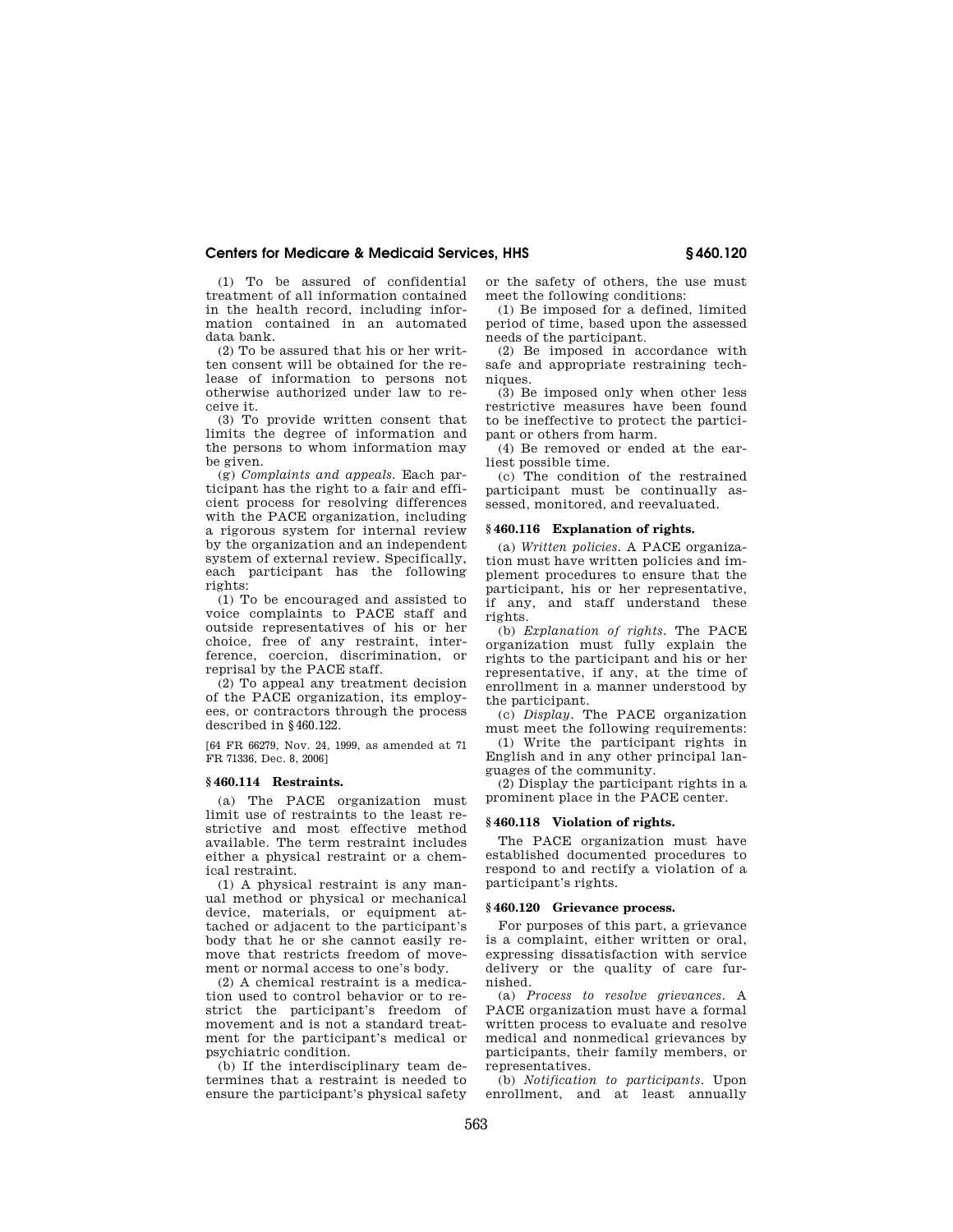(1) To be assured of confidential treatment of all information contained in the health record, including information contained in an automated data bank.

(2) To be assured that his or her written consent will be obtained for the release of information to persons not otherwise authorized under law to receive it.

(3) To provide written consent that limits the degree of information and the persons to whom information may be given.

(g) *Complaints and appeals.* Each participant has the right to a fair and efficient process for resolving differences with the PACE organization, including a rigorous system for internal review by the organization and an independent system of external review. Specifically, each participant has the following rights:

(1) To be encouraged and assisted to voice complaints to PACE staff and outside representatives of his or her choice, free of any restraint, interference, coercion, discrimination, or reprisal by the PACE staff.

(2) To appeal any treatment decision of the PACE organization, its employees, or contractors through the process described in §460.122.

[64 FR 66279, Nov. 24, 1999, as amended at 71 FR 71336, Dec. 8, 2006]

### **§ 460.114 Restraints.**

(a) The PACE organization must limit use of restraints to the least restrictive and most effective method available. The term restraint includes either a physical restraint or a chemical restraint.

(1) A physical restraint is any manual method or physical or mechanical device, materials, or equipment attached or adjacent to the participant's body that he or she cannot easily remove that restricts freedom of movement or normal access to one's body.

(2) A chemical restraint is a medication used to control behavior or to restrict the participant's freedom of movement and is not a standard treatment for the participant's medical or psychiatric condition.

(b) If the interdisciplinary team determines that a restraint is needed to ensure the participant's physical safety or the safety of others, the use must meet the following conditions:

(1) Be imposed for a defined, limited period of time, based upon the assessed needs of the participant.

(2) Be imposed in accordance with safe and appropriate restraining techniques.

(3) Be imposed only when other less restrictive measures have been found to be ineffective to protect the participant or others from harm.

(4) Be removed or ended at the earliest possible time.

(c) The condition of the restrained participant must be continually assessed, monitored, and reevaluated.

## **§ 460.116 Explanation of rights.**

(a) *Written policies.* A PACE organization must have written policies and implement procedures to ensure that the participant, his or her representative, if any, and staff understand these rights.

(b) *Explanation of rights.* The PACE organization must fully explain the rights to the participant and his or her representative, if any, at the time of enrollment in a manner understood by the participant.

(c) *Display.* The PACE organization must meet the following requirements:

(1) Write the participant rights in English and in any other principal languages of the community.

(2) Display the participant rights in a prominent place in the PACE center.

### **§ 460.118 Violation of rights.**

The PACE organization must have established documented procedures to respond to and rectify a violation of a participant's rights.

## **§ 460.120 Grievance process.**

For purposes of this part, a grievance is a complaint, either written or oral, expressing dissatisfaction with service delivery or the quality of care furnished.

(a) *Process to resolve grievances.* A PACE organization must have a formal written process to evaluate and resolve medical and nonmedical grievances by participants, their family members, or representatives.

(b) *Notification to participants.* Upon enrollment, and at least annually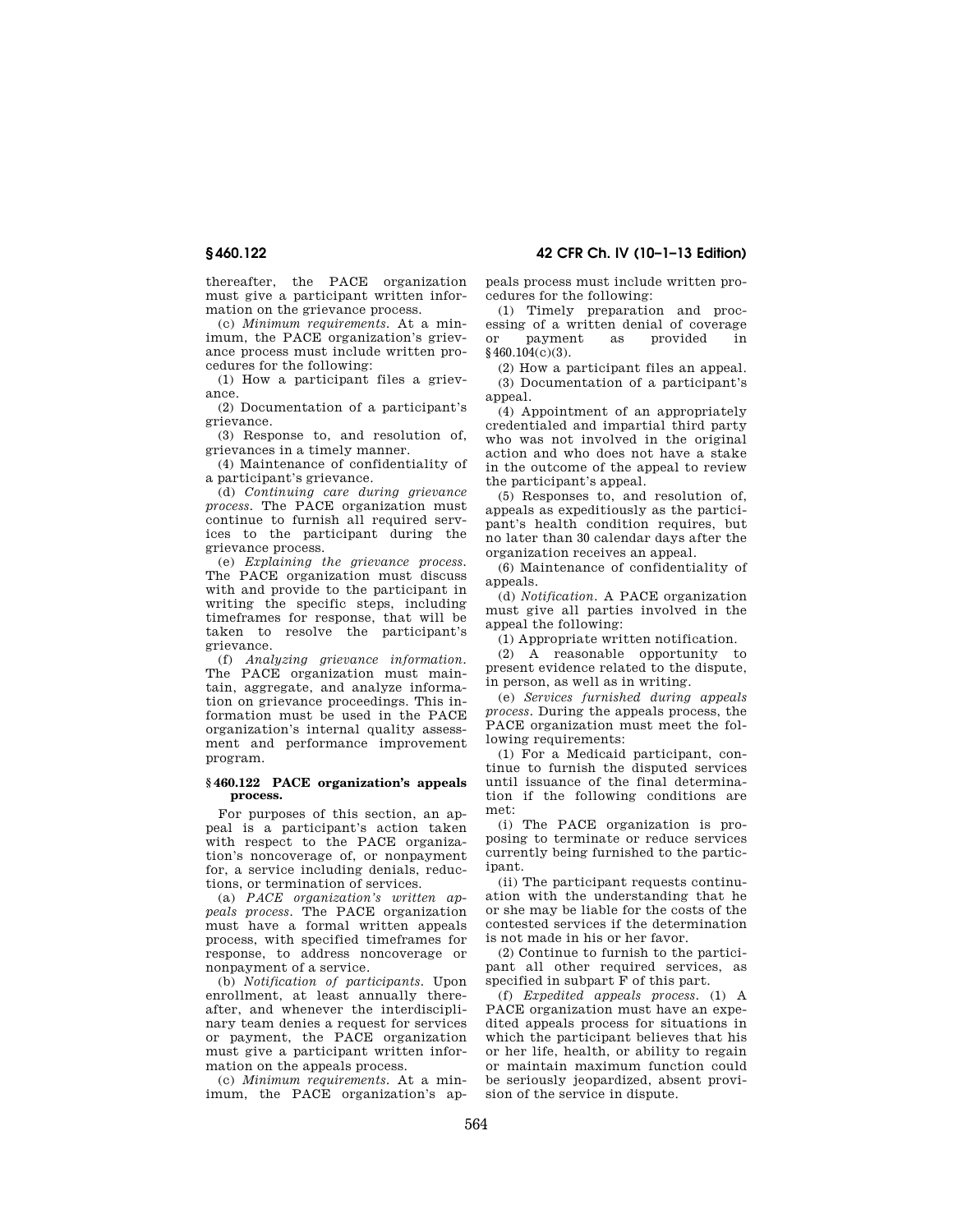thereafter, the PACE organization must give a participant written information on the grievance process.

(c) *Minimum requirements.* At a minimum, the PACE organization's grievance process must include written procedures for the following:

(1) How a participant files a grievance.

(2) Documentation of a participant's grievance.

(3) Response to, and resolution of, grievances in a timely manner.

(4) Maintenance of confidentiality of a participant's grievance.

(d) *Continuing care during grievance process.* The PACE organization must continue to furnish all required services to the participant during the grievance process.

(e) *Explaining the grievance process.*  The PACE organization must discuss with and provide to the participant in writing the specific steps, including timeframes for response, that will be taken to resolve the participant's grievance.

(f) *Analyzing grievance information.*  The PACE organization must maintain, aggregate, and analyze information on grievance proceedings. This information must be used in the PACE organization's internal quality assessment and performance improvement program.

### **§ 460.122 PACE organization's appeals process.**

For purposes of this section, an appeal is a participant's action taken with respect to the PACE organization's noncoverage of, or nonpayment for, a service including denials, reductions, or termination of services.

(a) *PACE organization's written appeals process.* The PACE organization must have a formal written appeals process, with specified timeframes for response, to address noncoverage or nonpayment of a service.

(b) *Notification of participants.* Upon enrollment, at least annually thereafter, and whenever the interdisciplinary team denies a request for services or payment, the PACE organization must give a participant written information on the appeals process.

(c) *Minimum requirements.* At a minimum, the PACE organization's appeals process must include written procedures for the following:

(1) Timely preparation and processing of a written denial of coverage or payment as provided in §460.104(c)(3).

(2) How a participant files an appeal. (3) Documentation of a participant's appeal.

(4) Appointment of an appropriately credentialed and impartial third party who was not involved in the original action and who does not have a stake in the outcome of the appeal to review the participant's appeal.

(5) Responses to, and resolution of, appeals as expeditiously as the participant's health condition requires, but no later than 30 calendar days after the organization receives an appeal.

(6) Maintenance of confidentiality of appeals.

(d) *Notification.* A PACE organization must give all parties involved in the appeal the following:

(1) Appropriate written notification.

(2) A reasonable opportunity to present evidence related to the dispute, in person, as well as in writing.

(e) *Services furnished during appeals process.* During the appeals process, the PACE organization must meet the following requirements:

(1) For a Medicaid participant, continue to furnish the disputed services until issuance of the final determination if the following conditions are met:

(i) The PACE organization is proposing to terminate or reduce services currently being furnished to the participant.

(ii) The participant requests continuation with the understanding that he or she may be liable for the costs of the contested services if the determination is not made in his or her favor.

(2) Continue to furnish to the participant all other required services, as specified in subpart F of this part.

(f) *Expedited appeals process.* (1) A PACE organization must have an expedited appeals process for situations in which the participant believes that his or her life, health, or ability to regain or maintain maximum function could be seriously jeopardized, absent provision of the service in dispute.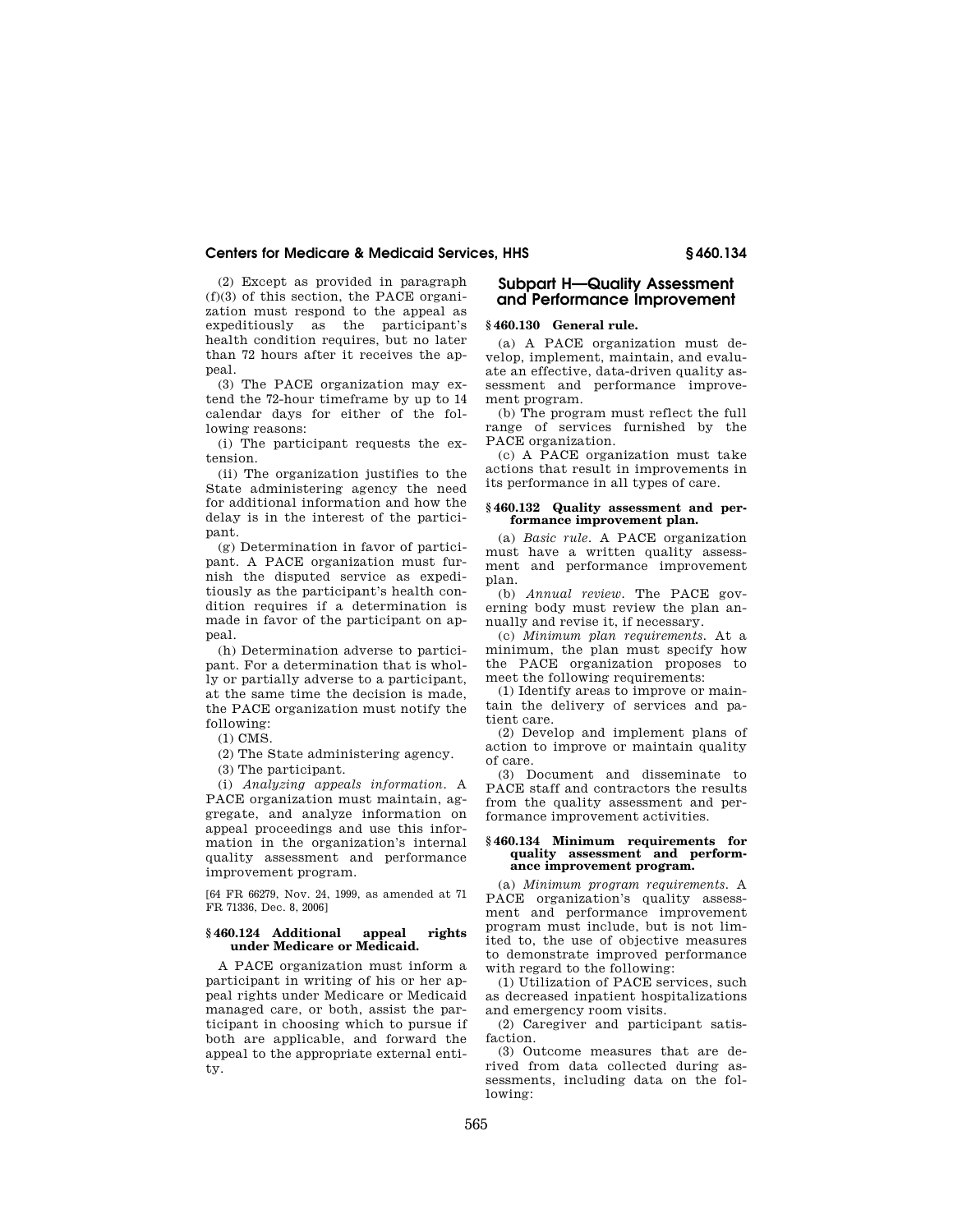(2) Except as provided in paragraph (f)(3) of this section, the PACE organization must respond to the appeal as expeditiously as the participant's health condition requires, but no later than 72 hours after it receives the appeal.

(3) The PACE organization may extend the 72-hour timeframe by up to 14 calendar days for either of the following reasons:

(i) The participant requests the extension.

(ii) The organization justifies to the State administering agency the need for additional information and how the delay is in the interest of the participant.

(g) Determination in favor of participant. A PACE organization must furnish the disputed service as expeditiously as the participant's health condition requires if a determination is made in favor of the participant on appeal.

(h) Determination adverse to participant. For a determination that is wholly or partially adverse to a participant, at the same time the decision is made, the PACE organization must notify the following:

(1) CMS.

(2) The State administering agency.

(3) The participant.

(i) *Analyzing appeals information.* A PACE organization must maintain, aggregate, and analyze information on appeal proceedings and use this information in the organization's internal quality assessment and performance improvement program.

[64 FR 66279, Nov. 24, 1999, as amended at 71 FR 71336, Dec. 8, 2006]

## **§ 460.124 Additional appeal rights under Medicare or Medicaid.**

A PACE organization must inform a participant in writing of his or her appeal rights under Medicare or Medicaid managed care, or both, assist the participant in choosing which to pursue if both are applicable, and forward the appeal to the appropriate external entity.

# **Subpart H—Quality Assessment and Performance Improvement**

# **§ 460.130 General rule.**

(a) A PACE organization must develop, implement, maintain, and evaluate an effective, data-driven quality assessment and performance improvement program.

(b) The program must reflect the full range of services furnished by the PACE organization.

(c) A PACE organization must take actions that result in improvements in its performance in all types of care.

### **§ 460.132 Quality assessment and performance improvement plan.**

(a) *Basic rule.* A PACE organization must have a written quality assessment and performance improvement plan.

(b) *Annual review.* The PACE governing body must review the plan annually and revise it, if necessary.

(c) *Minimum plan requirements.* At a minimum, the plan must specify how the PACE organization proposes to meet the following requirements:

(1) Identify areas to improve or maintain the delivery of services and patient care.

(2) Develop and implement plans of action to improve or maintain quality of care.

(3) Document and disseminate to PACE staff and contractors the results from the quality assessment and performance improvement activities.

### **§ 460.134 Minimum requirements for quality assessment and performance improvement program.**

(a) *Minimum program requirements.* A PACE organization's quality assessment and performance improvement program must include, but is not limited to, the use of objective measures to demonstrate improved performance with regard to the following:

(1) Utilization of PACE services, such as decreased inpatient hospitalizations and emergency room visits.

(2) Caregiver and participant satisfaction.

(3) Outcome measures that are derived from data collected during assessments, including data on the following: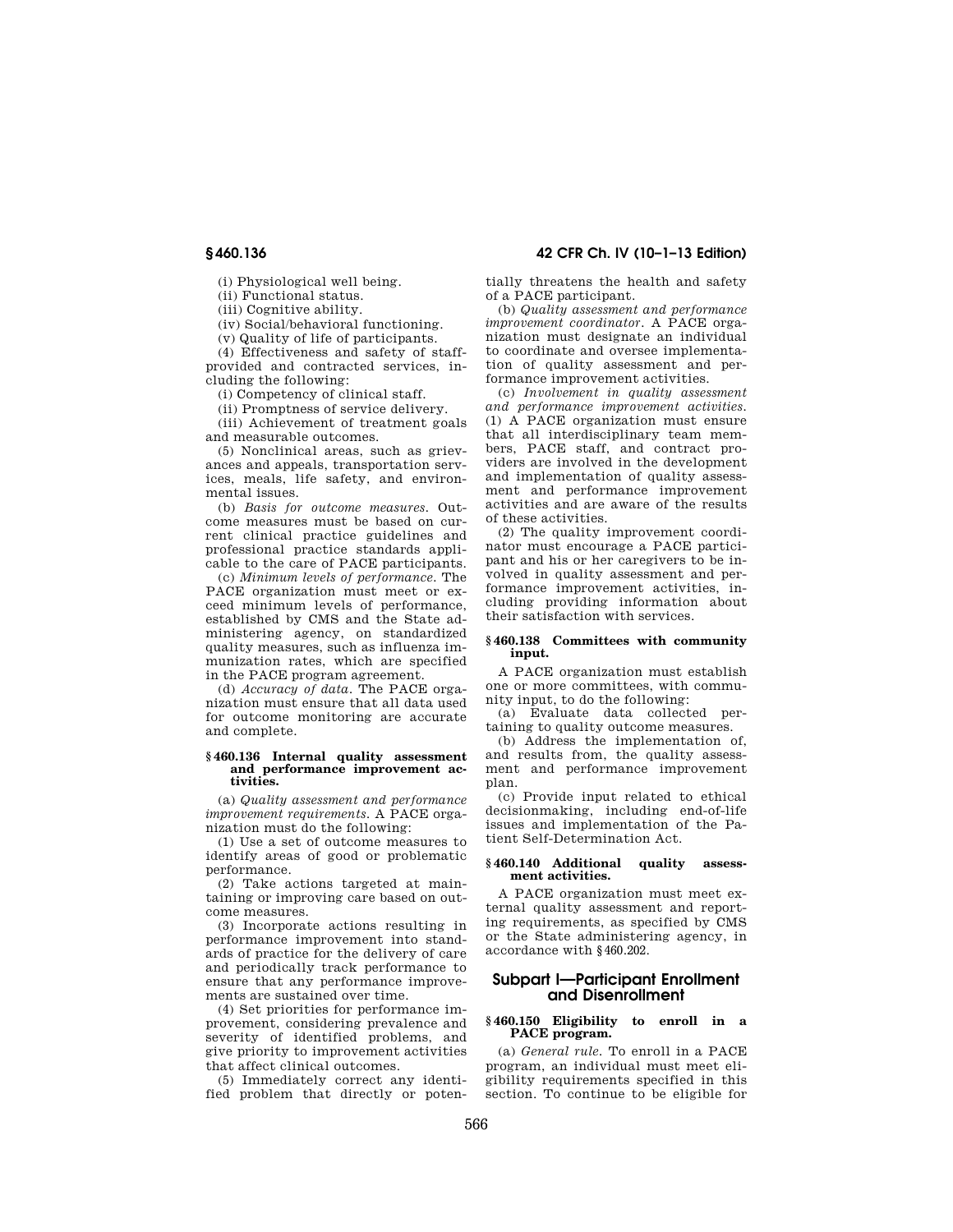(i) Physiological well being.

(ii) Functional status.

(iii) Cognitive ability.

(iv) Social/behavioral functioning.

(v) Quality of life of participants.

(4) Effectiveness and safety of staffprovided and contracted services, including the following:

(i) Competency of clinical staff.

(ii) Promptness of service delivery.

(iii) Achievement of treatment goals and measurable outcomes.

(5) Nonclinical areas, such as grievances and appeals, transportation services, meals, life safety, and environmental issues.

(b) *Basis for outcome measures.* Outcome measures must be based on current clinical practice guidelines and professional practice standards applicable to the care of PACE participants.

(c) *Minimum levels of performance.* The PACE organization must meet or exceed minimum levels of performance, established by CMS and the State administering agency, on standardized quality measures, such as influenza immunization rates, which are specified in the PACE program agreement.

(d) *Accuracy of data.* The PACE organization must ensure that all data used for outcome monitoring are accurate and complete.

### **§ 460.136 Internal quality assessment and performance improvement activities.**

(a) *Quality assessment and performance improvement requirements.* A PACE organization must do the following:

(1) Use a set of outcome measures to identify areas of good or problematic performance.

(2) Take actions targeted at maintaining or improving care based on outcome measures.

(3) Incorporate actions resulting in performance improvement into standards of practice for the delivery of care and periodically track performance to ensure that any performance improvements are sustained over time.

(4) Set priorities for performance improvement, considering prevalence and severity of identified problems, and give priority to improvement activities that affect clinical outcomes.

(5) Immediately correct any identified problem that directly or poten-

# **§ 460.136 42 CFR Ch. IV (10–1–13 Edition)**

tially threatens the health and safety of a PACE participant.

(b) *Quality assessment and performance improvement coordinator.* A PACE organization must designate an individual to coordinate and oversee implementation of quality assessment and performance improvement activities.

(c) *Involvement in quality assessment and performance improvement activities.*  (1) A PACE organization must ensure that all interdisciplinary team members, PACE staff, and contract providers are involved in the development and implementation of quality assessment and performance improvement activities and are aware of the results of these activities.

(2) The quality improvement coordinator must encourage a PACE participant and his or her caregivers to be involved in quality assessment and performance improvement activities, including providing information about their satisfaction with services.

### **§ 460.138 Committees with community input.**

A PACE organization must establish one or more committees, with community input, to do the following:

(a) Evaluate data collected pertaining to quality outcome measures.

(b) Address the implementation of, and results from, the quality assessment and performance improvement plan.

(c) Provide input related to ethical decisionmaking, including end-of-life issues and implementation of the Patient Self-Determination Act.

## **§ 460.140 Additional quality assessment activities.**

A PACE organization must meet external quality assessment and reporting requirements, as specified by CMS or the State administering agency, in accordance with §460.202.

# **Subpart I—Participant Enrollment and Disenrollment**

## **§ 460.150 Eligibility to enroll in a PACE program.**

(a) *General rule.* To enroll in a PACE program, an individual must meet eligibility requirements specified in this section. To continue to be eligible for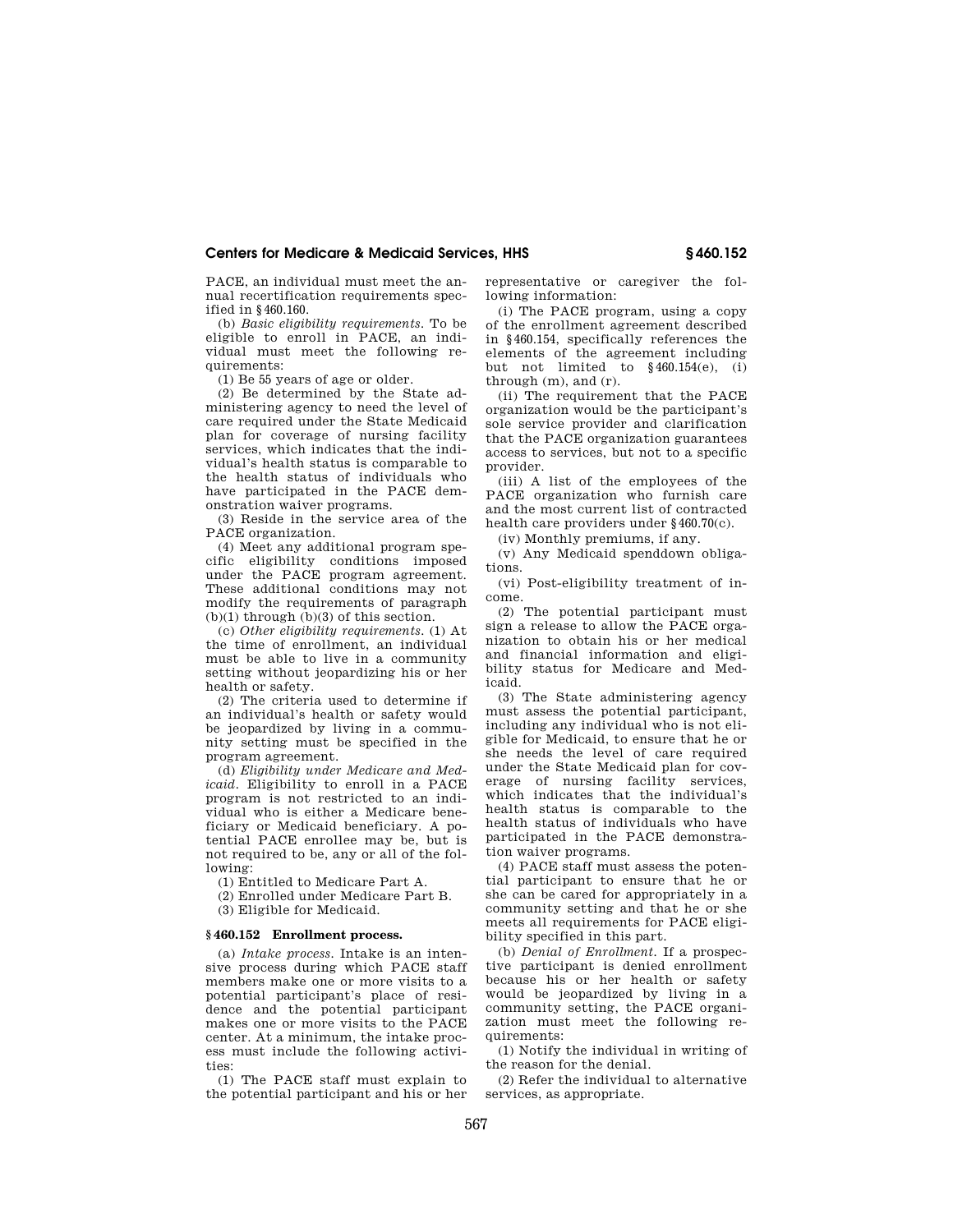PACE, an individual must meet the annual recertification requirements specified in §460.160.

(b) *Basic eligibility requirements.* To be eligible to enroll in PACE, an individual must meet the following requirements:

(1) Be 55 years of age or older.

(2) Be determined by the State administering agency to need the level of care required under the State Medicaid plan for coverage of nursing facility services, which indicates that the individual's health status is comparable to the health status of individuals who have participated in the PACE demonstration waiver programs.

(3) Reside in the service area of the PACE organization.

(4) Meet any additional program specific eligibility conditions imposed under the PACE program agreement. These additional conditions may not modify the requirements of paragraph  $(b)(1)$  through  $(b)(3)$  of this section.

(c) *Other eligibility requirements.* (1) At the time of enrollment, an individual must be able to live in a community setting without jeopardizing his or her health or safety.

(2) The criteria used to determine if an individual's health or safety would be jeopardized by living in a community setting must be specified in the program agreement.

(d) *Eligibility under Medicare and Medicaid.* Eligibility to enroll in a PACE program is not restricted to an individual who is either a Medicare beneficiary or Medicaid beneficiary. A potential PACE enrollee may be, but is not required to be, any or all of the following:

(1) Entitled to Medicare Part A.

(2) Enrolled under Medicare Part B.

(3) Eligible for Medicaid.

### **§ 460.152 Enrollment process.**

(a) *Intake process.* Intake is an intensive process during which PACE staff members make one or more visits to a potential participant's place of residence and the potential participant makes one or more visits to the PACE center. At a minimum, the intake process must include the following activities:

(1) The PACE staff must explain to the potential participant and his or her representative or caregiver the following information:

(i) The PACE program, using a copy of the enrollment agreement described in §460.154, specifically references the elements of the agreement including but not limited to  $\S 460.154(e)$ , (i) through (m), and (r).

(ii) The requirement that the PACE organization would be the participant's sole service provider and clarification that the PACE organization guarantees access to services, but not to a specific provider.

(iii) A list of the employees of the PACE organization who furnish care and the most current list of contracted health care providers under §460.70(c).

(iv) Monthly premiums, if any.

(v) Any Medicaid spenddown obligations.

(vi) Post-eligibility treatment of income.

(2) The potential participant must sign a release to allow the PACE organization to obtain his or her medical and financial information and eligibility status for Medicare and Medicaid.

(3) The State administering agency must assess the potential participant, including any individual who is not eligible for Medicaid, to ensure that he or she needs the level of care required under the State Medicaid plan for coverage of nursing facility services, which indicates that the individual's health status is comparable to the health status of individuals who have participated in the PACE demonstration waiver programs.

(4) PACE staff must assess the potential participant to ensure that he or she can be cared for appropriately in a community setting and that he or she meets all requirements for PACE eligibility specified in this part.

(b) *Denial of Enrollment.* If a prospective participant is denied enrollment because his or her health or safety would be jeopardized by living in a community setting, the PACE organization must meet the following requirements:

(1) Notify the individual in writing of the reason for the denial.

(2) Refer the individual to alternative services, as appropriate.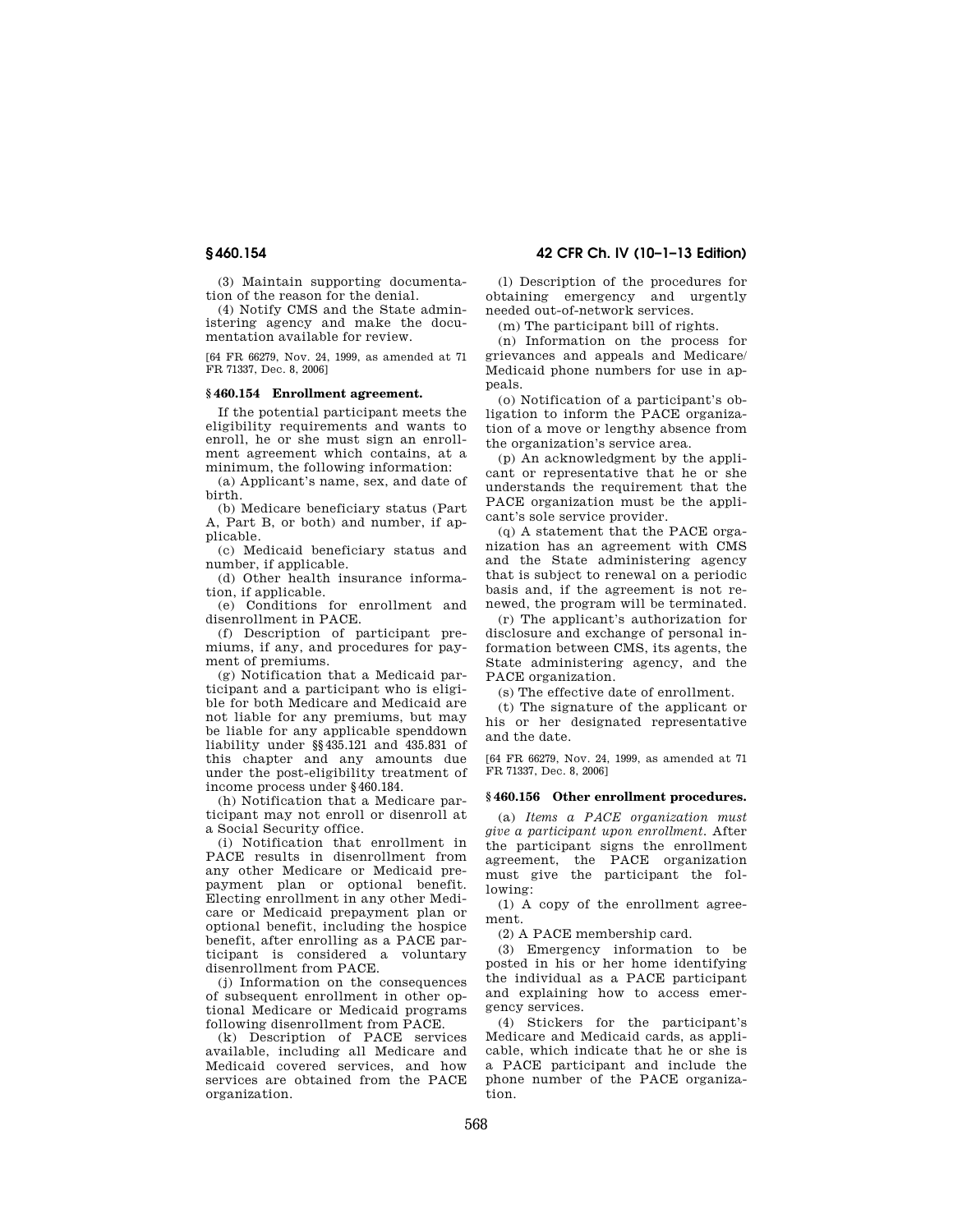# **§ 460.154 42 CFR Ch. IV (10–1–13 Edition)**

(3) Maintain supporting documentation of the reason for the denial.

(4) Notify CMS and the State administering agency and make the documentation available for review.

[64 FR 66279, Nov. 24, 1999, as amended at 71 FR 71337, Dec. 8, 2006]

## **§ 460.154 Enrollment agreement.**

If the potential participant meets the eligibility requirements and wants to enroll, he or she must sign an enrollment agreement which contains, at a minimum, the following information:

(a) Applicant's name, sex, and date of birth.

(b) Medicare beneficiary status (Part A, Part B, or both) and number, if applicable.

(c) Medicaid beneficiary status and number, if applicable.

(d) Other health insurance information, if applicable.

(e) Conditions for enrollment and disenrollment in PACE.

(f) Description of participant premiums, if any, and procedures for payment of premiums.

(g) Notification that a Medicaid participant and a participant who is eligible for both Medicare and Medicaid are not liable for any premiums, but may be liable for any applicable spenddown liability under §§435.121 and 435.831 of this chapter and any amounts due under the post-eligibility treatment of income process under §460.184.

(h) Notification that a Medicare participant may not enroll or disenroll at a Social Security office.

(i) Notification that enrollment in PACE results in disenrollment from any other Medicare or Medicaid prepayment plan or optional benefit. Electing enrollment in any other Medicare or Medicaid prepayment plan or optional benefit, including the hospice benefit, after enrolling as a PACE participant is considered a voluntary disenrollment from PACE.

(j) Information on the consequences of subsequent enrollment in other optional Medicare or Medicaid programs following disenrollment from PACE.

(k) Description of PACE services available, including all Medicare and Medicaid covered services, and how services are obtained from the PACE organization.

(l) Description of the procedures for obtaining emergency and urgently needed out-of-network services.

(m) The participant bill of rights.

(n) Information on the process for grievances and appeals and Medicare/ Medicaid phone numbers for use in appeals.

(o) Notification of a participant's obligation to inform the PACE organization of a move or lengthy absence from the organization's service area.

(p) An acknowledgment by the applicant or representative that he or she understands the requirement that the PACE organization must be the applicant's sole service provider.

(q) A statement that the PACE organization has an agreement with CMS and the State administering agency that is subject to renewal on a periodic basis and, if the agreement is not renewed, the program will be terminated.

(r) The applicant's authorization for disclosure and exchange of personal information between CMS, its agents, the State administering agency, and the PACE organization.

(s) The effective date of enrollment.

(t) The signature of the applicant or his or her designated representative and the date.

[64 FR 66279, Nov. 24, 1999, as amended at 71 FR 71337, Dec. 8, 2006]

## **§ 460.156 Other enrollment procedures.**

(a) *Items a PACE organization must give a participant upon enrollment.* After the participant signs the enrollment agreement, the PACE organization must give the participant the following:

(1) A copy of the enrollment agreement.

(2) A PACE membership card.

(3) Emergency information to be posted in his or her home identifying the individual as a PACE participant and explaining how to access emergency services.

(4) Stickers for the participant's Medicare and Medicaid cards, as applicable, which indicate that he or she is a PACE participant and include the phone number of the PACE organization.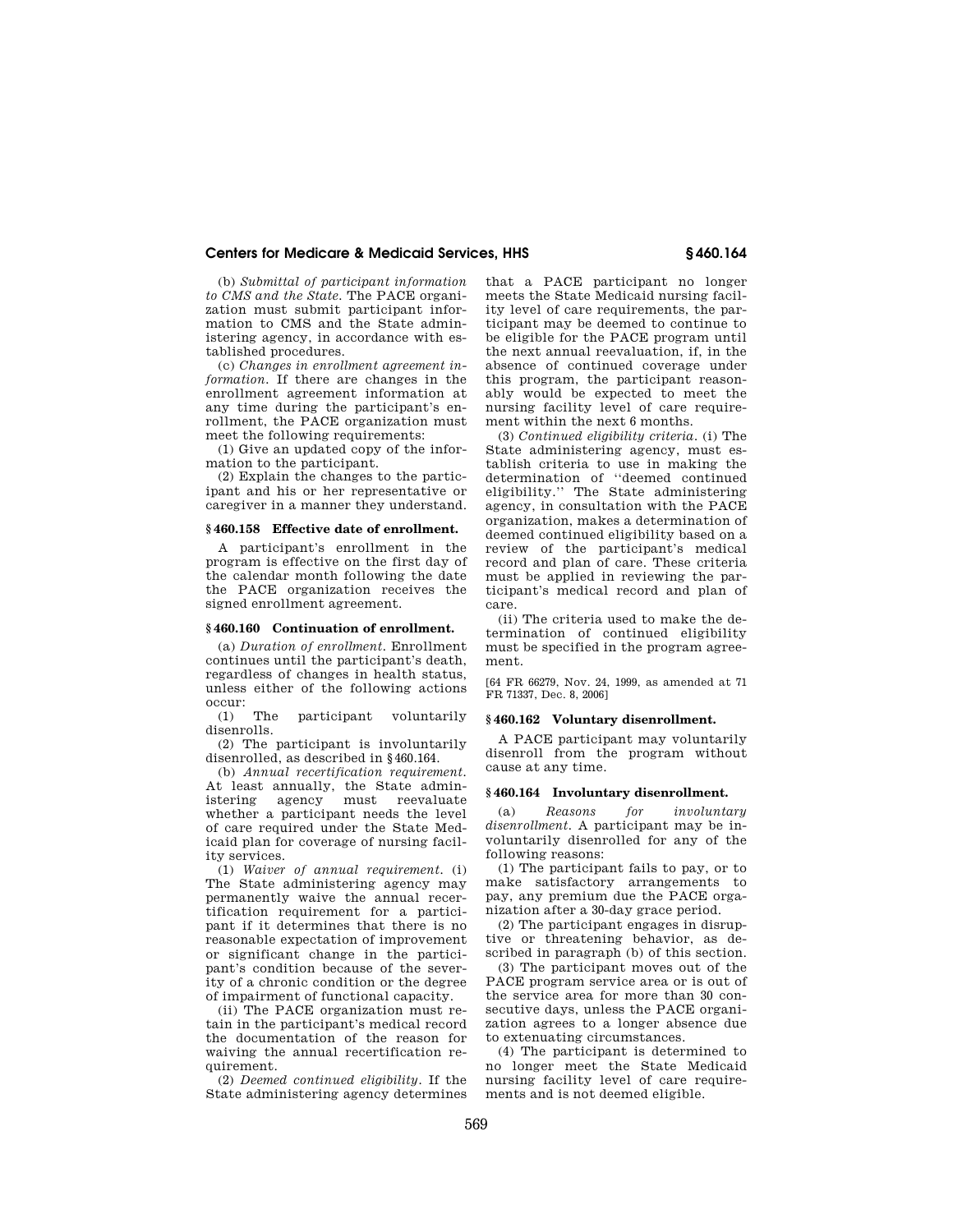(b) *Submittal of participant information to CMS and the State.* The PACE organization must submit participant information to CMS and the State administering agency, in accordance with established procedures.

(c) *Changes in enrollment agreement information.* If there are changes in the enrollment agreement information at any time during the participant's enrollment, the PACE organization must meet the following requirements:

(1) Give an updated copy of the information to the participant.

(2) Explain the changes to the participant and his or her representative or caregiver in a manner they understand.

## **§ 460.158 Effective date of enrollment.**

A participant's enrollment in the program is effective on the first day of the calendar month following the date the PACE organization receives the signed enrollment agreement.

### **§ 460.160 Continuation of enrollment.**

(a) *Duration of enrollment.* Enrollment continues until the participant's death, regardless of changes in health status, unless either of the following actions  $\text{occur:}$  The

(1) The participant voluntarily disenrolls.

(2) The participant is involuntarily disenrolled, as described in §460.164.

(b) *Annual recertification requirement.*  At least annually, the State administering agency must reevaluate whether a participant needs the level of care required under the State Medicaid plan for coverage of nursing facility services.

(1) *Waiver of annual requirement.* (i) The State administering agency may permanently waive the annual recertification requirement for a participant if it determines that there is no reasonable expectation of improvement or significant change in the participant's condition because of the severity of a chronic condition or the degree of impairment of functional capacity.

(ii) The PACE organization must retain in the participant's medical record the documentation of the reason for waiving the annual recertification requirement.

(2) *Deemed continued eligibility.* If the State administering agency determines that a PACE participant no longer meets the State Medicaid nursing facility level of care requirements, the participant may be deemed to continue to be eligible for the PACE program until the next annual reevaluation, if, in the absence of continued coverage under this program, the participant reasonably would be expected to meet the nursing facility level of care requirement within the next 6 months.

(3) *Continued eligibility criteria.* (i) The State administering agency, must establish criteria to use in making the determination of ''deemed continued eligibility.'' The State administering agency, in consultation with the PACE organization, makes a determination of deemed continued eligibility based on a review of the participant's medical record and plan of care. These criteria must be applied in reviewing the participant's medical record and plan of care.

(ii) The criteria used to make the determination of continued eligibility must be specified in the program agreement.

[64 FR 66279, Nov. 24, 1999, as amended at 71 FR 71337, Dec. 8, 2006]

## **§ 460.162 Voluntary disenrollment.**

A PACE participant may voluntarily disenroll from the program without cause at any time.

## **§ 460.164 Involuntary disenrollment.**

(a) *Reasons for involuntary disenrollment.* A participant may be involuntarily disenrolled for any of the following reasons:

(1) The participant fails to pay, or to make satisfactory arrangements to pay, any premium due the PACE organization after a 30-day grace period.

(2) The participant engages in disruptive or threatening behavior, as described in paragraph (b) of this section.

(3) The participant moves out of the PACE program service area or is out of the service area for more than 30 consecutive days, unless the PACE organization agrees to a longer absence due to extenuating circumstances.

(4) The participant is determined to no longer meet the State Medicaid nursing facility level of care requirements and is not deemed eligible.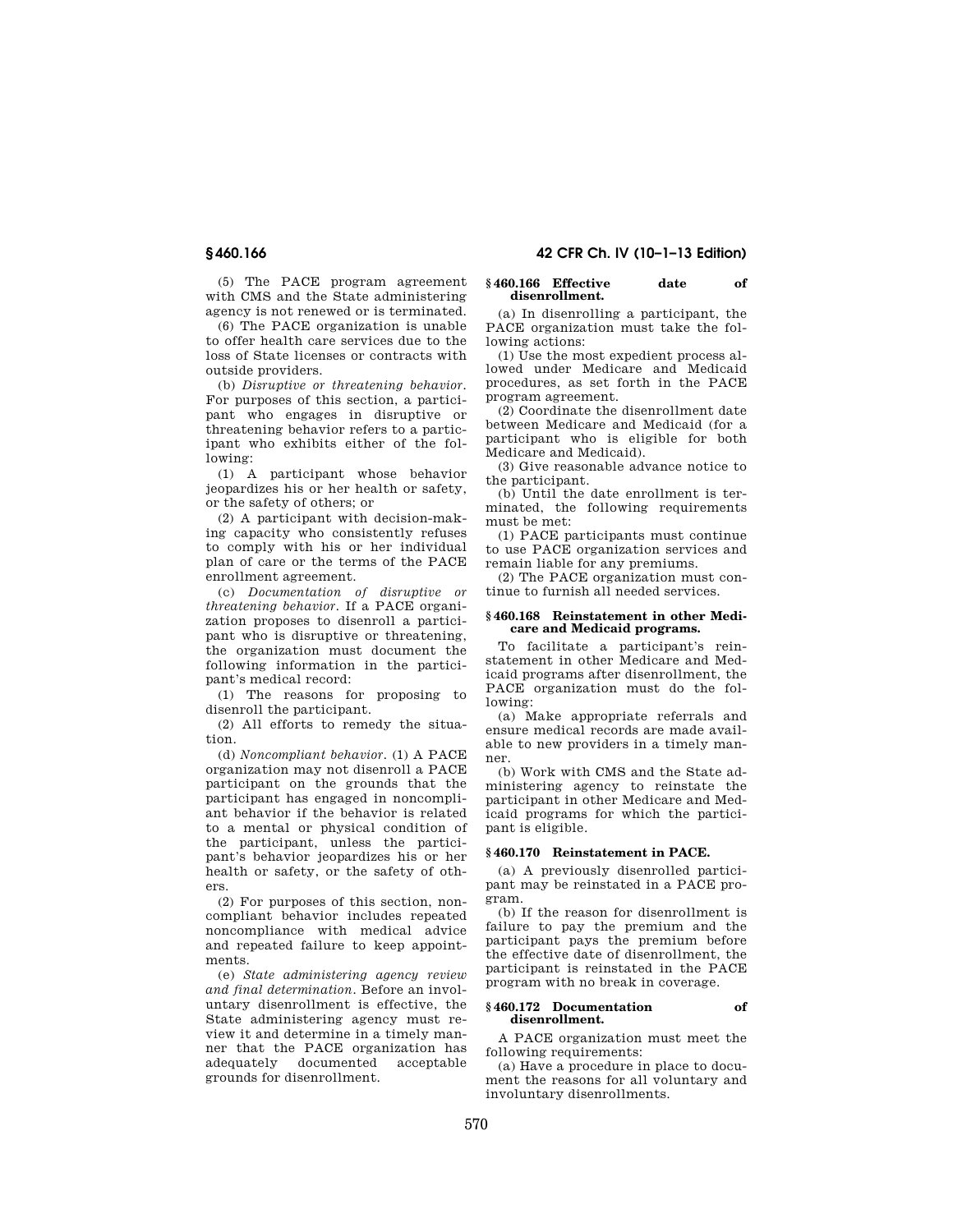**§ 460.166 42 CFR Ch. IV (10–1–13 Edition)** 

(5) The PACE program agreement with CMS and the State administering agency is not renewed or is terminated.

 $(6)$  The PACE organization is unable to offer health care services due to the loss of State licenses or contracts with outside providers.

(b) *Disruptive or threatening behavior.*  For purposes of this section, a participant who engages in disruptive or threatening behavior refers to a participant who exhibits either of the following:

(1) A participant whose behavior jeopardizes his or her health or safety, or the safety of others; or

(2) A participant with decision-making capacity who consistently refuses to comply with his or her individual plan of care or the terms of the PACE enrollment agreement.

(c) *Documentation of disruptive or threatening behavior.* If a PACE organization proposes to disenroll a participant who is disruptive or threatening, the organization must document the following information in the participant's medical record:

(1) The reasons for proposing to disenroll the participant.

(2) All efforts to remedy the situation.

(d) *Noncompliant behavior.* (1) A PACE organization may not disenroll a PACE participant on the grounds that the participant has engaged in noncompliant behavior if the behavior is related to a mental or physical condition of the participant, unless the participant's behavior jeopardizes his or her health or safety, or the safety of others.

(2) For purposes of this section, noncompliant behavior includes repeated noncompliance with medical advice and repeated failure to keep appointments.

(e) *State administering agency review and final determination.* Before an involuntary disenrollment is effective, the State administering agency must review it and determine in a timely manner that the PACE organization has adequately documented acceptable grounds for disenrollment.

### **§ 460.166 Effective date of disenrollment.**

(a) In disenrolling a participant, the PACE organization must take the following actions:

(1) Use the most expedient process allowed under Medicare and Medicaid procedures, as set forth in the PACE program agreement.

(2) Coordinate the disenrollment date between Medicare and Medicaid (for a participant who is eligible for both Medicare and Medicaid).

(3) Give reasonable advance notice to the participant.

(b) Until the date enrollment is terminated, the following requirements must be met:

(1) PACE participants must continue to use PACE organization services and remain liable for any premiums.

(2) The PACE organization must continue to furnish all needed services.

### **§ 460.168 Reinstatement in other Medicare and Medicaid programs.**

To facilitate a participant's reinstatement in other Medicare and Medicaid programs after disenrollment, the PACE organization must do the following:

(a) Make appropriate referrals and ensure medical records are made available to new providers in a timely manner.

(b) Work with CMS and the State administering agency to reinstate the participant in other Medicare and Medicaid programs for which the participant is eligible.

## **§ 460.170 Reinstatement in PACE.**

(a) A previously disenrolled participant may be reinstated in a PACE program.

(b) If the reason for disenrollment is failure to pay the premium and the participant pays the premium before the effective date of disenrollment, the participant is reinstated in the PACE program with no break in coverage.

## **§ 460.172 Documentation of disenrollment.**

A PACE organization must meet the following requirements:

(a) Have a procedure in place to document the reasons for all voluntary and involuntary disenrollments.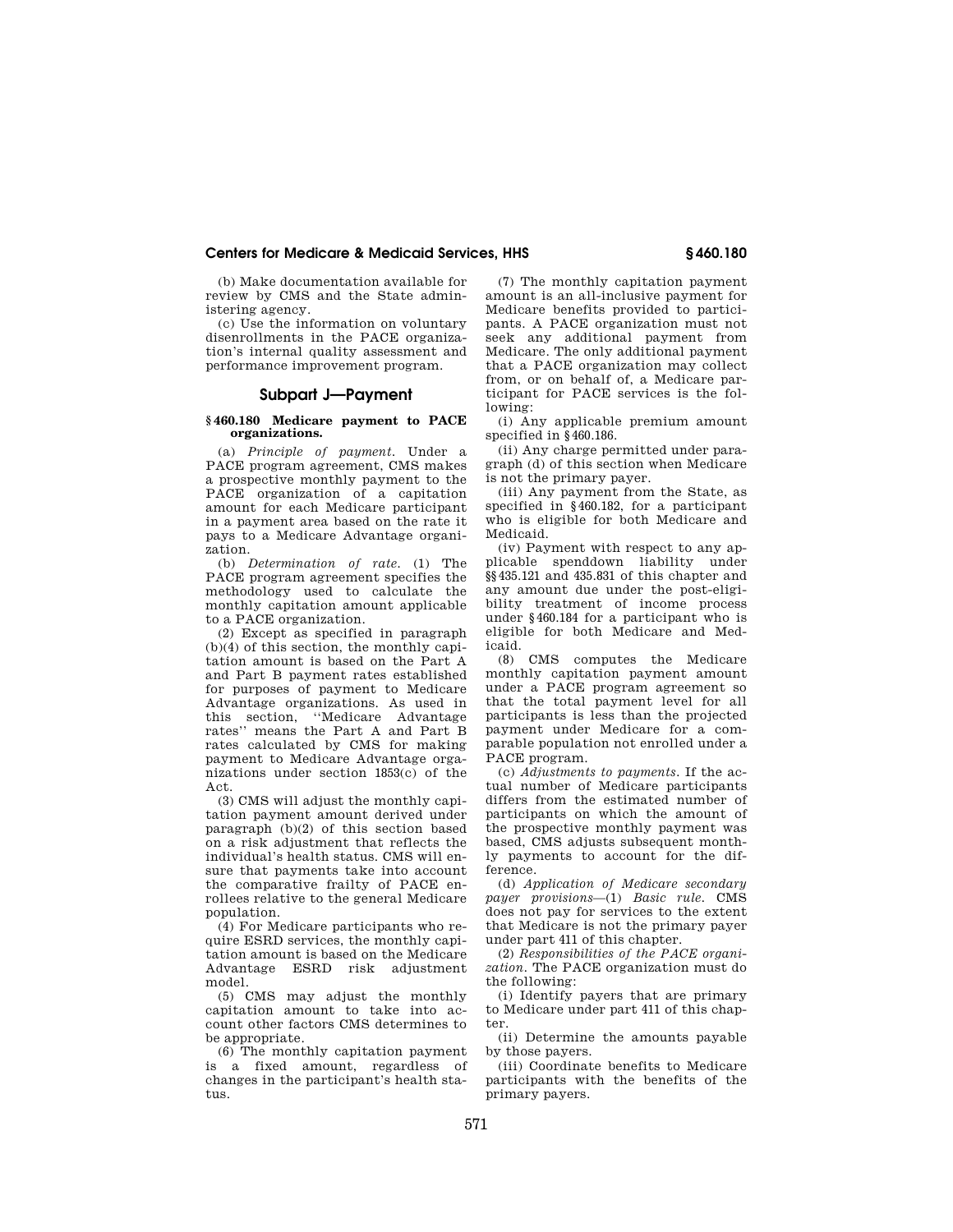(b) Make documentation available for review by CMS and the State administering agency.

(c) Use the information on voluntary disenrollments in the PACE organization's internal quality assessment and performance improvement program.

## **Subpart J—Payment**

### **§ 460.180 Medicare payment to PACE organizations.**

(a) *Principle of payment.* Under a PACE program agreement, CMS makes a prospective monthly payment to the PACE organization of a capitation amount for each Medicare participant in a payment area based on the rate it pays to a Medicare Advantage organization.

(b) *Determination of rate.* (1) The PACE program agreement specifies the methodology used to calculate the monthly capitation amount applicable to a PACE organization.

(2) Except as specified in paragraph (b)(4) of this section, the monthly capitation amount is based on the Part A and Part B payment rates established for purposes of payment to Medicare Advantage organizations. As used in this section, ''Medicare Advantage rates'' means the Part A and Part B rates calculated by CMS for making payment to Medicare Advantage organizations under section 1853(c) of the Act.

(3) CMS will adjust the monthly capitation payment amount derived under paragraph (b)(2) of this section based on a risk adjustment that reflects the individual's health status. CMS will ensure that payments take into account the comparative frailty of PACE enrollees relative to the general Medicare population.

(4) For Medicare participants who require ESRD services, the monthly capitation amount is based on the Medicare Advantage ESRD risk adjustment model.

(5) CMS may adjust the monthly capitation amount to take into account other factors CMS determines to be appropriate.

(6) The monthly capitation payment is a fixed amount, regardless of changes in the participant's health status.

(7) The monthly capitation payment amount is an all-inclusive payment for Medicare benefits provided to participants. A PACE organization must not seek any additional payment from Medicare. The only additional payment that a PACE organization may collect from, or on behalf of, a Medicare participant for PACE services is the following:

(i) Any applicable premium amount specified in §460.186.

(ii) Any charge permitted under paragraph (d) of this section when Medicare is not the primary payer.

(iii) Any payment from the State, as specified in §460.182, for a participant who is eligible for both Medicare and Medicaid.

(iv) Payment with respect to any applicable spenddown liability under §§435.121 and 435.831 of this chapter and any amount due under the post-eligibility treatment of income process under §460.184 for a participant who is eligible for both Medicare and Medicaid.

(8) CMS computes the Medicare monthly capitation payment amount under a PACE program agreement so that the total payment level for all participants is less than the projected payment under Medicare for a comparable population not enrolled under a PACE program.

(c) *Adjustments to payments.* If the actual number of Medicare participants differs from the estimated number of participants on which the amount of the prospective monthly payment was based, CMS adjusts subsequent monthly payments to account for the difference.

(d) *Application of Medicare secondary payer provisions*—(1) *Basic rule.* CMS does not pay for services to the extent that Medicare is not the primary payer under part 411 of this chapter.

(2) *Responsibilities of the PACE organization.* The PACE organization must do the following:

(i) Identify payers that are primary to Medicare under part 411 of this chapter.

(ii) Determine the amounts payable by those payers.

(iii) Coordinate benefits to Medicare participants with the benefits of the primary payers.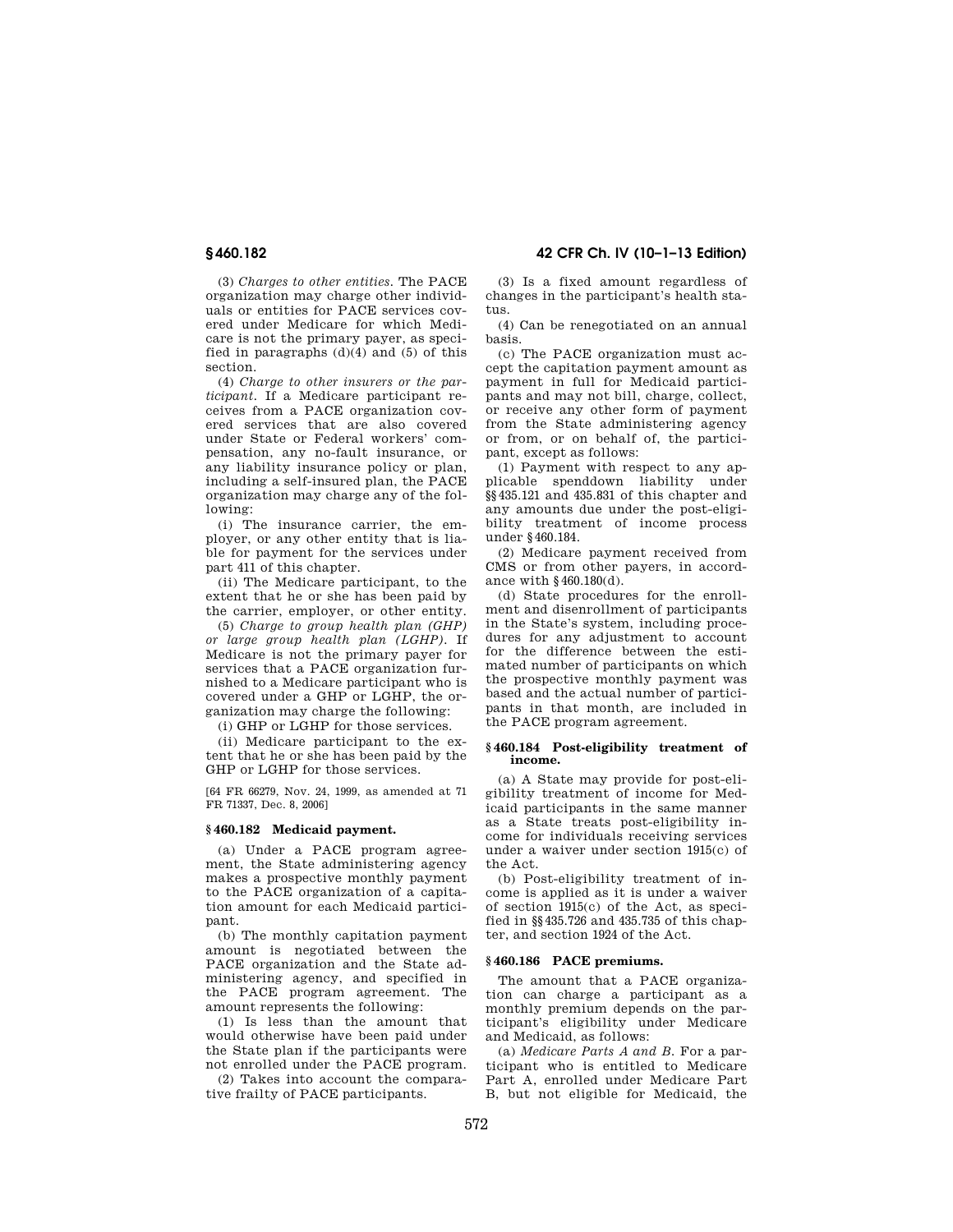**§ 460.182 42 CFR Ch. IV (10–1–13 Edition)** 

(3) *Charges to other entities.* The PACE organization may charge other individuals or entities for PACE services covered under Medicare for which Medicare is not the primary payer, as specified in paragraphs  $(d)(4)$  and  $(5)$  of this section.

(4) *Charge to other insurers or the participant.* If a Medicare participant receives from a PACE organization covered services that are also covered under State or Federal workers' compensation, any no-fault insurance, or any liability insurance policy or plan, including a self-insured plan, the PACE organization may charge any of the following:

(i) The insurance carrier, the employer, or any other entity that is liable for payment for the services under part 411 of this chapter.

(ii) The Medicare participant, to the extent that he or she has been paid by the carrier, employer, or other entity.

(5) *Charge to group health plan (GHP) or large group health plan (LGHP).* If Medicare is not the primary payer for services that a PACE organization furnished to a Medicare participant who is covered under a GHP or LGHP, the organization may charge the following:

(i) GHP or LGHP for those services.

(ii) Medicare participant to the extent that he or she has been paid by the GHP or LGHP for those services.

[64 FR 66279, Nov. 24, 1999, as amended at 71 FR 71337, Dec. 8, 2006]

### **§ 460.182 Medicaid payment.**

(a) Under a PACE program agreement, the State administering agency makes a prospective monthly payment to the PACE organization of a capitation amount for each Medicaid participant.

(b) The monthly capitation payment amount is negotiated between the PACE organization and the State administering agency, and specified in the PACE program agreement. The amount represents the following:

(1) Is less than the amount that would otherwise have been paid under the State plan if the participants were not enrolled under the PACE program.

(2) Takes into account the comparative frailty of PACE participants.

(3) Is a fixed amount regardless of changes in the participant's health status.

(4) Can be renegotiated on an annual basis.

(c) The PACE organization must accept the capitation payment amount as payment in full for Medicaid participants and may not bill, charge, collect, or receive any other form of payment from the State administering agency or from, or on behalf of, the participant, except as follows:

(1) Payment with respect to any applicable spenddown liability under §§435.121 and 435.831 of this chapter and any amounts due under the post-eligibility treatment of income process under §460.184.

(2) Medicare payment received from CMS or from other payers, in accordance with §460.180(d).

(d) State procedures for the enrollment and disenrollment of participants in the State's system, including procedures for any adjustment to account for the difference between the estimated number of participants on which the prospective monthly payment was based and the actual number of participants in that month, are included in the PACE program agreement.

### **§ 460.184 Post-eligibility treatment of income.**

(a) A State may provide for post-eligibility treatment of income for Medicaid participants in the same manner as a State treats post-eligibility income for individuals receiving services under a waiver under section 1915(c) of the Act.

(b) Post-eligibility treatment of income is applied as it is under a waiver of section 1915(c) of the Act, as specified in §§435.726 and 435.735 of this chapter, and section 1924 of the Act.

### **§ 460.186 PACE premiums.**

The amount that a PACE organization can charge a participant as a monthly premium depends on the participant's eligibility under Medicare and Medicaid, as follows:

(a) *Medicare Parts A and B.* For a participant who is entitled to Medicare Part A, enrolled under Medicare Part B, but not eligible for Medicaid, the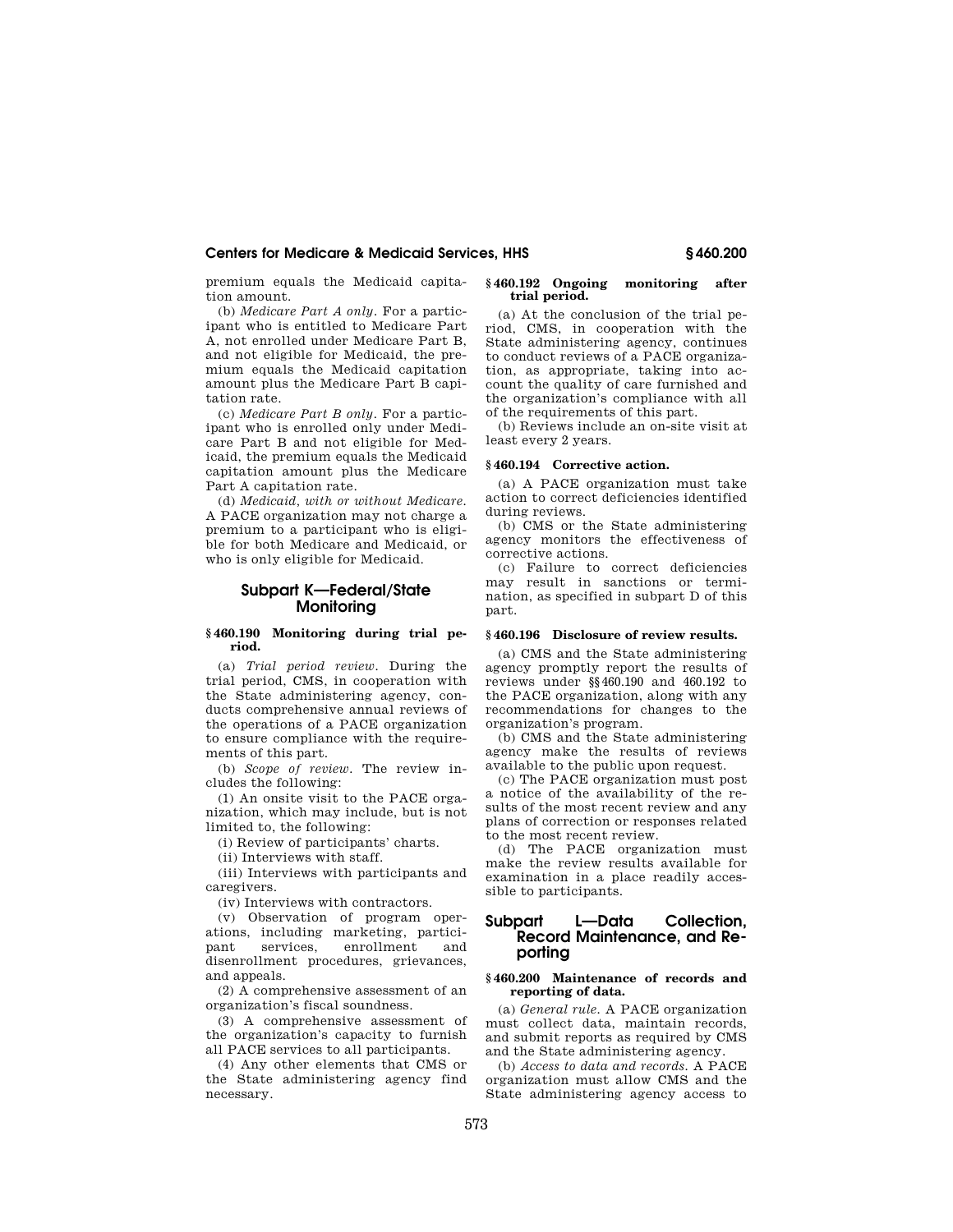premium equals the Medicaid capitation amount.

(b) *Medicare Part A only.* For a participant who is entitled to Medicare Part A, not enrolled under Medicare Part B, and not eligible for Medicaid, the premium equals the Medicaid capitation amount plus the Medicare Part B capitation rate.

(c) *Medicare Part B only.* For a participant who is enrolled only under Medicare Part B and not eligible for Medicaid, the premium equals the Medicaid capitation amount plus the Medicare Part A capitation rate.

(d) *Medicaid, with or without Medicare.*  A PACE organization may not charge a premium to a participant who is eligible for both Medicare and Medicaid, or who is only eligible for Medicaid.

# **Subpart K—Federal/State Monitoring**

## **§ 460.190 Monitoring during trial period.**

(a) *Trial period review.* During the trial period, CMS, in cooperation with the State administering agency, conducts comprehensive annual reviews of the operations of a PACE organization to ensure compliance with the requirements of this part.

(b) *Scope of review.* The review includes the following:

(1) An onsite visit to the PACE organization, which may include, but is not limited to, the following:

(i) Review of participants' charts.

(ii) Interviews with staff.

(iii) Interviews with participants and caregivers.

(iv) Interviews with contractors.

(v) Observation of program operations, including marketing, participant services, enrollment and disenrollment procedures, grievances, and appeals.

(2) A comprehensive assessment of an organization's fiscal soundness.

(3) A comprehensive assessment of the organization's capacity to furnish all PACE services to all participants.

(4) Any other elements that CMS or the State administering agency find necessary.

### **§ 460.192 Ongoing monitoring after trial period.**

(a) At the conclusion of the trial period, CMS, in cooperation with the State administering agency, continues to conduct reviews of a PACE organization, as appropriate, taking into account the quality of care furnished and the organization's compliance with all of the requirements of this part.

(b) Reviews include an on-site visit at least every 2 years.

### **§ 460.194 Corrective action.**

(a) A PACE organization must take action to correct deficiencies identified during reviews.

(b) CMS or the State administering agency monitors the effectiveness of corrective actions.

(c) Failure to correct deficiencies may result in sanctions or termination, as specified in subpart D of this part.

### **§ 460.196 Disclosure of review results.**

(a) CMS and the State administering agency promptly report the results of reviews under §§460.190 and 460.192 to the PACE organization, along with any recommendations for changes to the organization's program.

(b) CMS and the State administering agency make the results of reviews available to the public upon request.

(c) The PACE organization must post a notice of the availability of the results of the most recent review and any plans of correction or responses related to the most recent review.

(d) The PACE organization must make the review results available for examination in a place readily accessible to participants.

# **Subpart L—Data Collection, Record Maintenance, and Reporting**

### **§ 460.200 Maintenance of records and reporting of data.**

(a) *General rule.* A PACE organization must collect data, maintain records, and submit reports as required by CMS and the State administering agency.

(b) *Access to data and records.* A PACE organization must allow CMS and the State administering agency access to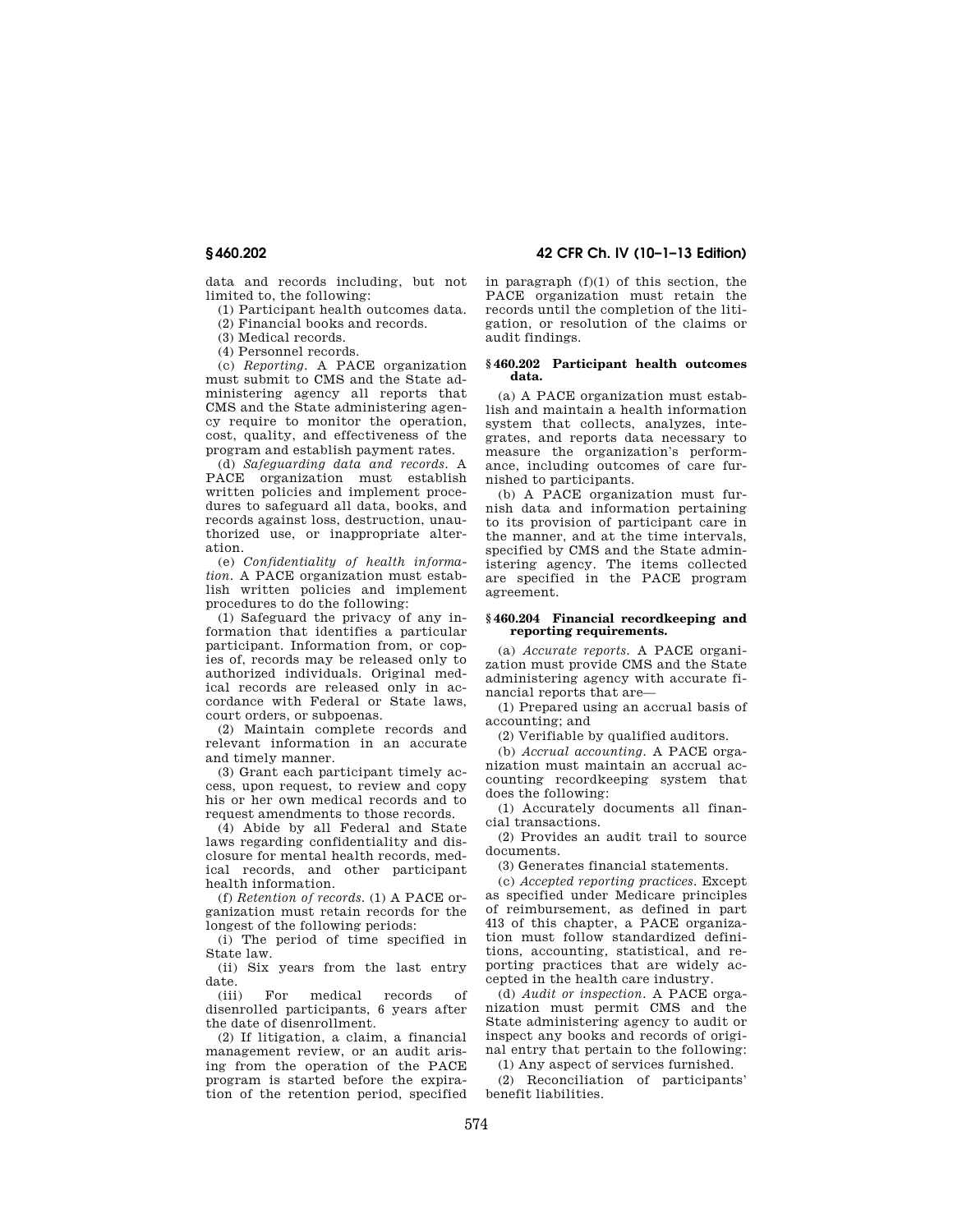data and records including, but not limited to, the following:

(1) Participant health outcomes data.

(2) Financial books and records.

(3) Medical records.

(4) Personnel records.

(c) *Reporting.* A PACE organization must submit to CMS and the State administering agency all reports that CMS and the State administering agency require to monitor the operation, cost, quality, and effectiveness of the program and establish payment rates.

(d) *Safeguarding data and records.* A PACE organization must establish written policies and implement procedures to safeguard all data, books, and records against loss, destruction, unauthorized use, or inappropriate alteration.

(e) *Confidentiality of health information.* A PACE organization must establish written policies and implement procedures to do the following:

(1) Safeguard the privacy of any information that identifies a particular participant. Information from, or copies of, records may be released only to authorized individuals. Original medical records are released only in accordance with Federal or State laws, court orders, or subpoenas.

(2) Maintain complete records and relevant information in an accurate and timely manner.

(3) Grant each participant timely access, upon request, to review and copy his or her own medical records and to request amendments to those records.

(4) Abide by all Federal and State laws regarding confidentiality and disclosure for mental health records, medical records, and other participant health information.

(f) *Retention of records.* (1) A PACE organization must retain records for the longest of the following periods:

(i) The period of time specified in State law.

(ii) Six years from the last entry date.<br>(iii)

For medical records of disenrolled participants, 6 years after the date of disenrollment.

(2) If litigation, a claim, a financial management review, or an audit arising from the operation of the PACE program is started before the expiration of the retention period, specified

# **§ 460.202 42 CFR Ch. IV (10–1–13 Edition)**

in paragraph (f)(1) of this section, the PACE organization must retain the records until the completion of the litigation, or resolution of the claims or audit findings.

## **§ 460.202 Participant health outcomes data.**

(a) A PACE organization must establish and maintain a health information system that collects, analyzes, integrates, and reports data necessary to measure the organization's performance, including outcomes of care furnished to participants.

(b) A PACE organization must furnish data and information pertaining to its provision of participant care in the manner, and at the time intervals, specified by CMS and the State administering agency. The items collected are specified in the PACE program agreement.

### **§ 460.204 Financial recordkeeping and reporting requirements.**

(a) *Accurate reports.* A PACE organization must provide CMS and the State administering agency with accurate financial reports that are—

(1) Prepared using an accrual basis of accounting; and

(2) Verifiable by qualified auditors.

(b) *Accrual accounting.* A PACE organization must maintain an accrual accounting recordkeeping system that does the following:

(1) Accurately documents all financial transactions.

(2) Provides an audit trail to source documents.

(3) Generates financial statements.

(c) *Accepted reporting practices.* Except as specified under Medicare principles of reimbursement, as defined in part 413 of this chapter, a PACE organization must follow standardized definitions, accounting, statistical, and reporting practices that are widely accepted in the health care industry.

(d) *Audit or inspection.* A PACE organization must permit CMS and the State administering agency to audit or inspect any books and records of original entry that pertain to the following:

(1) Any aspect of services furnished.

(2) Reconciliation of participants' benefit liabilities.